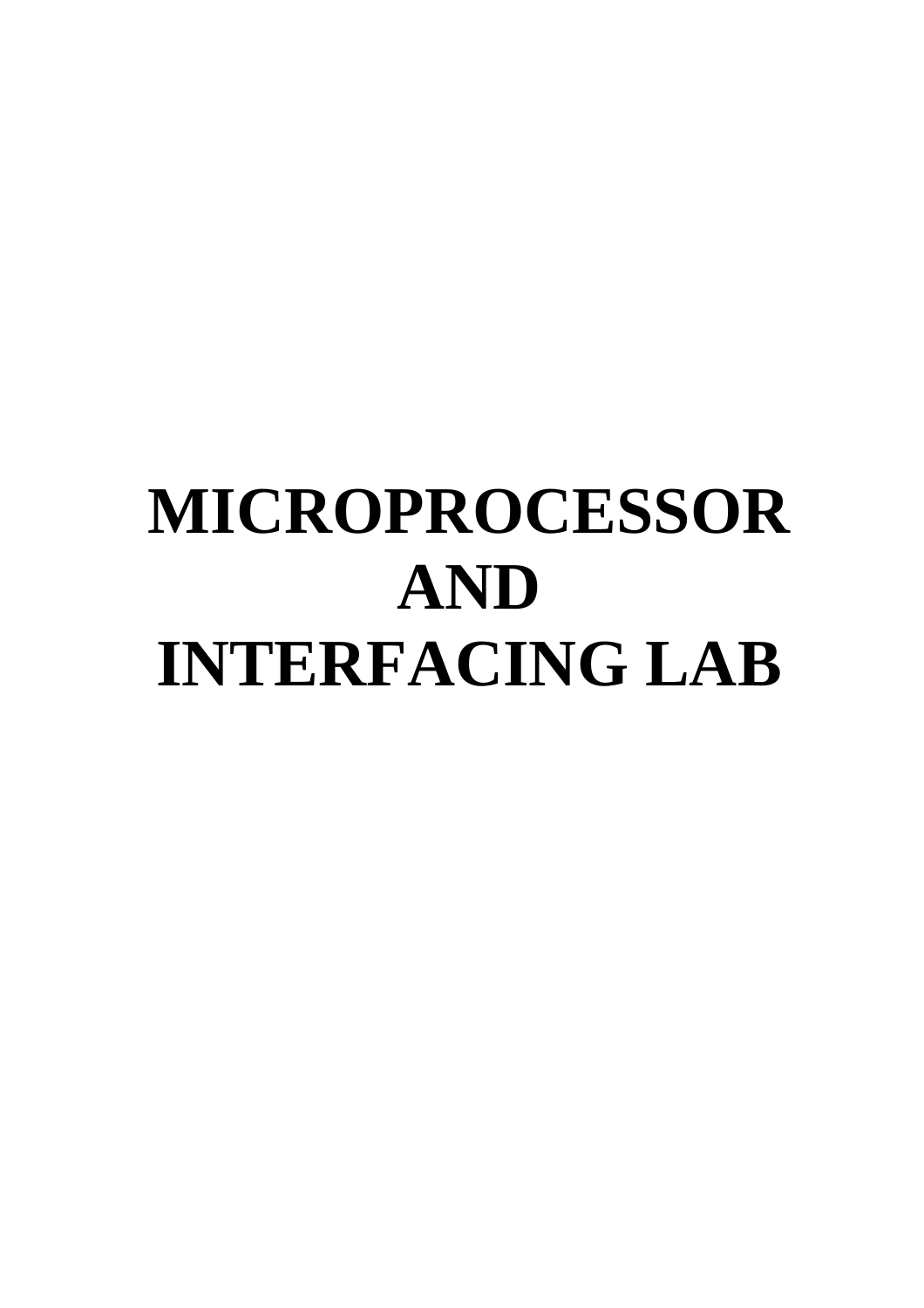# **MICROPROCESSOR AND INTERFACING LAB**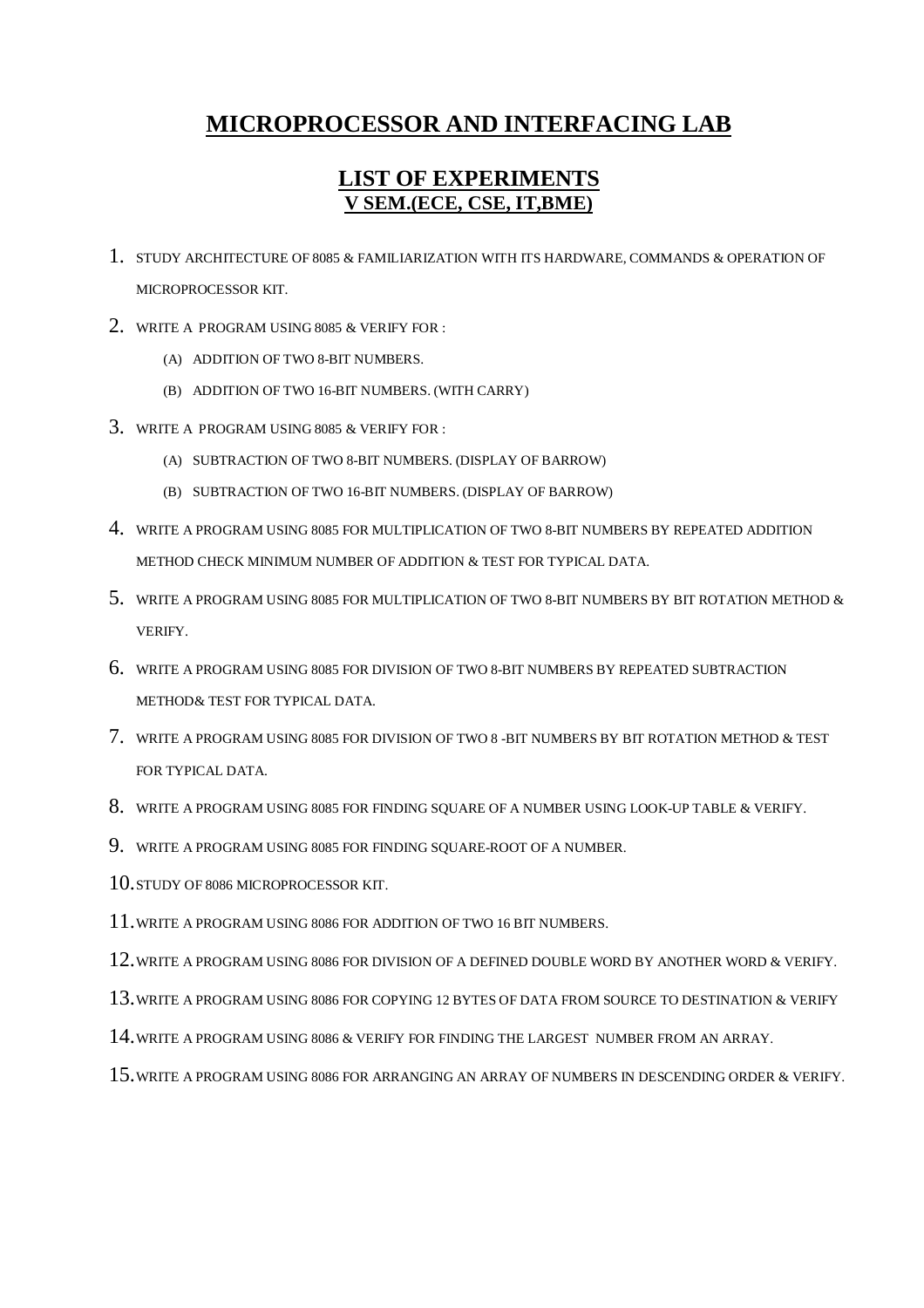# **MICROPROCESSOR AND INTERFACING LAB**

# **LIST OF EXPERIMENTS V SEM.(ECE, CSE, IT,BME)**

- 1. STUDY ARCHITECTURE OF 8085 & FAMILIARIZATION WITH ITS HARDWARE, COMMANDS & OPERATION OF MICROPROCESSOR KIT.
- 2. WRITE A PROGRAM USING 8085 & VERIFY FOR :
	- (A) ADDITION OF TWO 8-BIT NUMBERS.
	- (B) ADDITION OF TWO 16-BIT NUMBERS. (WITH CARRY)
- 3. WRITE A PROGRAM USING 8085 & VERIFY FOR :
	- (A) SUBTRACTION OF TWO 8-BIT NUMBERS. (DISPLAY OF BARROW)
	- (B) SUBTRACTION OF TWO 16-BIT NUMBERS. (DISPLAY OF BARROW)
- 4. WRITE A PROGRAM USING 8085 FOR MULTIPLICATION OF TWO 8-BIT NUMBERS BY REPEATED ADDITION METHOD CHECK MINIMUM NUMBER OF ADDITION & TEST FOR TYPICAL DATA.
- 5. WRITE A PROGRAM USING 8085 FOR MULTIPLICATION OF TWO 8-BIT NUMBERS BY BIT ROTATION METHOD & VERIFY.
- 6. WRITE A PROGRAM USING 8085 FOR DIVISION OF TWO 8-BIT NUMBERS BY REPEATED SUBTRACTION METHOD& TEST FOR TYPICAL DATA.
- 7. WRITE A PROGRAM USING 8085 FOR DIVISION OF TWO 8 -BIT NUMBERS BY BIT ROTATION METHOD & TEST FOR TYPICAL DATA.
- 8. WRITE A PROGRAM USING 8085 FOR FINDING SQUARE OF A NUMBER USING LOOK-UP TABLE & VERIFY.
- 9. WRITE A PROGRAM USING 8085 FOR FINDING SQUARE-ROOT OF A NUMBER.
- 10.STUDY OF 8086 MICROPROCESSOR KIT.
- 11.WRITE A PROGRAM USING 8086 FOR ADDITION OF TWO 16 BIT NUMBERS.
- 12.WRITE A PROGRAM USING 8086 FOR DIVISION OF A DEFINED DOUBLE WORD BY ANOTHER WORD & VERIFY.
- 13.WRITE A PROGRAM USING 8086 FOR COPYING 12 BYTES OF DATA FROM SOURCE TO DESTINATION & VERIFY
- 14.WRITE A PROGRAM USING 8086 & VERIFY FOR FINDING THE LARGEST NUMBER FROM AN ARRAY.
- 15.WRITE A PROGRAM USING 8086 FOR ARRANGING AN ARRAY OF NUMBERS IN DESCENDING ORDER & VERIFY.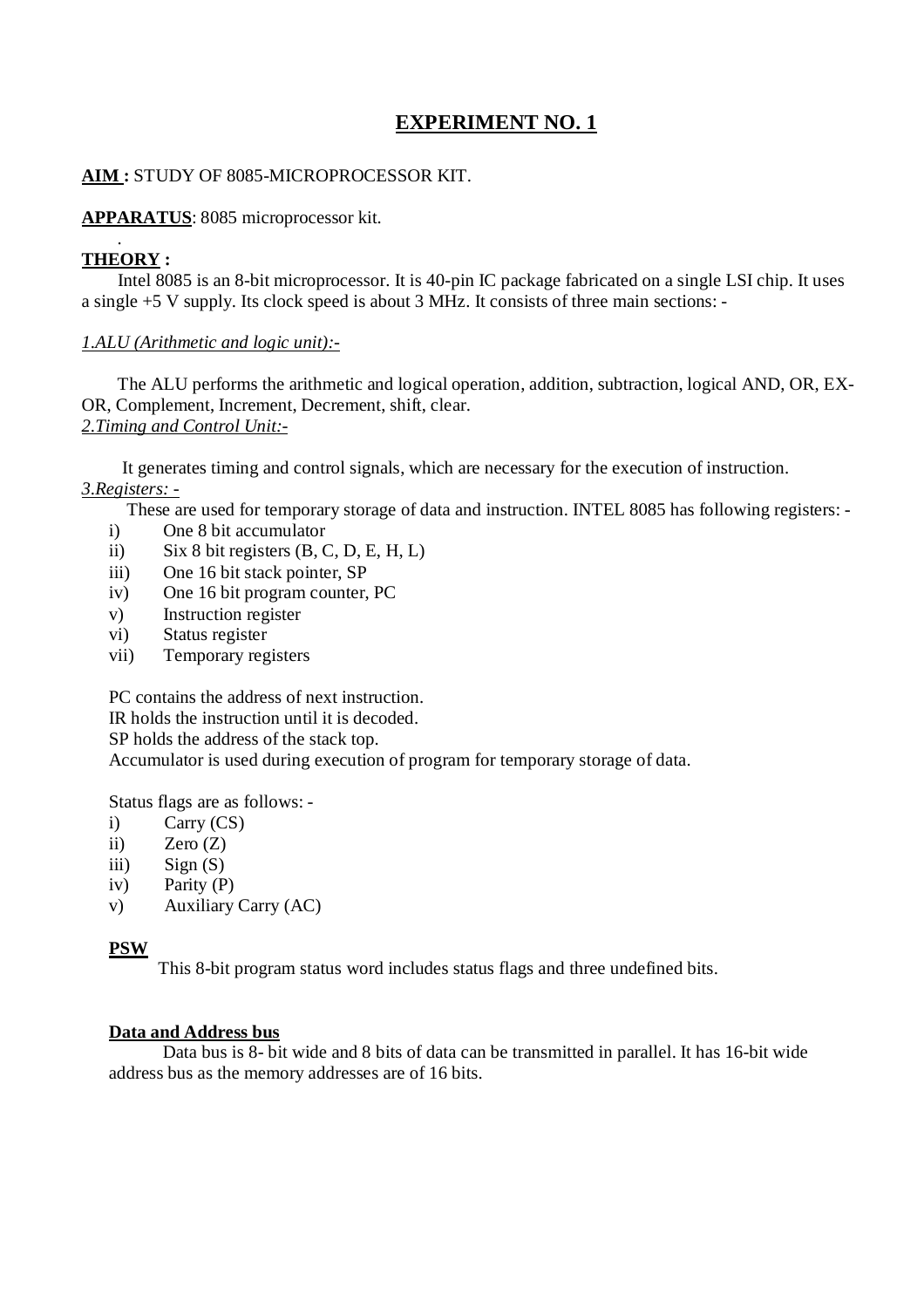# **AIM :** STUDY OF 8085-MICROPROCESSOR KIT.

# **APPARATUS**: 8085 microprocessor kit.

# . **THEORY :**

 Intel 8085 is an 8-bit microprocessor. It is 40-pin IC package fabricated on a single LSI chip. It uses a single +5 V supply. Its clock speed is about 3 MHz. It consists of three main sections: -

# *1.ALU (Arithmetic and logic unit):-*

 The ALU performs the arithmetic and logical operation, addition, subtraction, logical AND, OR, EX-OR, Complement, Increment, Decrement, shift, clear. *2.Timing and Control Unit:-*

 It generates timing and control signals, which are necessary for the execution of instruction. *3.Registers: -*

These are used for temporary storage of data and instruction. INTEL 8085 has following registers: -

- i) One 8 bit accumulator
- ii) Six 8 bit registers  $(B, C, D, E, H, L)$
- iii) One 16 bit stack pointer, SP
- iv) One 16 bit program counter, PC
- v) Instruction register
- vi) Status register
- vii) Temporary registers

PC contains the address of next instruction.

IR holds the instruction until it is decoded.

SP holds the address of the stack top.

Accumulator is used during execution of program for temporary storage of data.

Status flags are as follows: -

- i) Carry (CS)
- ii)  $\text{Zero} (Z)$
- iii)  $Sign(S)$
- iv) Parity (P)
- v) Auxiliary Carry (AC)

# **PSW**

This 8-bit program status word includes status flags and three undefined bits.

# **Data and Address bus**

 Data bus is 8- bit wide and 8 bits of data can be transmitted in parallel. It has 16-bit wide address bus as the memory addresses are of 16 bits.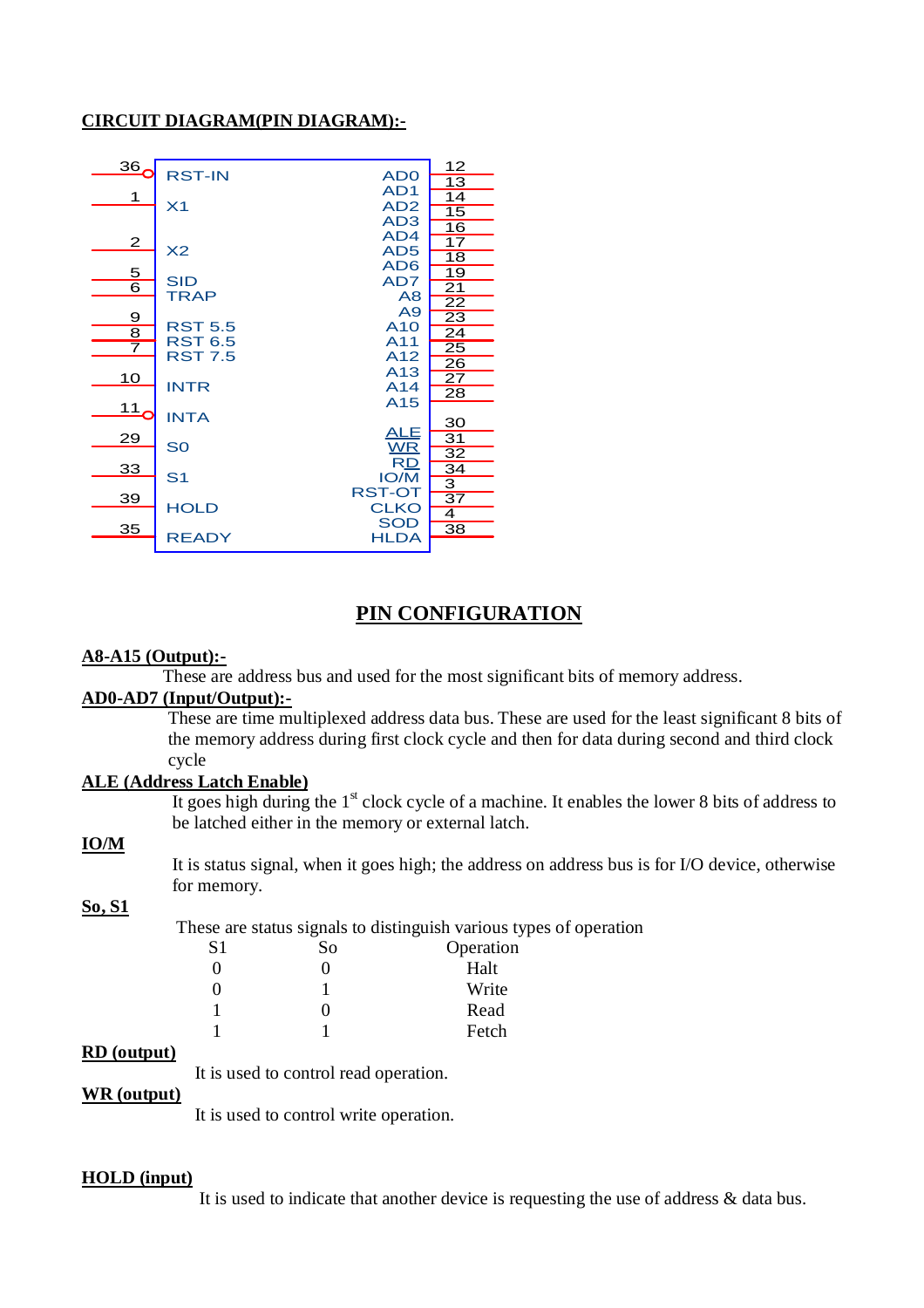# **CIRCUIT DIAGRAM(PIN DIAGRAM):-**

| 36 <sub>6</sub> |                |                              | <u> 12</u>              |
|-----------------|----------------|------------------------------|-------------------------|
|                 | <b>RST-IN</b>  | AD <sub>0</sub><br>AD1       | 13                      |
| 1               | X <sub>1</sub> | AD <sub>2</sub>              | 14                      |
|                 |                | AD <sub>3</sub>              | 15                      |
|                 |                | AD4                          | $\overline{16}$         |
| $\mathbf{2}$    | X <sub>2</sub> | AD <sub>5</sub>              | $\overline{17}$         |
|                 |                | AD <sub>6</sub>              | $\overline{18}$         |
| $\frac{5}{6}$   | <b>SID</b>     | AD7                          | 19                      |
|                 | <b>TRAP</b>    | A8                           | $\overline{21}$         |
|                 |                | A9                           | $\overline{22}$         |
| $\frac{9}{8}$   | <b>RST 5.5</b> | A <sub>10</sub>              | $\overline{23}$         |
| $\overline{7}$  | <b>RST 6.5</b> | A11                          | $\overline{24}$<br>25   |
|                 | <b>RST 7.5</b> | A12                          | $\overline{26}$         |
| 10              |                | A13                          | $\overline{27}$         |
|                 | <b>INTR</b>    | A14                          | 28                      |
| $\frac{11}{1}$  |                | A <sub>15</sub>              |                         |
|                 | <b>INTA</b>    |                              | 30                      |
| 29              |                | <u>ALE</u>                   | 31                      |
|                 | S <sub>0</sub> | <b>WR</b>                    | 32                      |
| 33              |                | <b>RD</b>                    | $\overline{34}$         |
|                 | S <sub>1</sub> | <b>IO/M</b>                  | $\overline{\mathbf{3}}$ |
| <u>39</u>       | <b>HOLD</b>    | <b>RST-OT</b><br><b>CLKO</b> | $\overline{37}$         |
|                 |                | <b>SOD</b>                   | $\overline{4}$          |
| 35              | <b>READY</b>   | <b>HLDA</b>                  | $\overline{38}$         |
|                 |                |                              |                         |

# **PIN CONFIGURATION**

# **A8-A15 (Output):-**

These are address bus and used for the most significant bits of memory address.

# **AD0-AD7 (Input/Output):-**

These are time multiplexed address data bus. These are used for the least significant 8 bits of the memory address during first clock cycle and then for data during second and third clock cycle

# **ALE (Address Latch Enable)**

It goes high during the  $1<sup>st</sup>$  clock cycle of a machine. It enables the lower 8 bits of address to be latched either in the memory or external latch.

# **IO/M**

It is status signal, when it goes high; the address on address bus is for I/O device, otherwise for memory.

# **So, S1**

These are status signals to distinguish various types of operation<br>S1 So Operation

| S1 | So | Operation |
|----|----|-----------|
|    |    | Halt      |
|    |    | Write     |
|    |    | Read      |
|    |    | Fetch     |
|    |    |           |

# **RD (output)**

It is used to control read operation.

# **WR (output)**

It is used to control write operation.

# **HOLD (input)**

It is used to indicate that another device is requesting the use of address & data bus.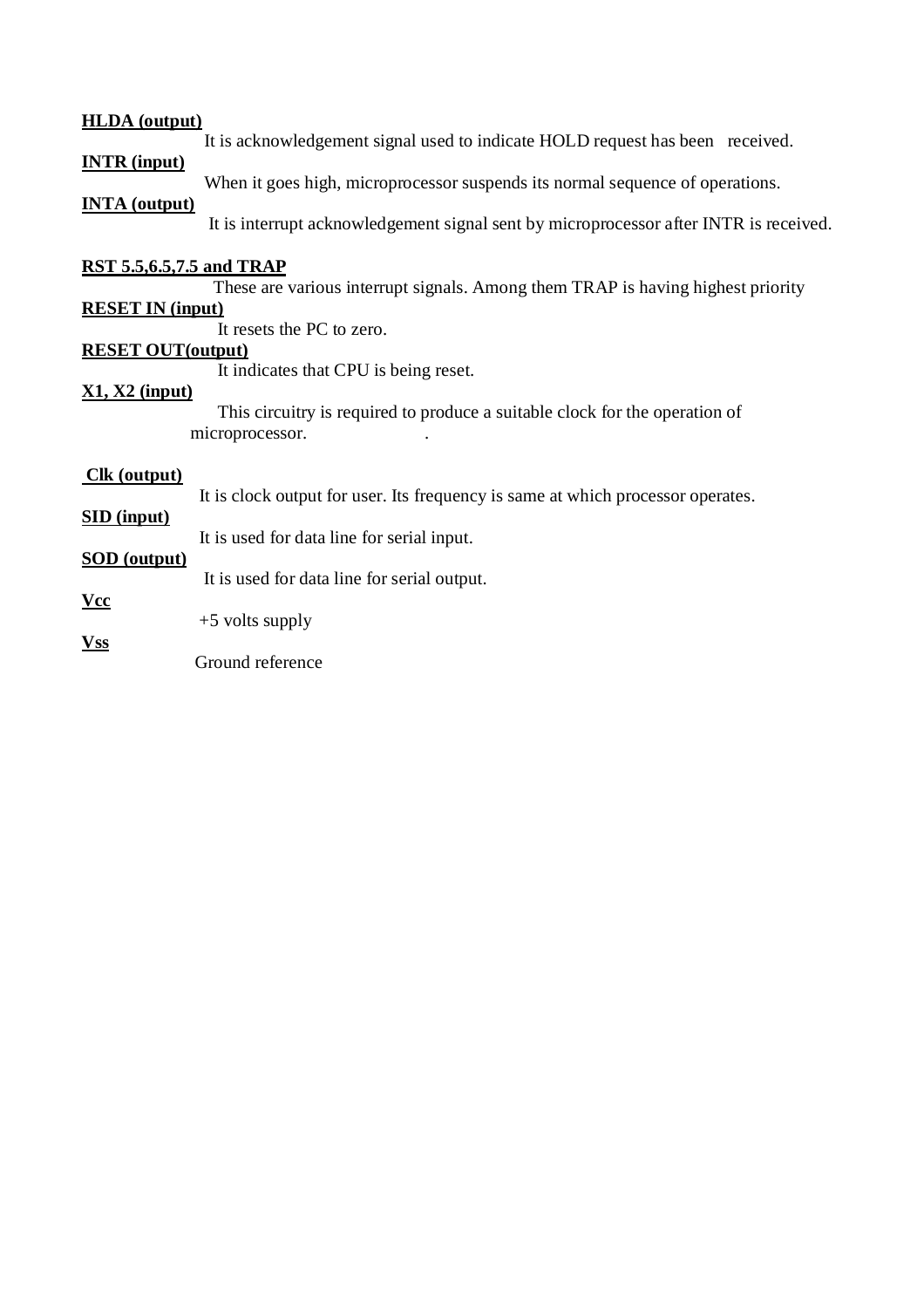# **HLDA (output)**

It is acknowledgement signal used to indicate HOLD request has been received.

# **INTR (input)**

When it goes high, microprocessor suspends its normal sequence of operations.

# **INTA (output)**

It is interrupt acknowledgement signal sent by microprocessor after INTR is received.

# **RST 5.5,6.5,7.5 and TRAP**

These are various interrupt signals. Among them TRAP is having highest priority

# **RESET IN (input)**

It resets the PC to zero.

# **RESET OUT(output)**

It indicates that CPU is being reset.

# **X1, X2 (input)**

This circuitry is required to produce a suitable clock for the operation of microprocessor. .

# **Clk (output)**

It is clock output for user. Its frequency is same at which processor operates.

# **SID (input)**

It is used for data line for serial input.

# **SOD (output)**

**Vss**

It is used for data line for serial output.

**Vcc** +5 volts supply

Ground reference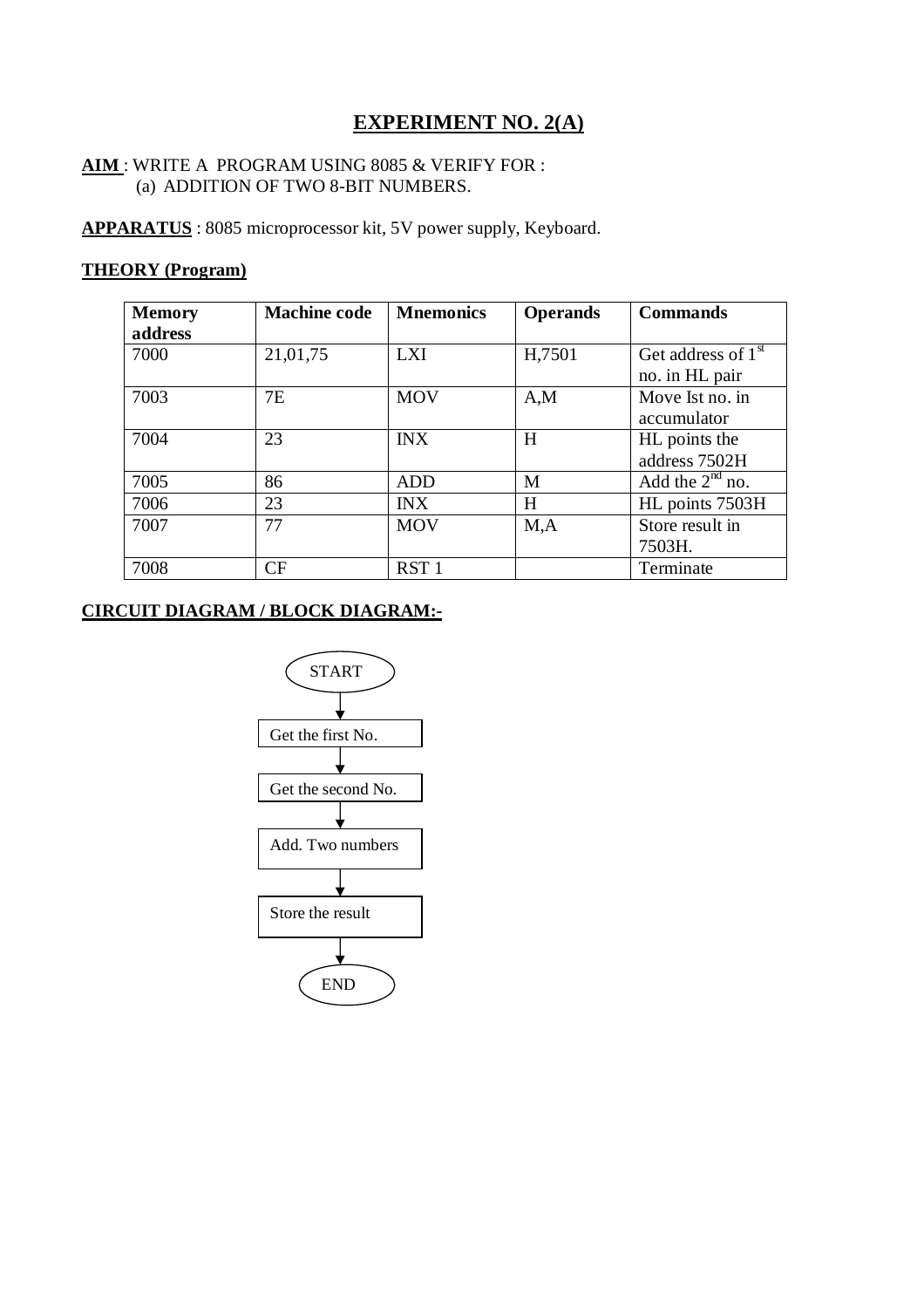# **EXPERIMENT NO. 2(A)**

# **AIM** : WRITE A PROGRAM USING 8085 & VERIFY FOR : (a) ADDITION OF TWO 8-BIT NUMBERS.

**APPARATUS** : 8085 microprocessor kit, 5V power supply, Keyboard.

# **THEORY (Program)**

| <b>Memory</b> | <b>Machine code</b> | <b>Mnemonics</b> | <b>Operands</b> | <b>Commands</b>                |
|---------------|---------------------|------------------|-----------------|--------------------------------|
| address       |                     |                  |                 |                                |
| 7000          | 21,01,75            | <b>LXI</b>       | H,7501          | Get address of 1 <sup>st</sup> |
|               |                     |                  |                 | no. in HL pair                 |
| 7003          | 7E                  | <b>MOV</b>       | A,M             | Move Ist no. in                |
|               |                     |                  |                 | accumulator                    |
| 7004          | 23                  | <b>INX</b>       | H               | HL points the                  |
|               |                     |                  |                 | address 7502H                  |
| 7005          | 86                  | <b>ADD</b>       | M               | Add the $2nd$ no.              |
| 7006          | 23                  | <b>INX</b>       | H               | HL points 7503H                |
| 7007          | 77                  | <b>MOV</b>       | M, A            | Store result in                |
|               |                     |                  |                 | 7503H.                         |
| 7008          | CF                  | RST <sub>1</sub> |                 | Terminate                      |

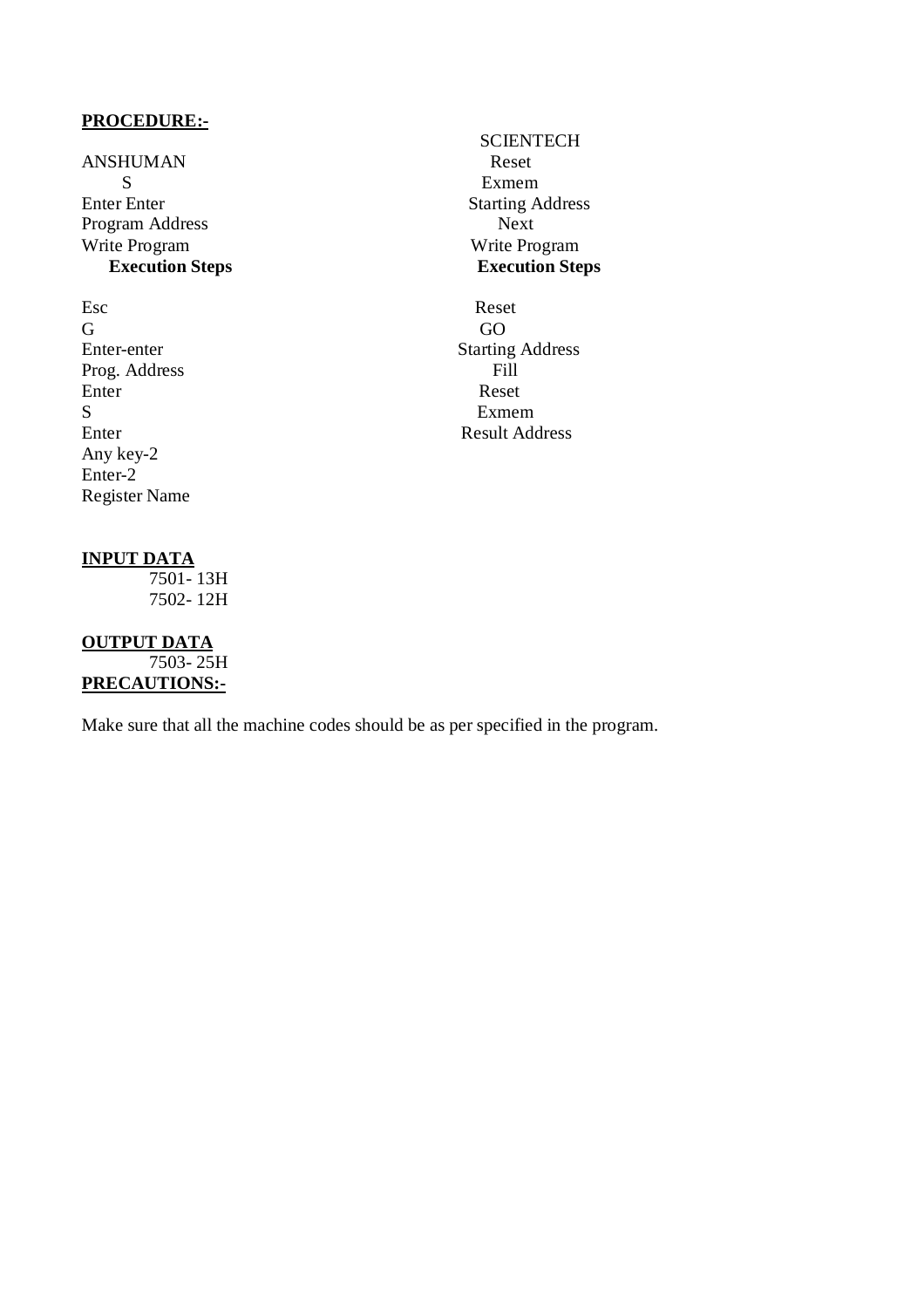ANSHUMAN Reset<br>S S<br>
S<br>
Exmem<br>
Starting A<br>
Starting A Program Address Next Write Program<br> **Execution Steps**<br> **Execution Steps**<br> **Execution Steps Execution Steps Execution Steps**

Esc Reset G GO Prog. Address Fill<br>Enter Reset Enter Reset S Exmem Any key-2 Enter-2 Register Name

# **SCIENTECH Starting Address**

Enter-enter Starting Address<br>Prog. Address Fill Enter Result Address

# **INPUT DATA**

 7501- 13H 7502- 12H

# **OUTPUT DATA**  $7503 - 25H$

**PRECAUTIONS:-**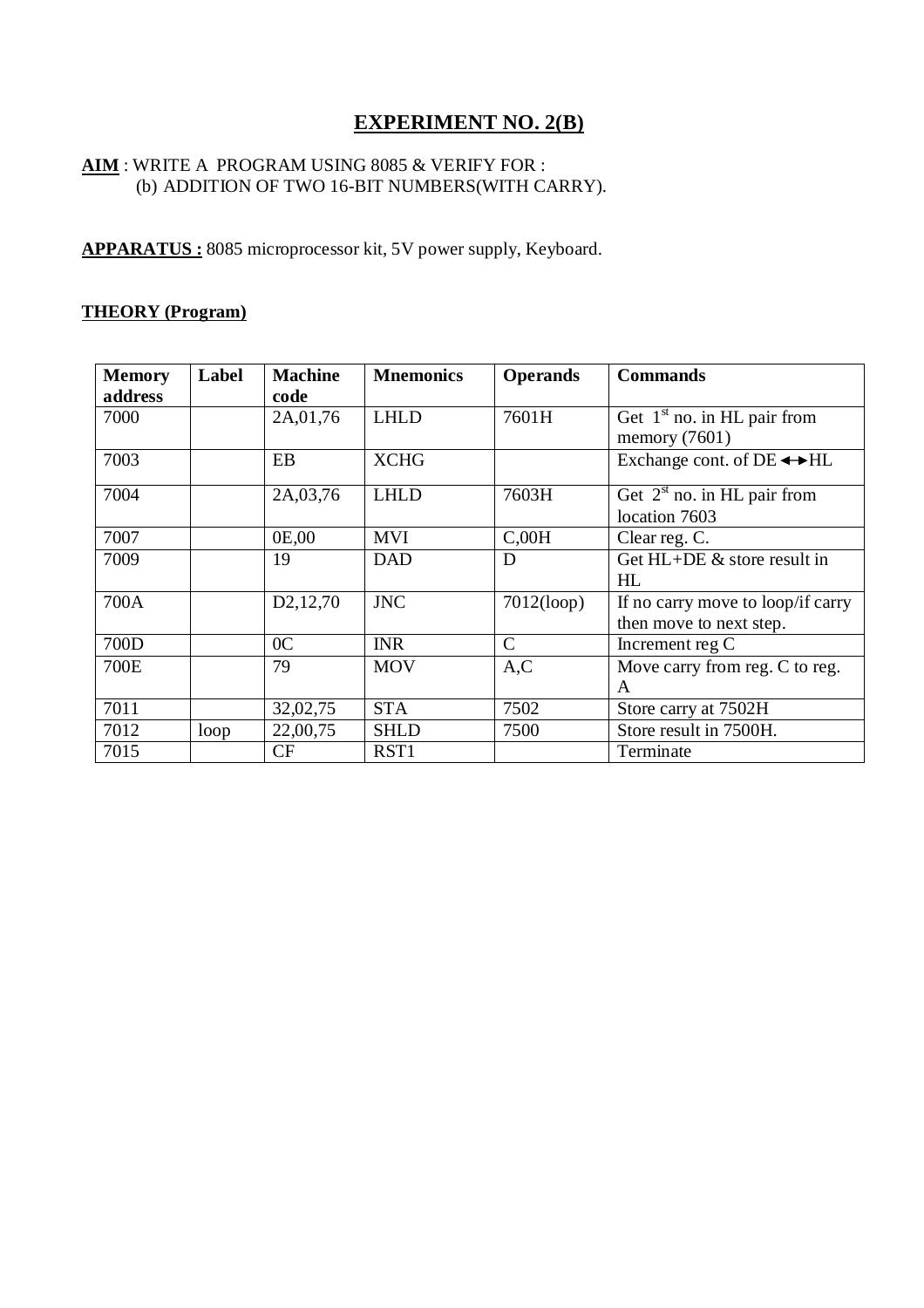# **EXPERIMENT NO. 2(B)**

# **AIM** : WRITE A PROGRAM USING 8085 & VERIFY FOR : (b) ADDITION OF TWO 16-BIT NUMBERS(WITH CARRY).

**APPARATUS :** 8085 microprocessor kit, 5V power supply, Keyboard.

# **THEORY (Program)**

| <b>Memory</b> | Label | <b>Machine</b>          | <b>Mnemonics</b> | <b>Operands</b> | <b>Commands</b>                       |
|---------------|-------|-------------------------|------------------|-----------------|---------------------------------------|
| address       |       | code                    |                  |                 |                                       |
| 7000          |       | 2A,01,76                | <b>LHLD</b>      | 7601H           | Get $1st$ no. in HL pair from         |
|               |       |                         |                  |                 | memory $(7601)$                       |
| 7003          |       | EB                      | <b>XCHG</b>      |                 | Exchange cont. of $DE \rightarrow HL$ |
| 7004          |       | 2A,03,76                | <b>LHLD</b>      | 7603H           | Get $2^{st}$ no. in HL pair from      |
|               |       |                         |                  |                 | location 7603                         |
| 7007          |       | 0E,00                   | <b>MVI</b>       | C,00H           | Clear reg. C.                         |
| 7009          |       | 19                      | <b>DAD</b>       | D               | Get $HL+DE$ & store result in         |
|               |       |                         |                  |                 | HI.                                   |
| 700A          |       | D <sub>2</sub> , 12, 70 | <b>JNC</b>       | 7012(logp)      | If no carry move to loop/if carry     |
|               |       |                         |                  |                 | then move to next step.               |
| 700D          |       | 0 <sup>C</sup>          | <b>INR</b>       | $\mathcal{C}$   | Increment reg C                       |
| 700E          |       | 79                      | <b>MOV</b>       | A, C            | Move carry from reg. C to reg.        |
|               |       |                         |                  |                 | A                                     |
| 7011          |       | 32,02,75                | <b>STA</b>       | 7502            | Store carry at 7502H                  |
| 7012          | loop  | 22,00,75                | <b>SHLD</b>      | 7500            | Store result in 7500H.                |
| 7015          |       | <b>CF</b>               | RST1             |                 | Terminate                             |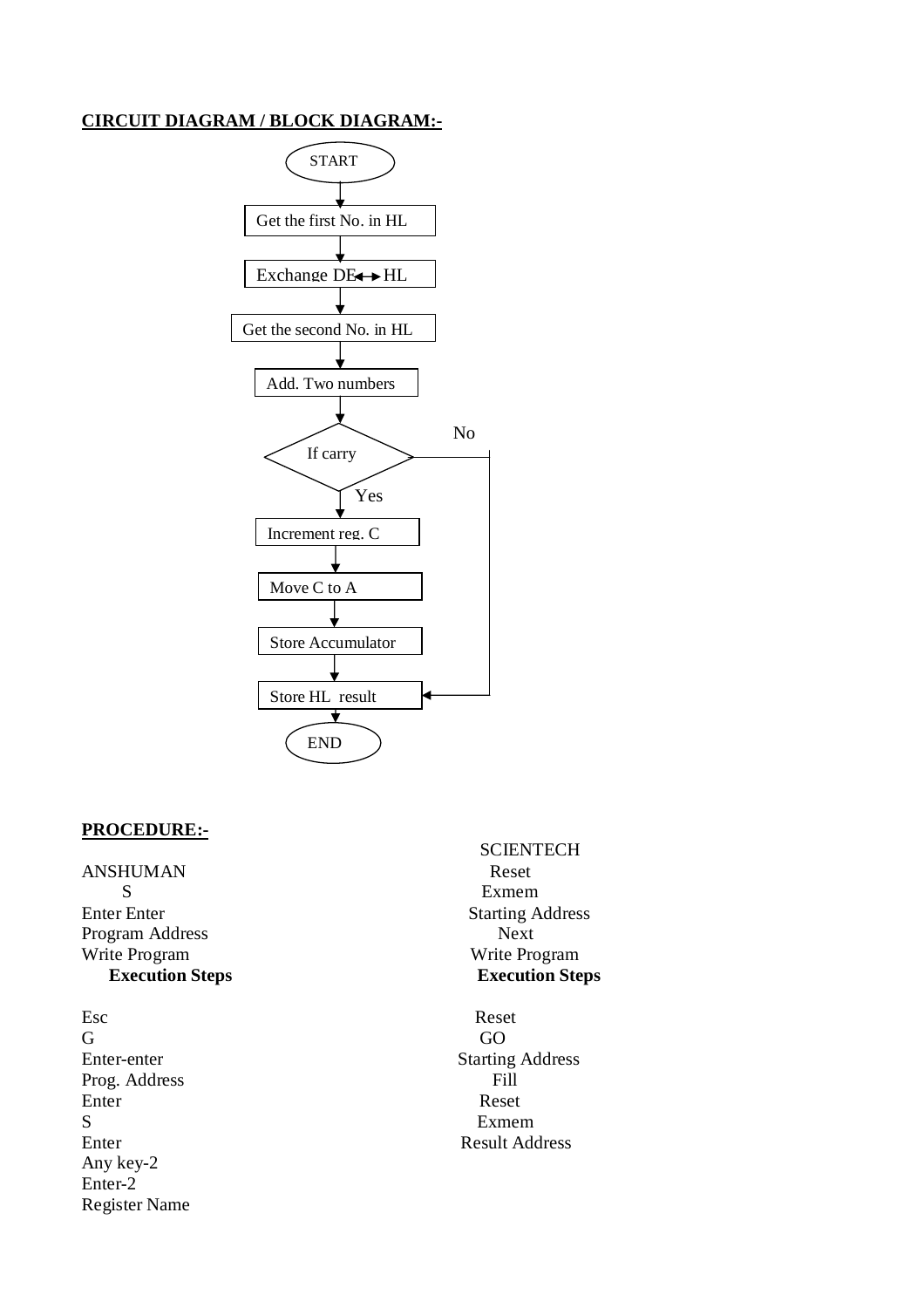# **CIRCUIT DIAGRAM / BLOCK DIAGRAM:-**



# **PROCEDURE:-**

ANSHUMAN Reset S Exmem Enter Enter Starting Address Program Address Next Write Program Write Program

Esc Reset G GO Prog. Address Enter Reset S Exmem Enter Result Address Any key-2 Enter-2 Register Name

**SCIENTECH Execution Steps Execution Steps**

Enter-enter Starting Address<br>Prog. Address Fill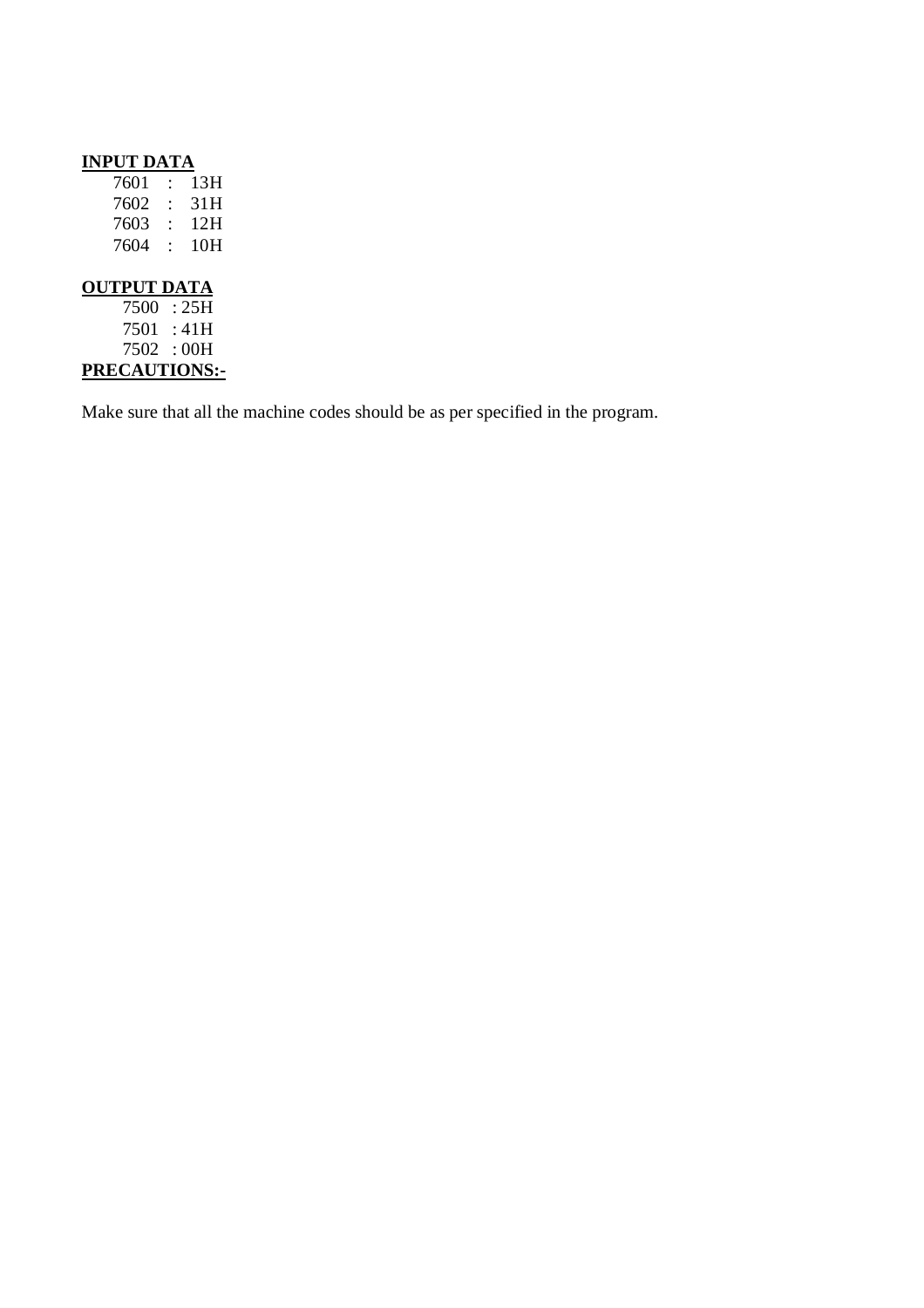| <b>INPUT DATA</b>  |                         |      |
|--------------------|-------------------------|------|
| 7601               | $\ddot{\cdot}$          | 13H  |
| 7602               | $\cdot$ .               | 31H  |
| 7603               | $\mathcal{L}$           | 12H  |
| 7604               | $\langle \cdot \rangle$ | 10H  |
|                    |                         |      |
| <b>OUTPUT DATA</b> |                         |      |
| 7500               |                         | :25H |
| 7501 :41H          |                         |      |
| 7502 : 00H         |                         |      |

**PRECAUTIONS:-**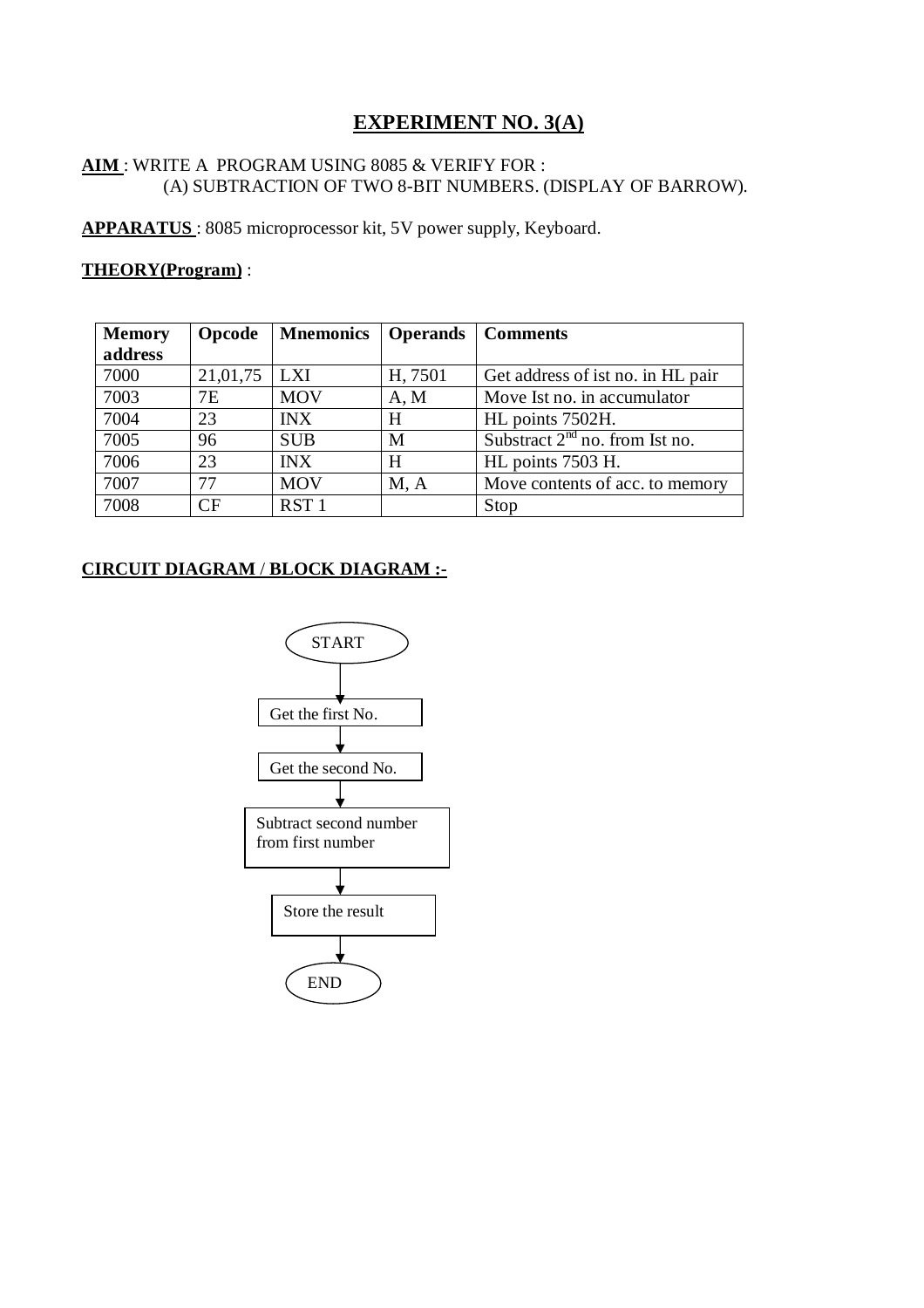# **EXPERIMENT NO. 3(A)**

# **AIM** : WRITE A PROGRAM USING 8085 & VERIFY FOR : (A) SUBTRACTION OF TWO 8-BIT NUMBERS. (DISPLAY OF BARROW).

**APPARATUS** : 8085 microprocessor kit, 5V power supply, Keyboard.

# **THEORY(Program)** :

| <b>Memory</b> | Opcode    | <b>Mnemonics</b> |         | Operands   Comments               |
|---------------|-----------|------------------|---------|-----------------------------------|
| address       |           |                  |         |                                   |
| 7000          | 21,01,75  | <b>LXI</b>       | H, 7501 | Get address of ist no. in HL pair |
| 7003          | 7Ε        | <b>MOV</b>       | A, M    | Move Ist no. in accumulator       |
| 7004          | 23        | <b>INX</b>       | H       | HL points 7502H.                  |
| 7005          | 96        | <b>SUB</b>       | M       | Substract $2nd$ no. from Ist no.  |
| 7006          | 23        | <b>INX</b>       | H       | HL points 7503 H.                 |
| 7007          | 77        | <b>MOV</b>       | M, A    | Move contents of acc. to memory   |
| 7008          | <b>CF</b> | RST <sub>1</sub> |         | Stop                              |

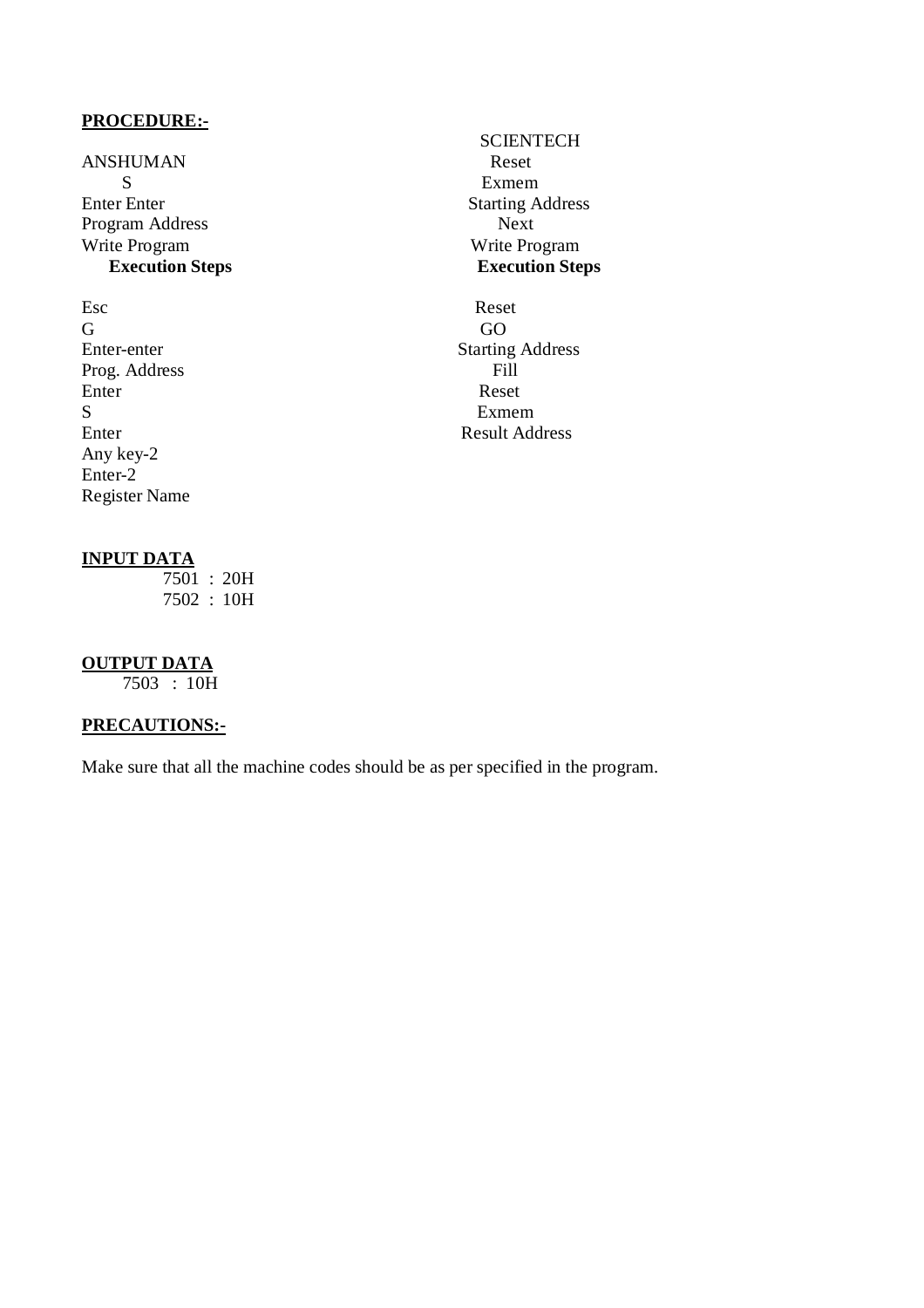ANSHUMAN Reset<br>S S<br>
S<br>
S<br>
Exmem<br>
Starting A<br>
Starting A Program Address Next Write Program Write Program Write Program Write Program Write Program Write Program Neps **Execution Steps Execution Steps**

Esc Reset G GO Prog. Address<br>Enter Enter Reset S Exmem Any key-2 Enter-2 Register Name

# **SCIENTECH Starting Address**

Enter-enter Starting Address<br>Prog. Address Fill Enter Result Address

# **INPUT DATA**

 $\overline{7501}$  : 20H 7502 : 10H

# **OUTPUT DATA**

7503 : 10H

# **PRECAUTIONS:-**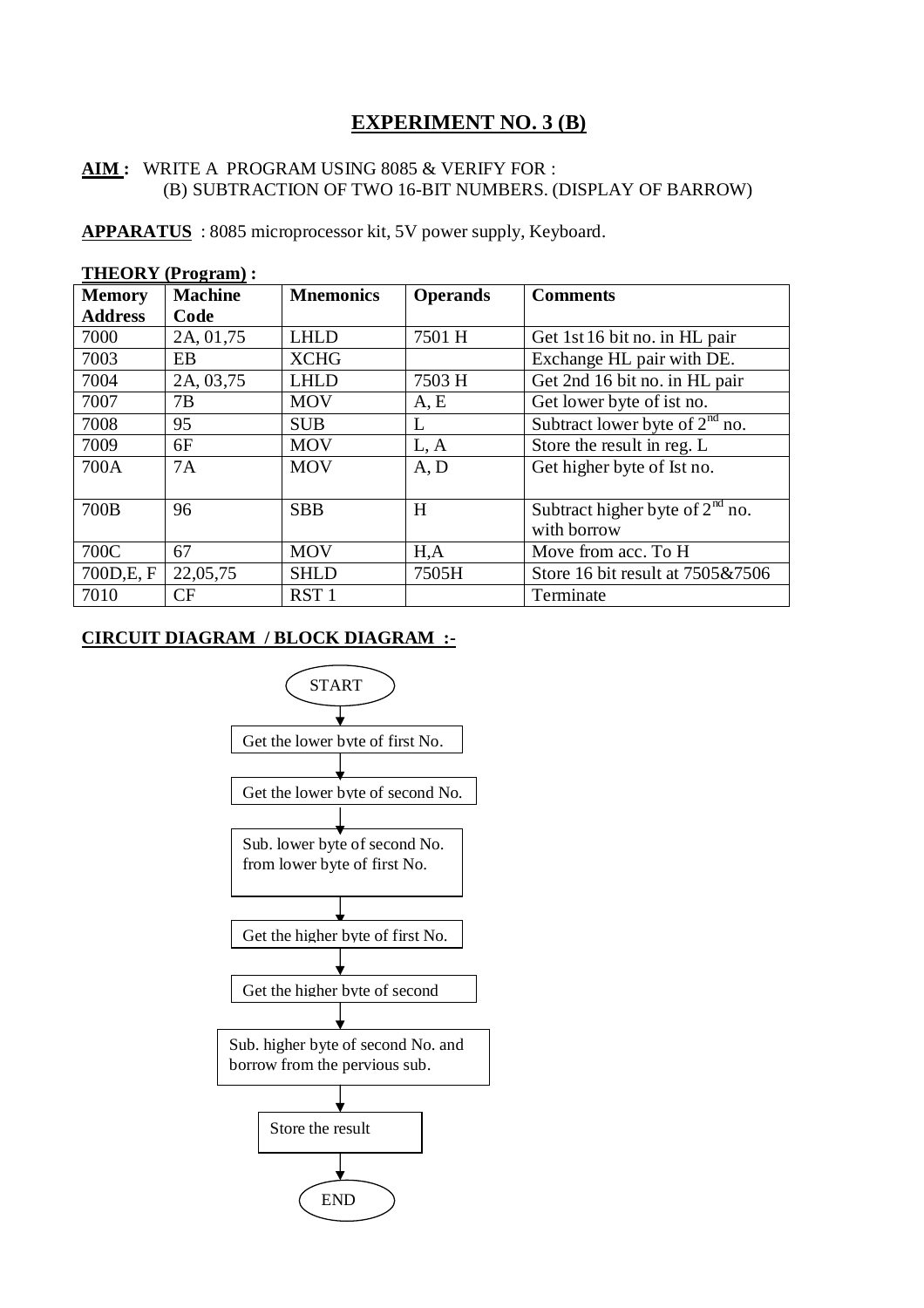# **EXPERIMENT NO. 3 (B)**

# **AIM :** WRITE A PROGRAM USING 8085 & VERIFY FOR : (B) SUBTRACTION OF TWO 16-BIT NUMBERS. (DISPLAY OF BARROW)

**APPARATUS** : 8085 microprocessor kit, 5V power supply, Keyboard.

|                | <b>THEORY</b> (Program): |                  |                 |                                   |  |  |
|----------------|--------------------------|------------------|-----------------|-----------------------------------|--|--|
| <b>Memory</b>  | <b>Machine</b>           | <b>Mnemonics</b> | <b>Operands</b> | <b>Comments</b>                   |  |  |
| <b>Address</b> | Code                     |                  |                 |                                   |  |  |
| 7000           | 2A, 01,75                | <b>LHLD</b>      | 7501 H          | Get 1st 16 bit no. in HL pair     |  |  |
| 7003           | EB                       | <b>XCHG</b>      |                 | Exchange HL pair with DE.         |  |  |
| 7004           | 2A, 03,75                | <b>LHLD</b>      | 7503 H          | Get 2nd 16 bit no. in HL pair     |  |  |
| 7007           | 7B                       | <b>MOV</b>       | A, E            | Get lower byte of ist no.         |  |  |
| 7008           | 95                       | <b>SUB</b>       | L               | Subtract lower byte of $2nd$ no.  |  |  |
| 7009           | 6F                       | <b>MOV</b>       | L, A            | Store the result in reg. L        |  |  |
| 700A           | 7A                       | <b>MOV</b>       | A, D            | Get higher byte of Ist no.        |  |  |
|                |                          |                  |                 |                                   |  |  |
| 700B           | 96                       | <b>SBB</b>       | H               | Subtract higher byte of $2nd$ no. |  |  |
|                |                          |                  |                 | with borrow                       |  |  |
| 700C           | 67                       | <b>MOV</b>       | H, A            | Move from acc. To H               |  |  |
| 700D, E, F     | 22,05,75                 | <b>SHLD</b>      | 7505H           | Store 16 bit result at 7505&7506  |  |  |
| 7010           | CF                       | RST <sub>1</sub> |                 | Terminate                         |  |  |

**CIRCUIT DIAGRAM / BLOCK DIAGRAM :-**

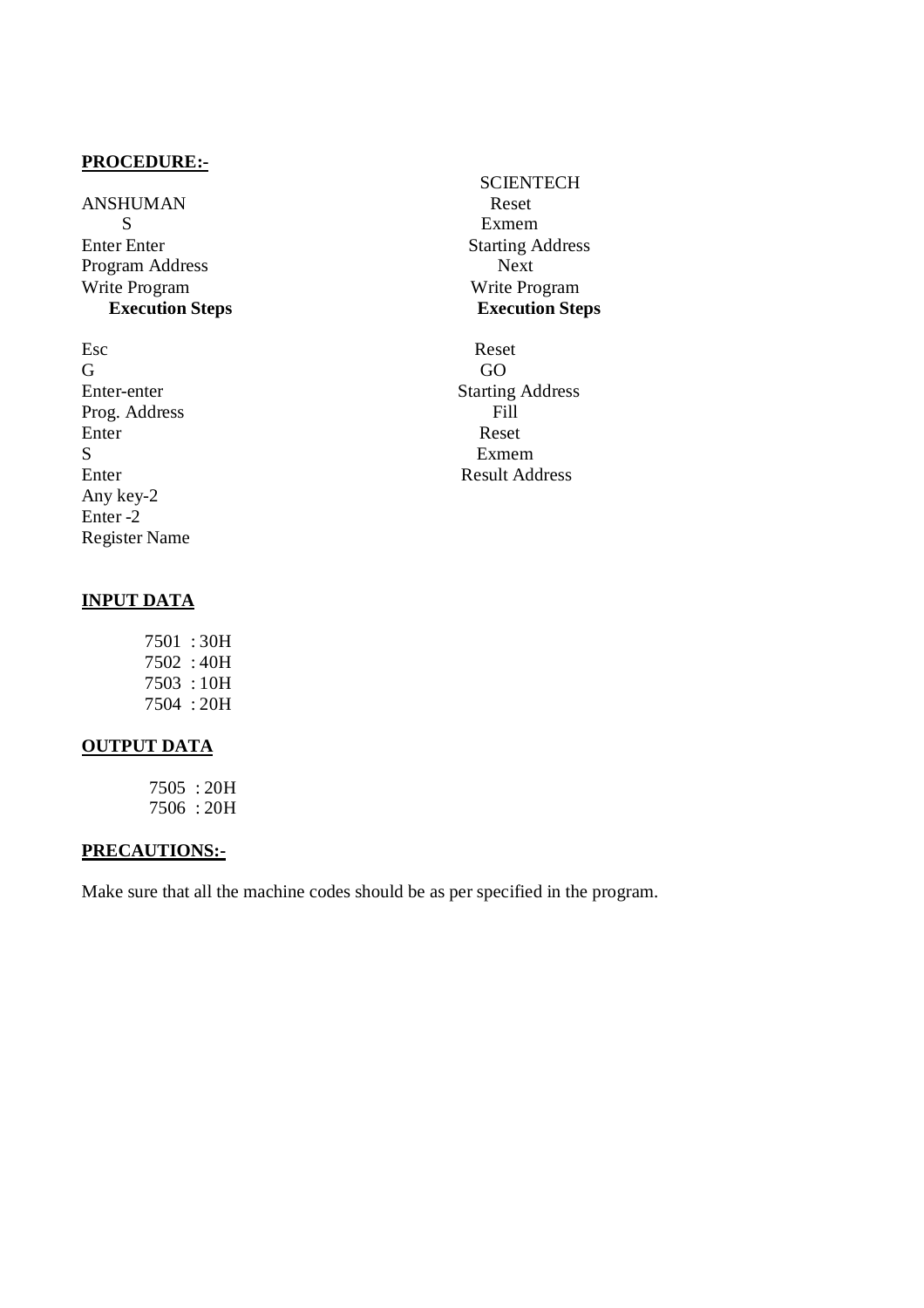ANSHUMAN Reset S Exmem Enter Enter<br>
Program Address<br>
Program Address<br>
Next Program Address Write Program Write Program

Esc Reset G GO Prog. Address Fill Enter Reset S Exmem Any key-2 Enter -2 Register Name

# **SCIENTECH Execution Steps Execution Steps**

Enter-enter Starting Address Enter Result Address

# **INPUT DATA**

 7501 : 30H 7502 : 40H 7503 : 10H 7504 : 20H

# **OUTPUT DATA**

 7505 : 20H 7506 : 20H

# **PRECAUTIONS:-**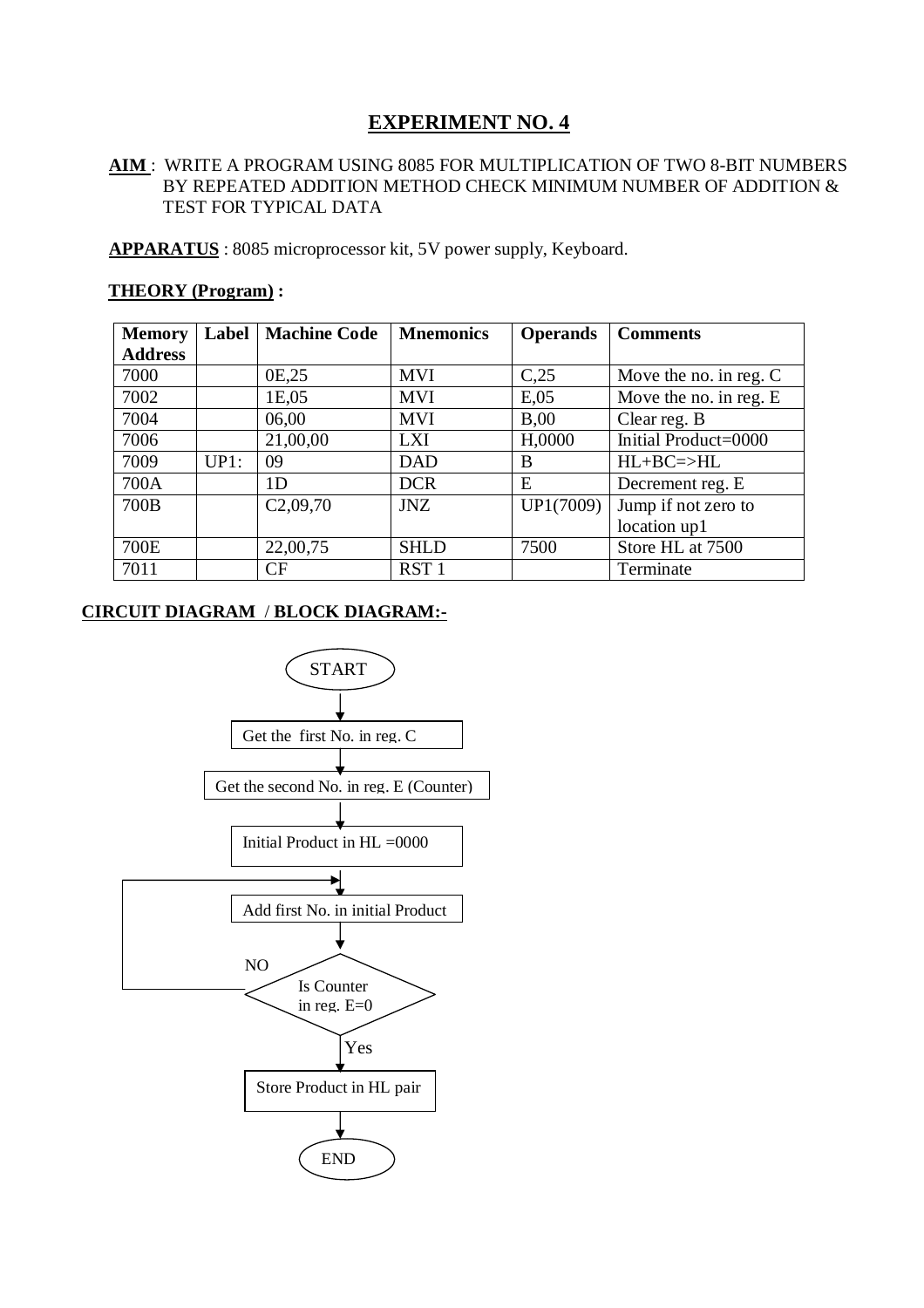# **AIM** : WRITE A PROGRAM USING 8085 FOR MULTIPLICATION OF TWO 8-BIT NUMBERS BY REPEATED ADDITION METHOD CHECK MINIMUM NUMBER OF ADDITION & TEST FOR TYPICAL DATA

**APPARATUS** : 8085 microprocessor kit, 5V power supply, Keyboard.

| <b>Memory</b>  | Label | <b>Machine Code</b> | <b>Mnemonics</b> | <b>Operands</b> | <b>Comments</b>          |
|----------------|-------|---------------------|------------------|-----------------|--------------------------|
| <b>Address</b> |       |                     |                  |                 |                          |
| 7000           |       | 0E,25               | <b>MVI</b>       | C,25            | Move the no. in reg. $C$ |
| 7002           |       | 1E,05               | <b>MVI</b>       | E,05            | Move the no. in reg. E   |
| 7004           |       | 06,00               | <b>MVI</b>       | B,00            | Clear reg. B             |
| 7006           |       | 21,00,00            | <b>LXI</b>       | H,0000          | Initial Product=0000     |
| 7009           | UP1:  | 09                  | <b>DAD</b>       | B               | $HL+BC=\rightarrow HL$   |
| 700A           |       | 1D                  | <b>DCR</b>       | E               | Decrement reg. E         |
| 700B           |       | C2,09,70            | <b>JNZ</b>       | UP1(7009)       | Jump if not zero to      |
|                |       |                     |                  |                 | location up1             |
| 700E           |       | 22,00,75            | <b>SHLD</b>      | 7500            | Store HL at 7500         |
| 7011           |       | CF                  | RST <sub>1</sub> |                 | Terminate                |

# **THEORY (Program) :**

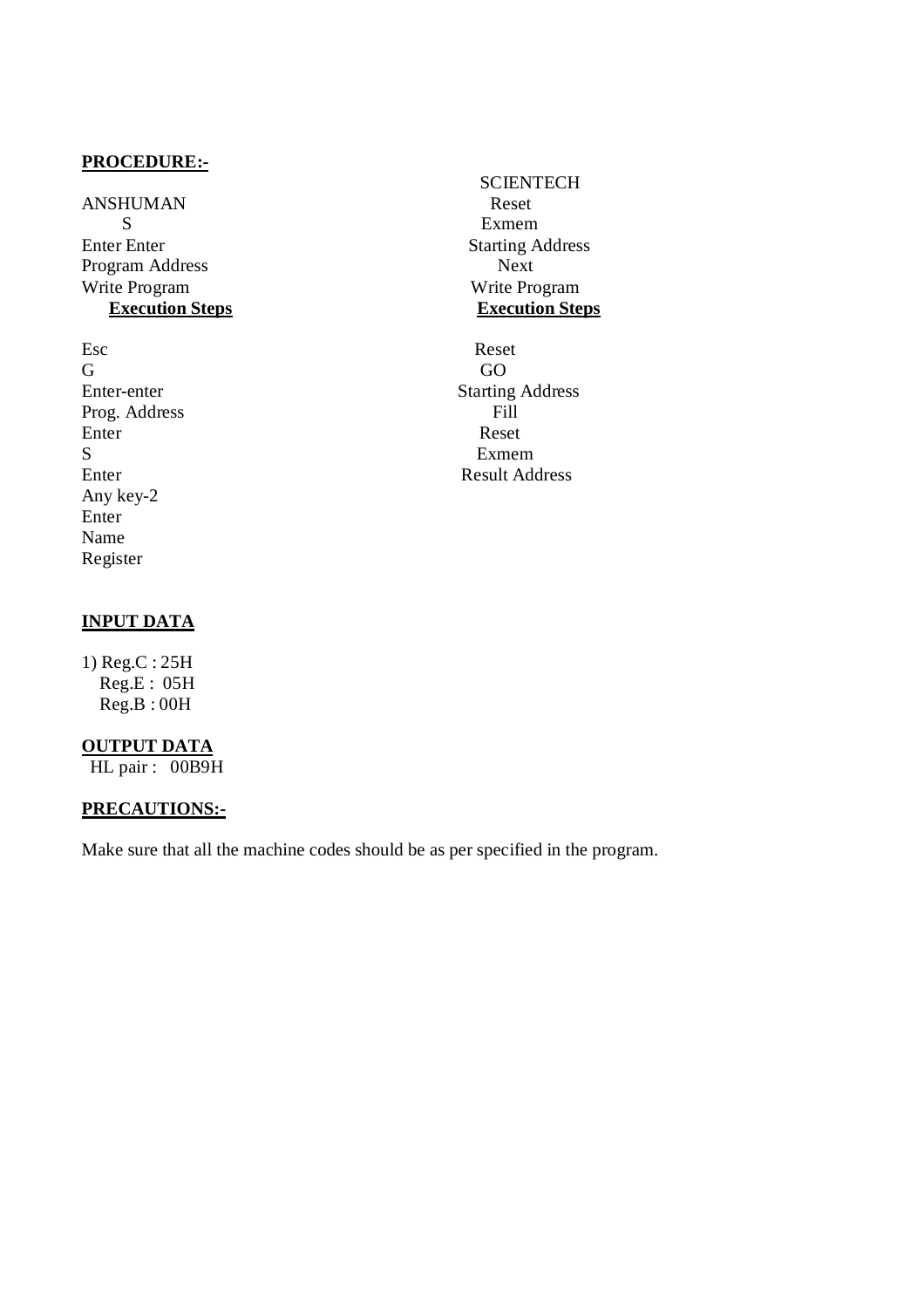ANSHUMAN Reset S Exmem Enter Enter<br>
Program Address<br>
Program Address<br>
Next Program Address Write Program Write Program **Execution Steps** 

Esc Reset G GO Prog. Address Fill Enter Reset S<br>
Exmem<br>
Enter<br>
Result Add Any key-2 Enter Name Register

# **INPUT DATA**

1) Reg.C : 25H Reg.E : 05H Reg.B : 00H

# **OUTPUT DATA**

HL pair : 00B9H

# **PRECAUTIONS:-**

Make sure that all the machine codes should be as per specified in the program.

**SCIENTECH** 

Enter-enter Starting Address Result Address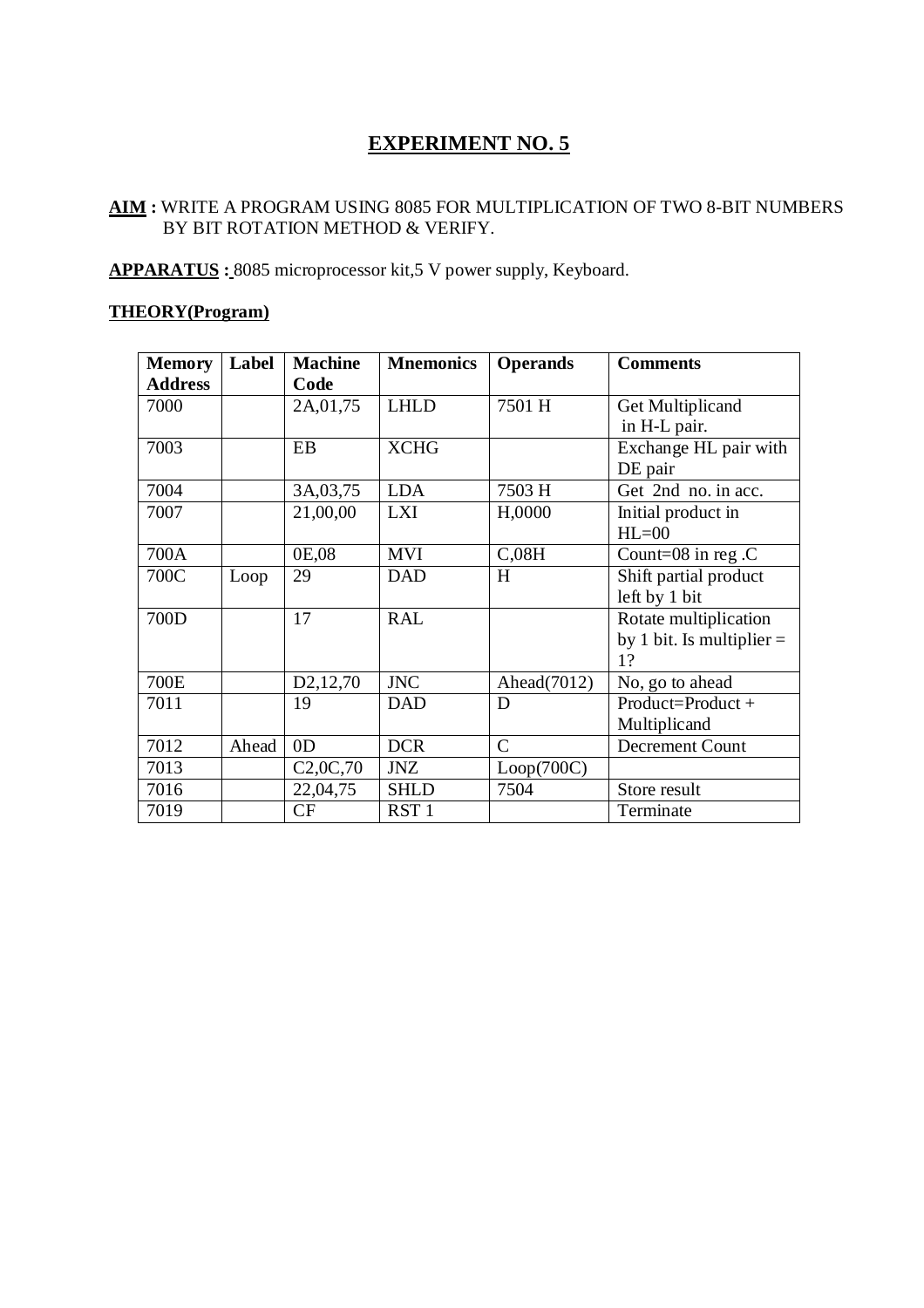# **AIM :** WRITE A PROGRAM USING 8085 FOR MULTIPLICATION OF TWO 8-BIT NUMBERS BY BIT ROTATION METHOD & VERIFY.

**APPARATUS :** 8085 microprocessor kit,5 V power supply, Keyboard.

# **THEORY(Program)**

| <b>Memory</b>  | Label | <b>Machine</b>        | <b>Mnemonics</b> | <b>Operands</b> | <b>Comments</b>             |
|----------------|-------|-----------------------|------------------|-----------------|-----------------------------|
| <b>Address</b> |       | Code                  |                  |                 |                             |
| 7000           |       | 2A, 01, 75            | <b>LHLD</b>      | 7501 H          | Get Multiplicand            |
|                |       |                       |                  |                 | in H-L pair.                |
| 7003           |       | EB                    | <b>XCHG</b>      |                 | Exchange HL pair with       |
|                |       |                       |                  |                 | DE pair                     |
| 7004           |       | 3A, 03, 75            | <b>LDA</b>       | 7503 H          | Get 2nd no. in acc.         |
| 7007           |       | 21,00,00              | <b>LXI</b>       | H,0000          | Initial product in          |
|                |       |                       |                  |                 | $HL=00$                     |
| 700A           |       | 0E,08                 | <b>MVI</b>       | C,08H           | Count=08 in reg.C           |
| 700C           | Loop  | 29                    | <b>DAD</b>       | H               | Shift partial product       |
|                |       |                       |                  |                 | left by 1 bit               |
| 700D           |       | 17                    | <b>RAL</b>       |                 | Rotate multiplication       |
|                |       |                       |                  |                 | by 1 bit. Is multiplier $=$ |
|                |       |                       |                  |                 | 1?                          |
| 700E           |       | D <sub>2</sub> ,12,70 | <b>JNC</b>       | Ahead(7012)     | No, go to ahead             |
| 7011           |       | 19                    | <b>DAD</b>       | D               | Product=Product+            |
|                |       |                       |                  |                 | Multiplicand                |
| 7012           | Ahead | 0 <sub>D</sub>        | <b>DCR</b>       | $\mathsf{C}$    | <b>Decrement Count</b>      |
| 7013           |       | C2,0C,70              | <b>JNZ</b>       | Loop(700C)      |                             |
| 7016           |       | 22,04,75              | <b>SHLD</b>      | 7504            | Store result                |
| 7019           |       | CF                    | RST <sub>1</sub> |                 | Terminate                   |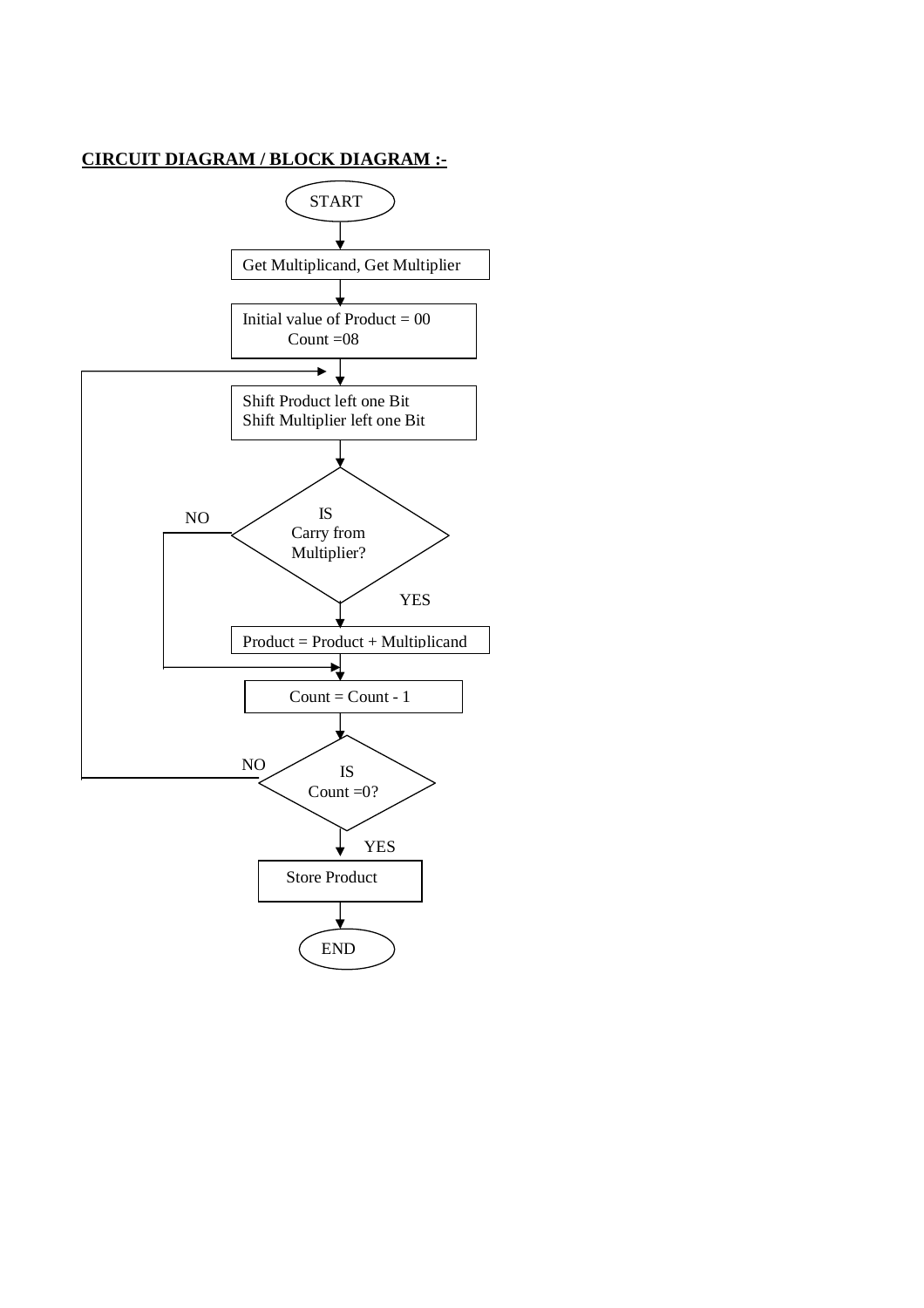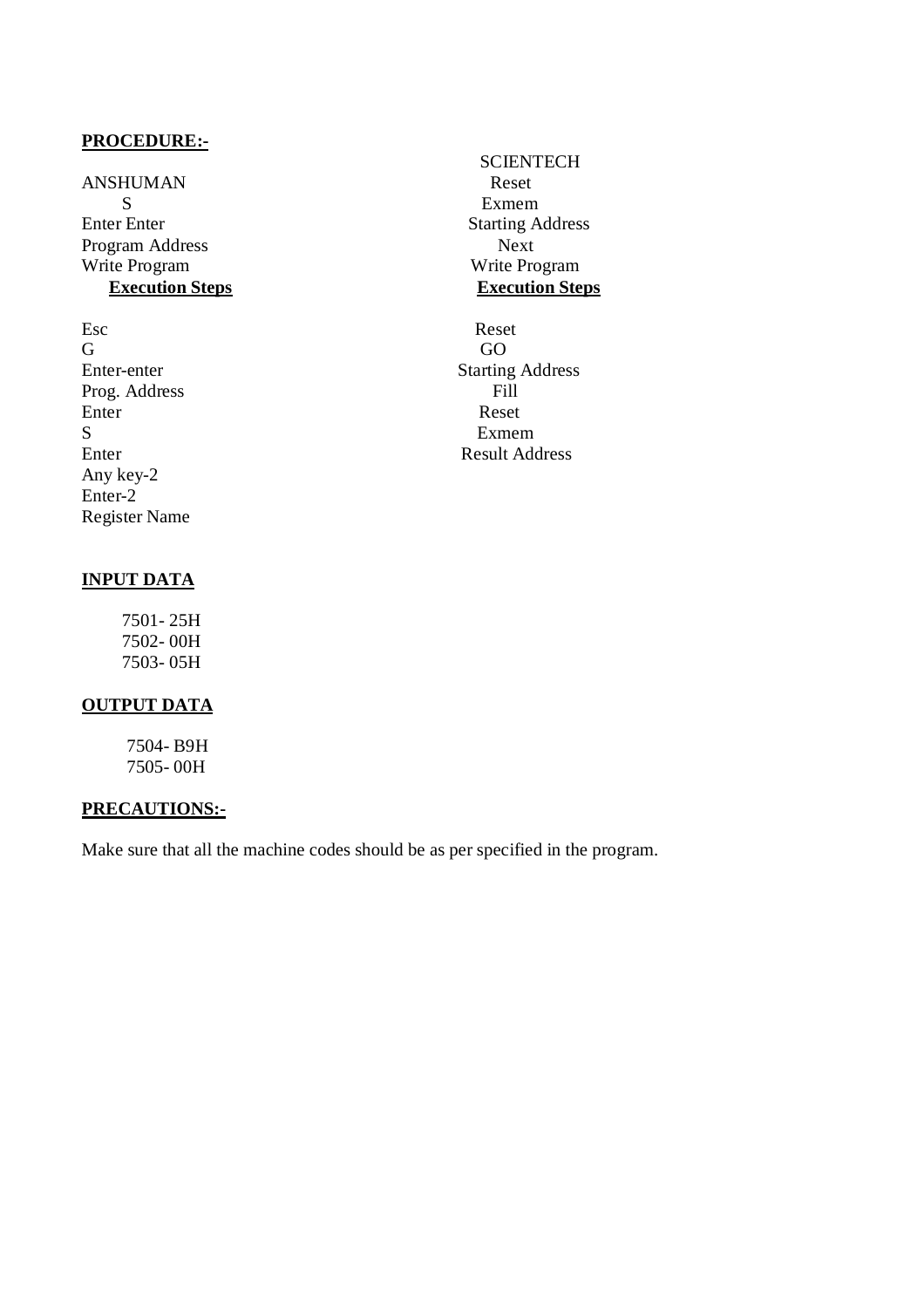ANSHUMAN Reset S Exmem Enter Enter Starting Address Program Address Next<br>Write Program Next<br>Write Program Next

Esc Reset G GO Prog. Address Enter Reset S Exmem Any key-2 Enter-2 Register Name

# **INPUT DATA**

 7501- 25H 7502- 00H 7503- 05H

# **OUTPUT DATA**

 7504- B9H 7505- 00H

# **PRECAUTIONS:-**

Make sure that all the machine codes should be as per specified in the program.

**SCIENTECH** Write Program Write Program **Execution Steps** 

Enter-enter Starting Address<br>Prog. Address Fill Enter Result Address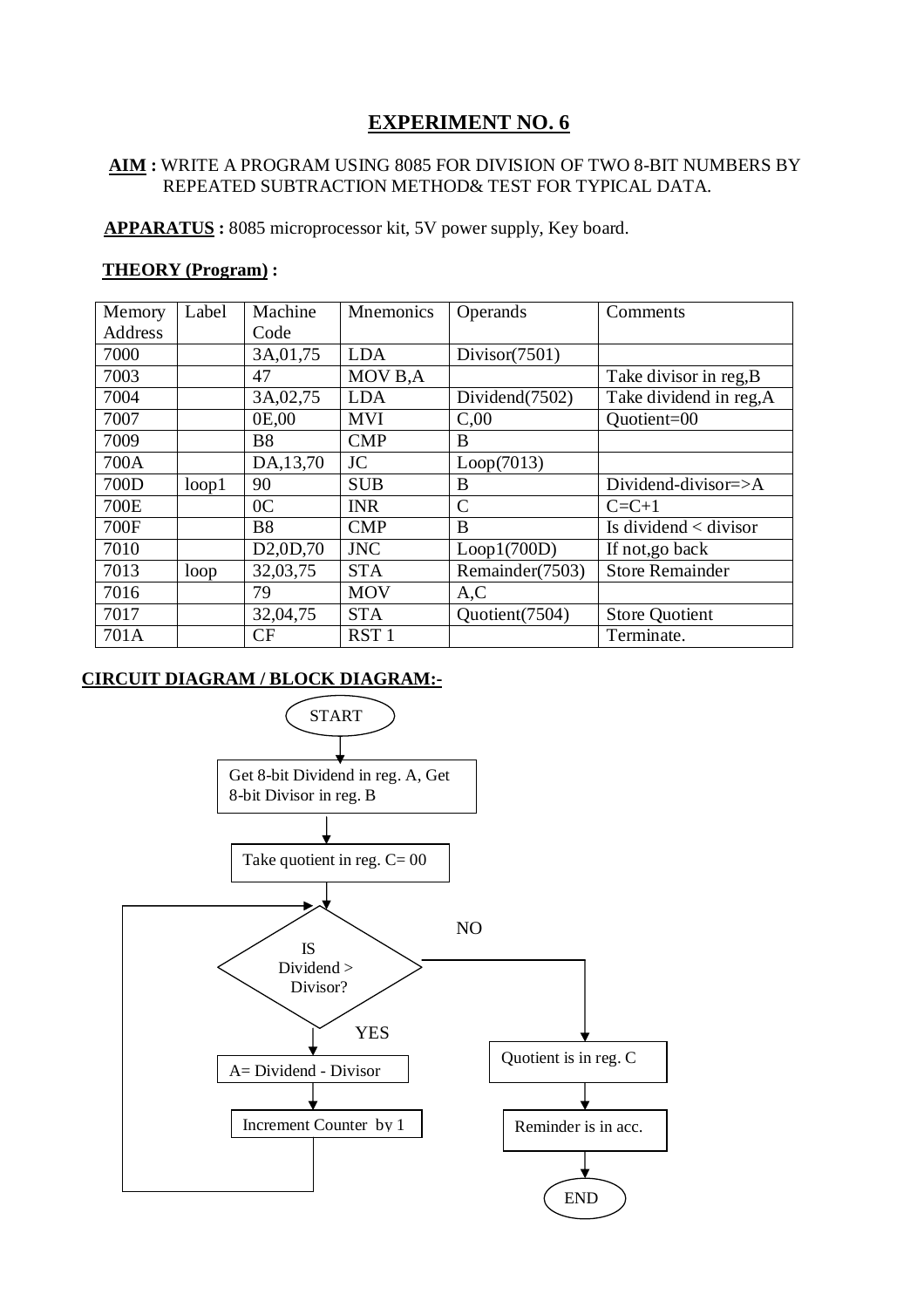# **AIM :** WRITE A PROGRAM USING 8085 FOR DIVISION OF TWO 8-BIT NUMBERS BY REPEATED SUBTRACTION METHOD& TEST FOR TYPICAL DATA.

 **APPARATUS :** 8085 microprocessor kit, 5V power supply, Key board.

# **THEORY (Program) :**

| Memory  | Label | Machine                           | <b>Mnemonics</b> | Operands        | Comments                      |
|---------|-------|-----------------------------------|------------------|-----------------|-------------------------------|
| Address |       | Code                              |                  |                 |                               |
| 7000    |       | 3A, 01, 75                        | <b>LDA</b>       | Divisor(7501)   |                               |
| 7003    |       | 47                                | MOV B,A          |                 | Take divisor in reg, B        |
| 7004    |       | 3A, 02, 75                        | <b>LDA</b>       | Dividend(7502)  | Take dividend in reg, A       |
| 7007    |       | 0E,00                             | <b>MVI</b>       | C <sub>00</sub> | Quotient=00                   |
| 7009    |       | <b>B8</b>                         | <b>CMP</b>       | B               |                               |
| 700A    |       | DA,13,70                          | <b>JC</b>        | Loop(7013)      |                               |
| 700D    | loop1 | 90                                | <b>SUB</b>       | B               | Dividend-divisor=>A           |
| 700E    |       | 0 <sup>C</sup>                    | <b>INR</b>       | $\overline{C}$  | $C = C + 1$                   |
| 700F    |       | <b>B8</b>                         | <b>CMP</b>       | B               | Is dividend $\langle$ divisor |
| 7010    |       | D <sub>2</sub> ,0D <sub>,70</sub> | <b>JNC</b>       | Loop1(700D)     | If not, go back               |
| 7013    | loop  | 32,03,75                          | <b>STA</b>       | Remainder(7503) | <b>Store Remainder</b>        |
| 7016    |       | 79                                | <b>MOV</b>       | A, C            |                               |
| 7017    |       | 32,04,75                          | <b>STA</b>       | Quotient(7504)  | <b>Store Quotient</b>         |
| 701A    |       | CF                                | RST <sub>1</sub> |                 | Terminate.                    |

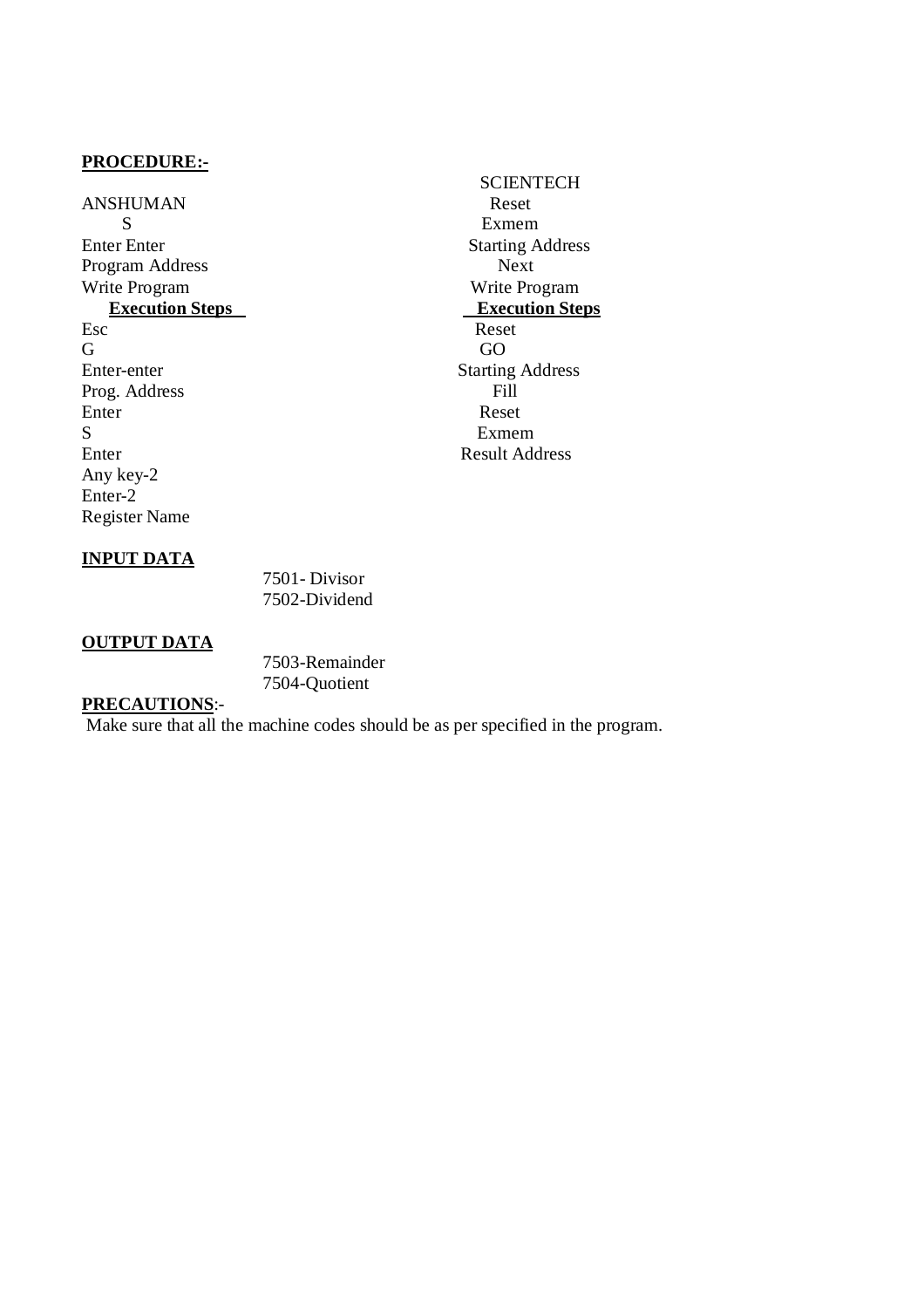ANSHUMAN Reset S Exmem Enter Enter<br>
Program Address<br>
Program Address<br>
Next Program Address Write Program Write Program Write Program Write Program Write Program Write Program New York 2019 Esc Reset G GO Enter-enter Starting Address<br>Prog. Address Fill Prog. Address Enter Reset S Exmem Enter Result Address Any key-2 Enter-2 Register Name

# **SCIENTECH Execution Steps**

# **INPUT DATA**

 7501- Divisor 7502-Dividend

# **OUTPUT DATA**

| 7503-Remainder |
|----------------|
| 7504-Quotient  |

# **PRECAUTIONS**:-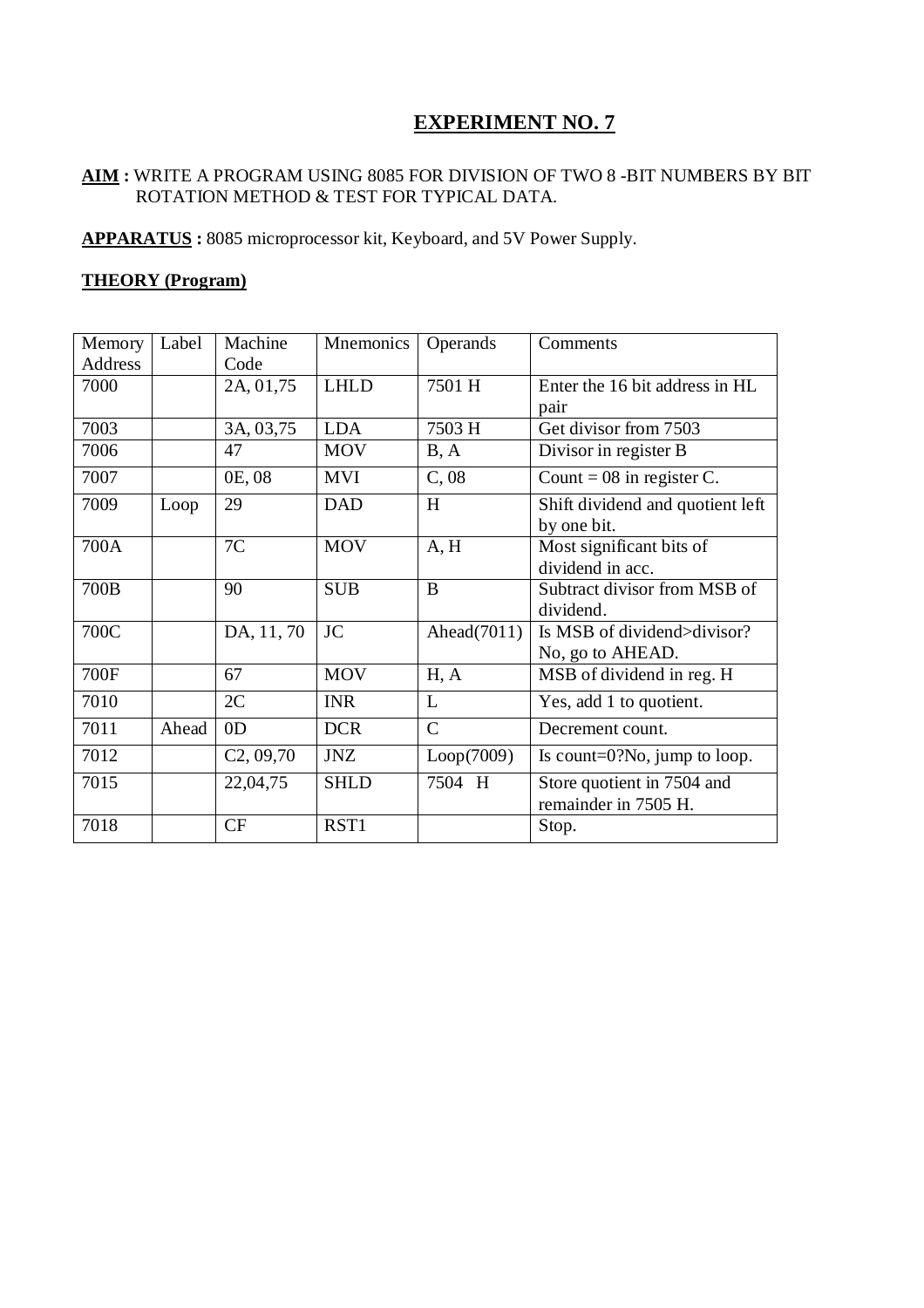# **AIM :** WRITE A PROGRAM USING 8085 FOR DIVISION OF TWO 8 -BIT NUMBERS BY BIT ROTATION METHOD & TEST FOR TYPICAL DATA.

**APPARATUS :** 8085 microprocessor kit, Keyboard, and 5V Power Supply.

# **THEORY (Program)**

| Memory  | Label | Machine        | Mnemonics   | Operands       | Comments                         |
|---------|-------|----------------|-------------|----------------|----------------------------------|
| Address |       | Code           |             |                |                                  |
| 7000    |       | 2A, 01,75      | <b>LHLD</b> | 7501 H         | Enter the 16 bit address in HL   |
|         |       |                |             |                | pair                             |
| 7003    |       | 3A, 03,75      | <b>LDA</b>  | 7503 H         | Get divisor from 7503            |
| 7006    |       | 47             | <b>MOV</b>  | B, A           | Divisor in register B            |
| 7007    |       | 0E, 08         | <b>MVI</b>  | C,08           | Count = $08$ in register C.      |
| 7009    | Loop  | 29             | <b>DAD</b>  | H              | Shift dividend and quotient left |
|         |       |                |             |                | by one bit.                      |
| 700A    |       | 7C             | <b>MOV</b>  | A, H           | Most significant bits of         |
|         |       |                |             |                | dividend in acc.                 |
| 700B    |       | 90             | <b>SUB</b>  | B              | Subtract divisor from MSB of     |
|         |       |                |             |                | dividend.                        |
| 700C    |       | DA, 11, 70     | <b>JC</b>   | Ahead $(7011)$ | Is MSB of dividend>divisor?      |
|         |       |                |             |                | No, go to AHEAD.                 |
| 700F    |       | 67             | <b>MOV</b>  | H, A           | MSB of dividend in reg. H        |
| 7010    |       | 2C             | <b>INR</b>  | L              | Yes, add 1 to quotient.          |
| 7011    | Ahead | 0 <sub>D</sub> | <b>DCR</b>  | $\overline{C}$ | Decrement count.                 |
| 7012    |       | C2, 09, 70     | <b>JNZ</b>  | Loop(7009)     | Is count= $0$ ?No, jump to loop. |
| 7015    |       | 22,04,75       | <b>SHLD</b> | 7504 H         | Store quotient in 7504 and       |
|         |       |                |             |                | remainder in 7505 H.             |
| 7018    |       | CF             | RST1        |                | Stop.                            |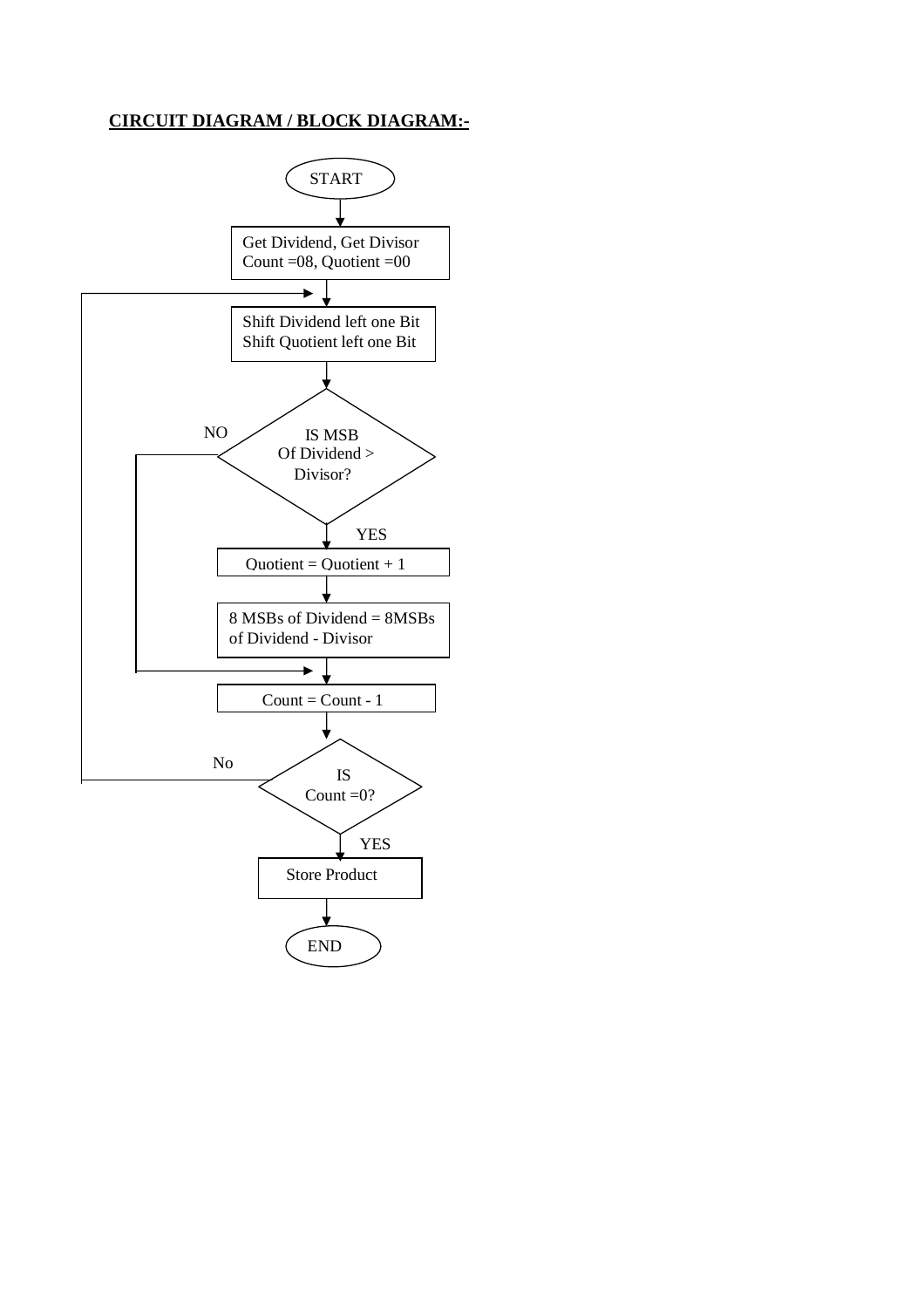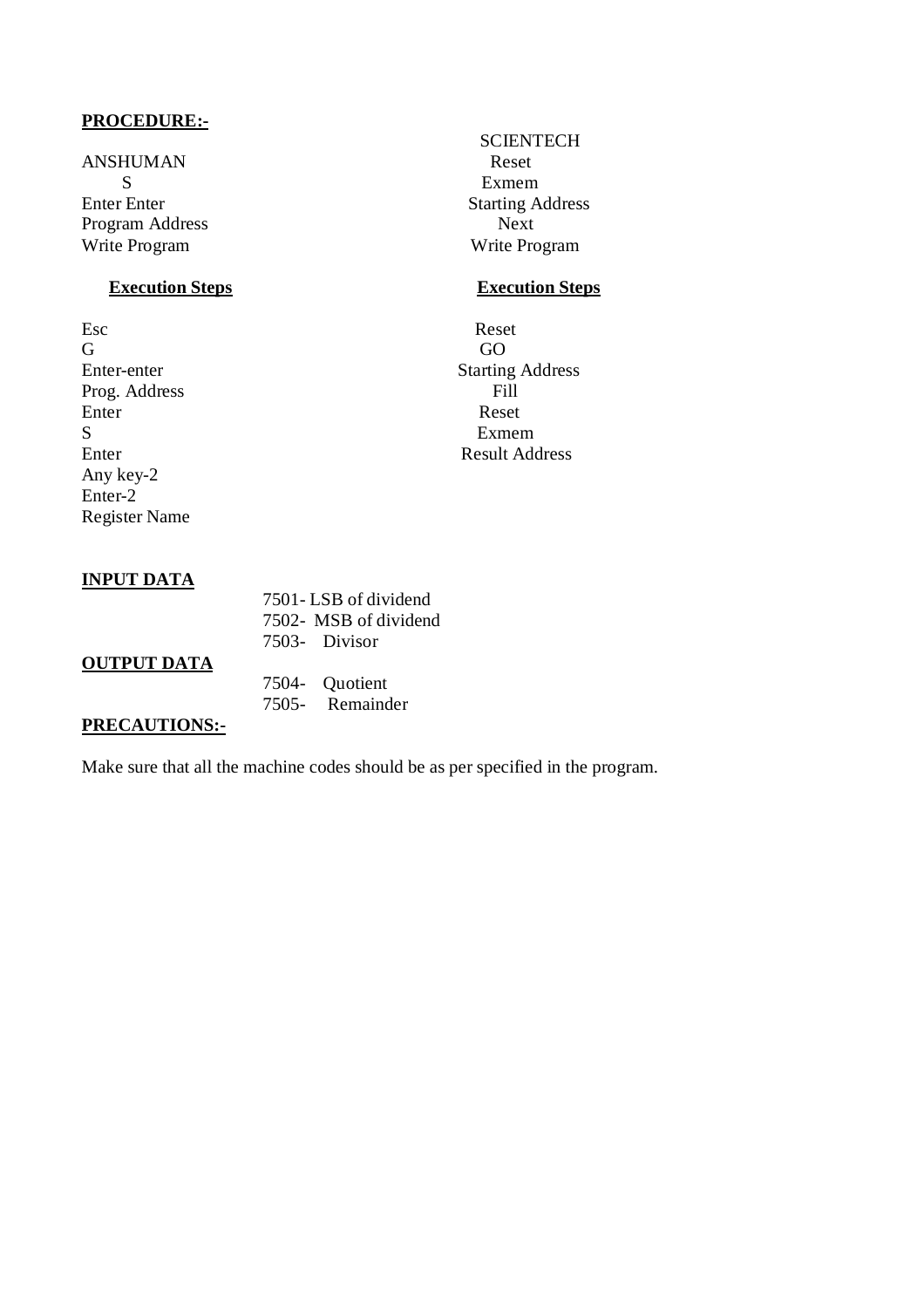ANSHUMAN Reset S Exmem Enter Enter Starting Address Program Address Next Write Program Write Program

# **Execution Steps** Execution Steps

Esc Reset G GO Prog. Address Enter Reset S Exmem Any key-2 Enter-2 Register Name

# **SCIENTECH**

Enter-enter Starting Address<br>Prog. Address Fill Enter Result Address

# **INPUT DATA**

# 7501- LSB of dividend 7502- MSB of dividend 7503- Divisor 7504- Quotient

# **OUTPUT DATA**

7505- Remainder

# **PRECAUTIONS:-**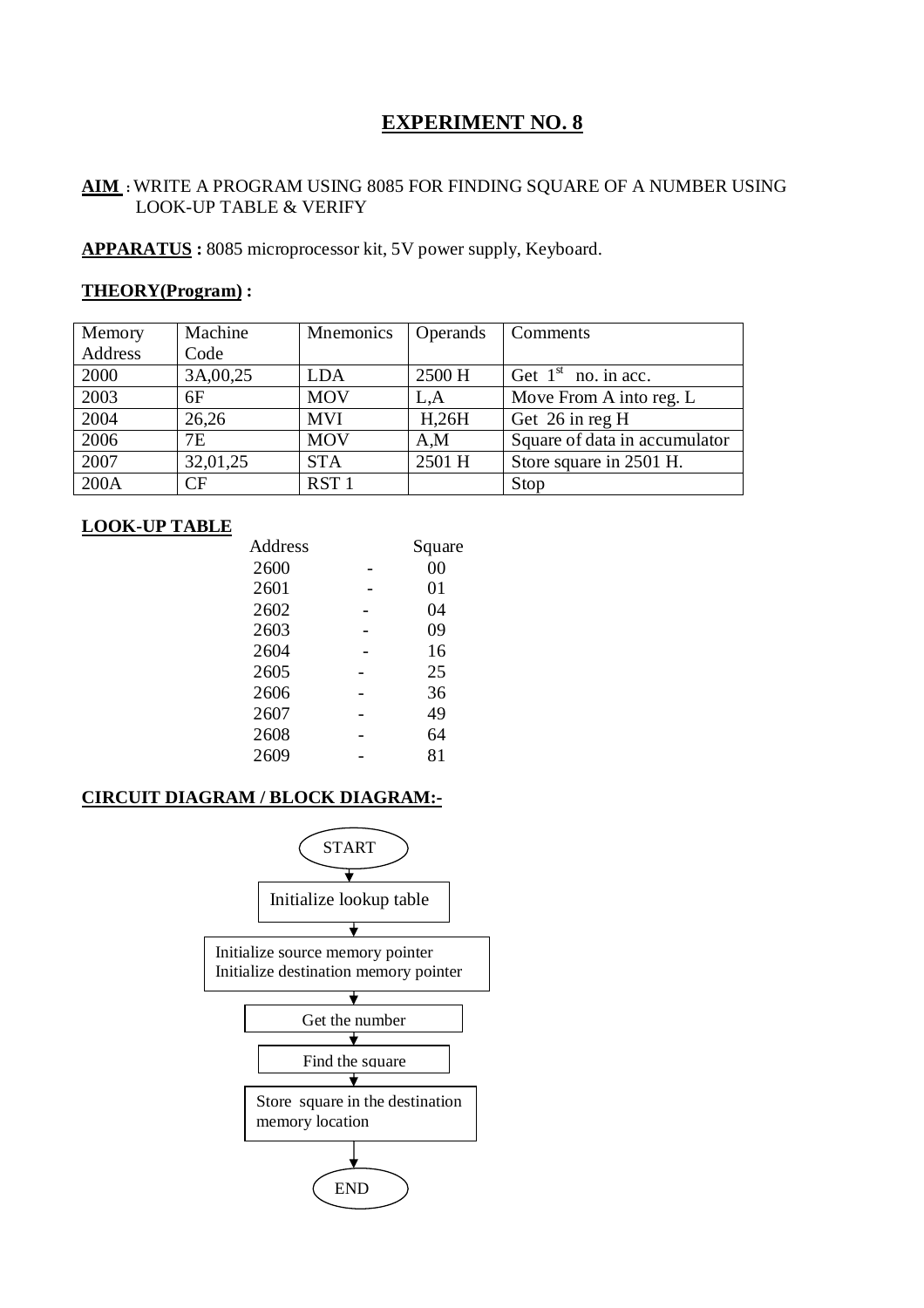# **AIM :** WRITE A PROGRAM USING 8085 FOR FINDING SQUARE OF A NUMBER USING LOOK-UP TABLE & VERIFY

**APPARATUS :** 8085 microprocessor kit, 5V power supply, Keyboard.

# **THEORY(Program) :**

| Memory  | Machine   | <b>Mnemonics</b> | <b>Operands</b>  | Comments                      |
|---------|-----------|------------------|------------------|-------------------------------|
| Address | Code      |                  |                  |                               |
| 2000    | 3A,00,25  | <b>LDA</b>       | 2500 H           | Get $1st$ no. in acc.         |
| 2003    | 6F        | <b>MOV</b>       | L.A              | Move From A into reg. L       |
| 2004    | 26,26     | <b>MVI</b>       | H <sub>26H</sub> | Get 26 in reg H               |
| 2006    | <b>7E</b> | <b>MOV</b>       | A,M              | Square of data in accumulator |
| 2007    | 32,01,25  | <b>STA</b>       | 2501 H           | Store square in 2501 H.       |
| 200A    | CF        | RST <sub>1</sub> |                  | Stop                          |

# **LOOK-UP TABLE**

| Address | Square |
|---------|--------|
| 2600    | 00     |
| 2601    | 01     |
| 2602    | 04     |
| 2603    | 09     |
| 2604    | 16     |
| 2605    | 25     |
| 2606    | 36     |
| 2607    | 49     |
| 2608    | 64     |
| 2609    | 81     |
|         |        |

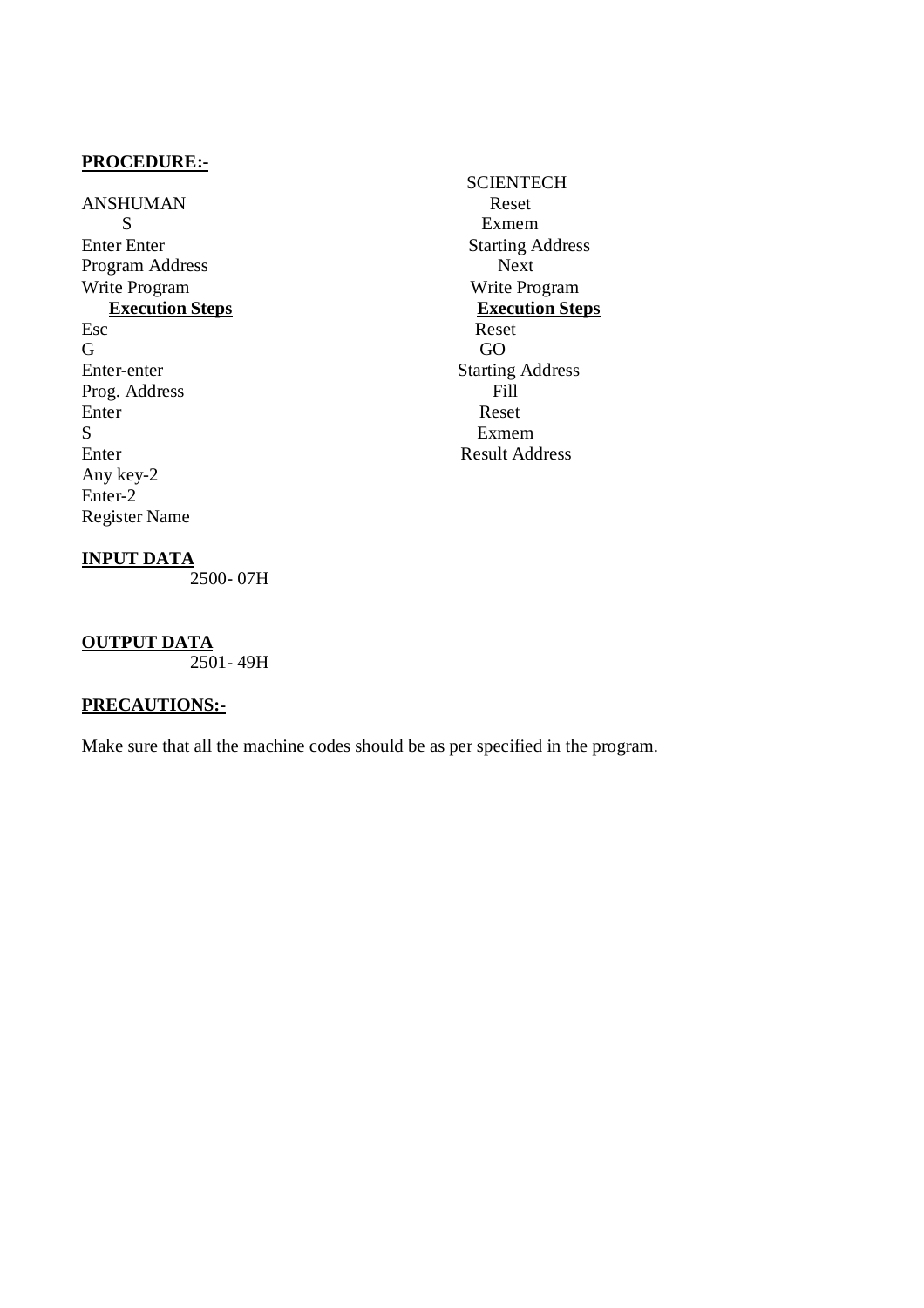ANSHUMAN Reset S Exmem Enter Enter<br>
Program Address<br>
Program Address<br>
Next Program Address Write Program Write Program **Execution Steps** Esc Reset G GO Enter-enter Starting Address<br>Prog. Address Fill Prog. Address Enter Reset S Exmem Enter Result Address Any key-2 Enter-2 Register Name

# **SCIENTECH**

# **INPUT DATA**

2500- 07H

# **OUTPUT DATA**

 $2501 - 49H$ 

# **PRECAUTIONS:-**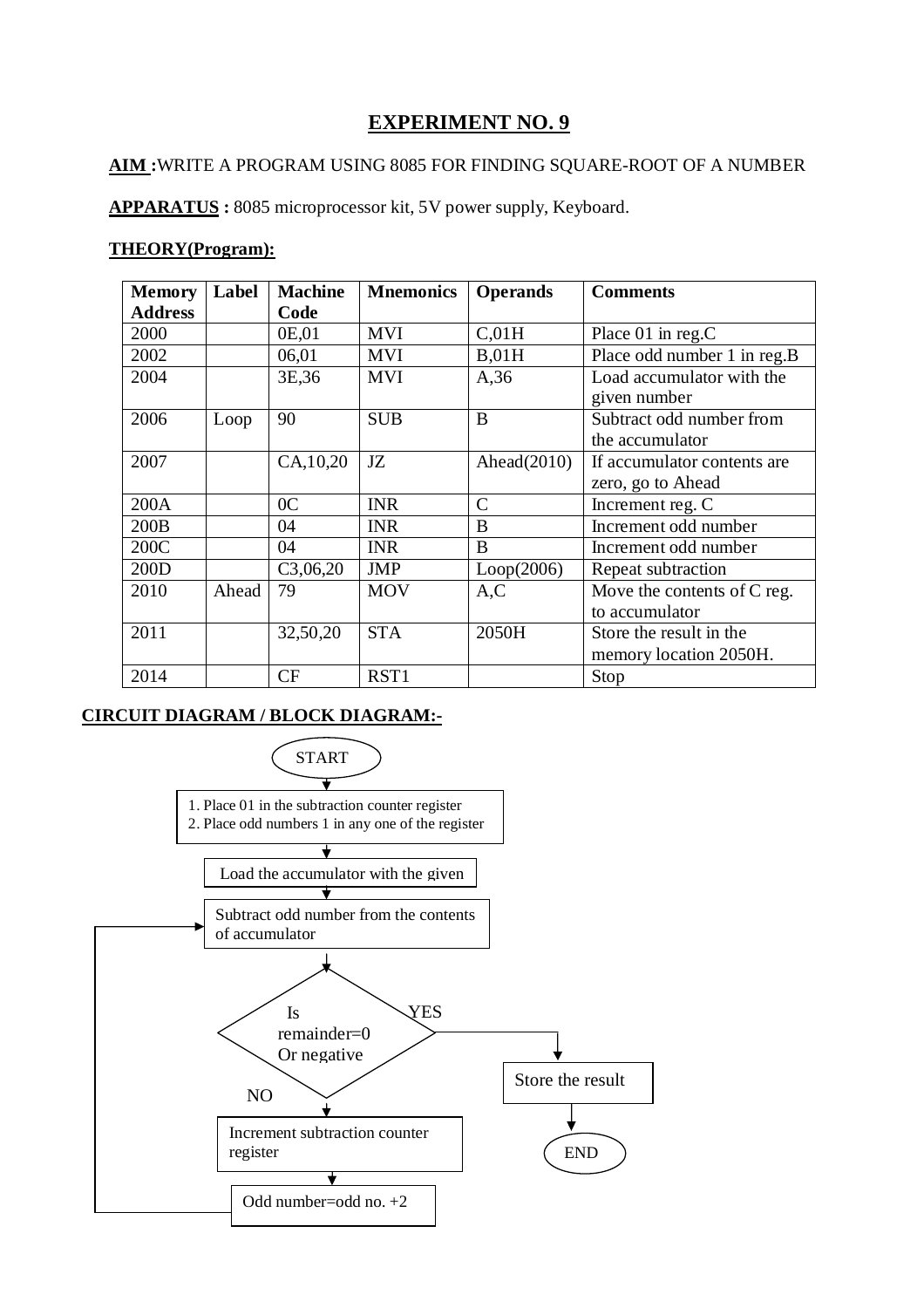# **AIM :**WRITE A PROGRAM USING 8085 FOR FINDING SQUARE-ROOT OF A NUMBER

**APPARATUS :** 8085 microprocessor kit, 5V power supply, Keyboard.

# **THEORY(Program):**

| <b>Memory</b>  | Label | <b>Machine</b> | <b>Mnemonics</b> | <b>Operands</b> | <b>Comments</b>              |
|----------------|-------|----------------|------------------|-----------------|------------------------------|
| <b>Address</b> |       | Code           |                  |                 |                              |
| 2000           |       | 0E,01          | <b>MVI</b>       | C,01H           | Place 01 in reg.C            |
| 2002           |       | 06,01          | <b>MVI</b>       | B,01H           | Place odd number 1 in reg.B  |
| 2004           |       | 3E, 36         | <b>MVI</b>       | A,36            | Load accumulator with the    |
|                |       |                |                  |                 | given number                 |
| 2006           | Loop  | 90             | <b>SUB</b>       | B               | Subtract odd number from     |
|                |       |                |                  |                 | the accumulator              |
| 2007           |       | CA, 10, 20     | JZ               | Ahead $(2010)$  | If accumulator contents are. |
|                |       |                |                  |                 | zero, go to Ahead            |
| 200A           |       | 0 <sup>C</sup> | <b>INR</b>       | $\mathcal{C}$   | Increment reg. C             |
| 200B           |       | 04             | <b>INR</b>       | B               | Increment odd number         |
| 200C           |       | 04             | <b>INR</b>       | B               | Increment odd number         |
| 200D           |       | C3,06,20       | <b>JMP</b>       | Loop(2006)      | Repeat subtraction           |
| 2010           | Ahead | 79             | <b>MOV</b>       | A, C            | Move the contents of C reg.  |
|                |       |                |                  |                 | to accumulator               |
| 2011           |       | 32,50,20       | <b>STA</b>       | 2050H           | Store the result in the      |
|                |       |                |                  |                 | memory location 2050H.       |
| 2014           |       | CF             | RST1             |                 | Stop                         |

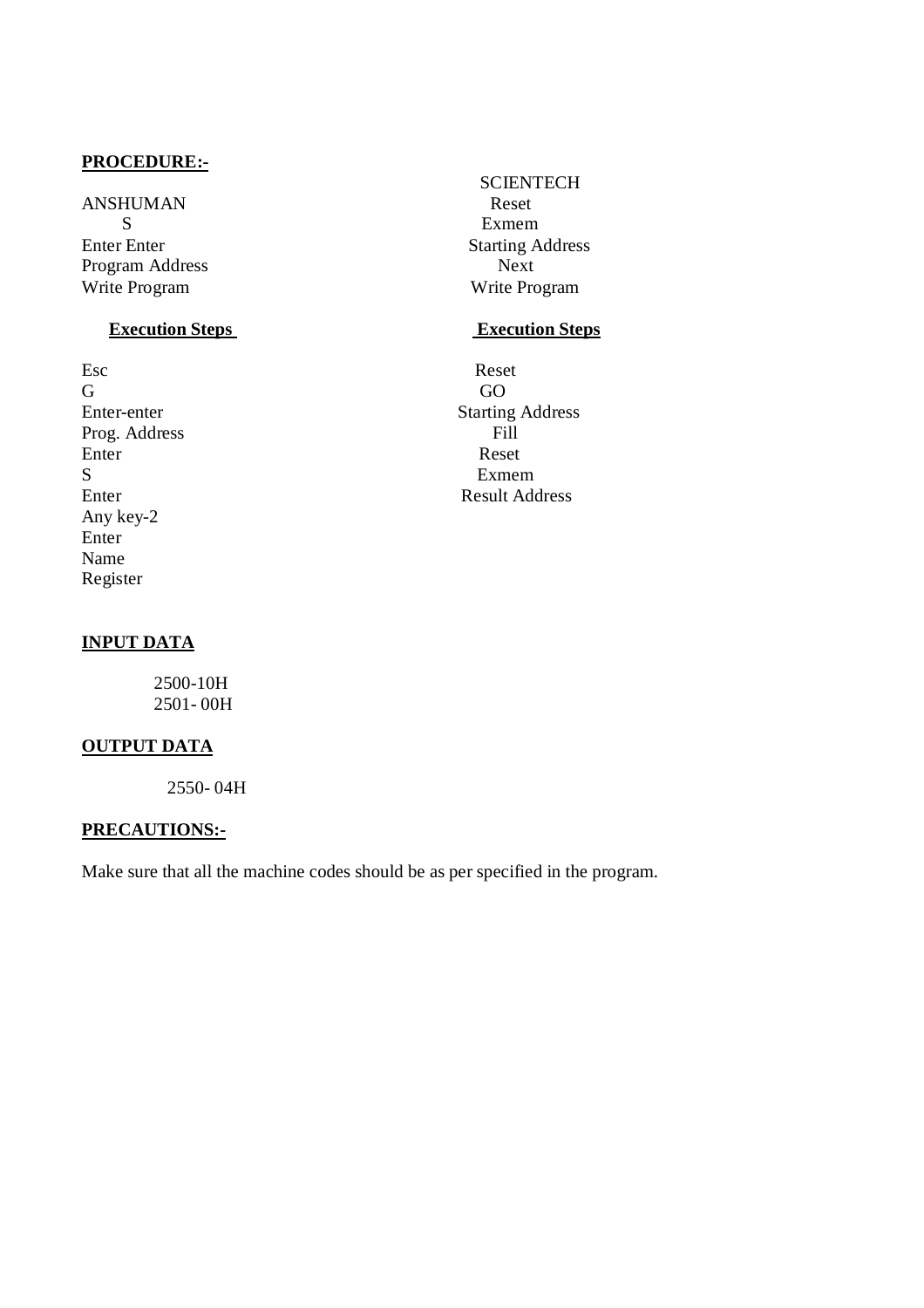ANSHUMAN Reset S Exmem Enter Enter<br>
Program Address<br>
Program Address<br>
Next Program Address Write Program Write Program

# **Execution Steps** Execution Steps

Esc Reset G GO Prog. Address Fill<br>Enter Reset Enter Reset S Exmem Any key-2 Enter Name Register

**SCIENTECH** 

Enter-enter Starting Address Enter Result Address

# **INPUT DATA**

 2500-10H 2501- 00H

# **OUTPUT DATA**

2550- 04H

# **PRECAUTIONS:-**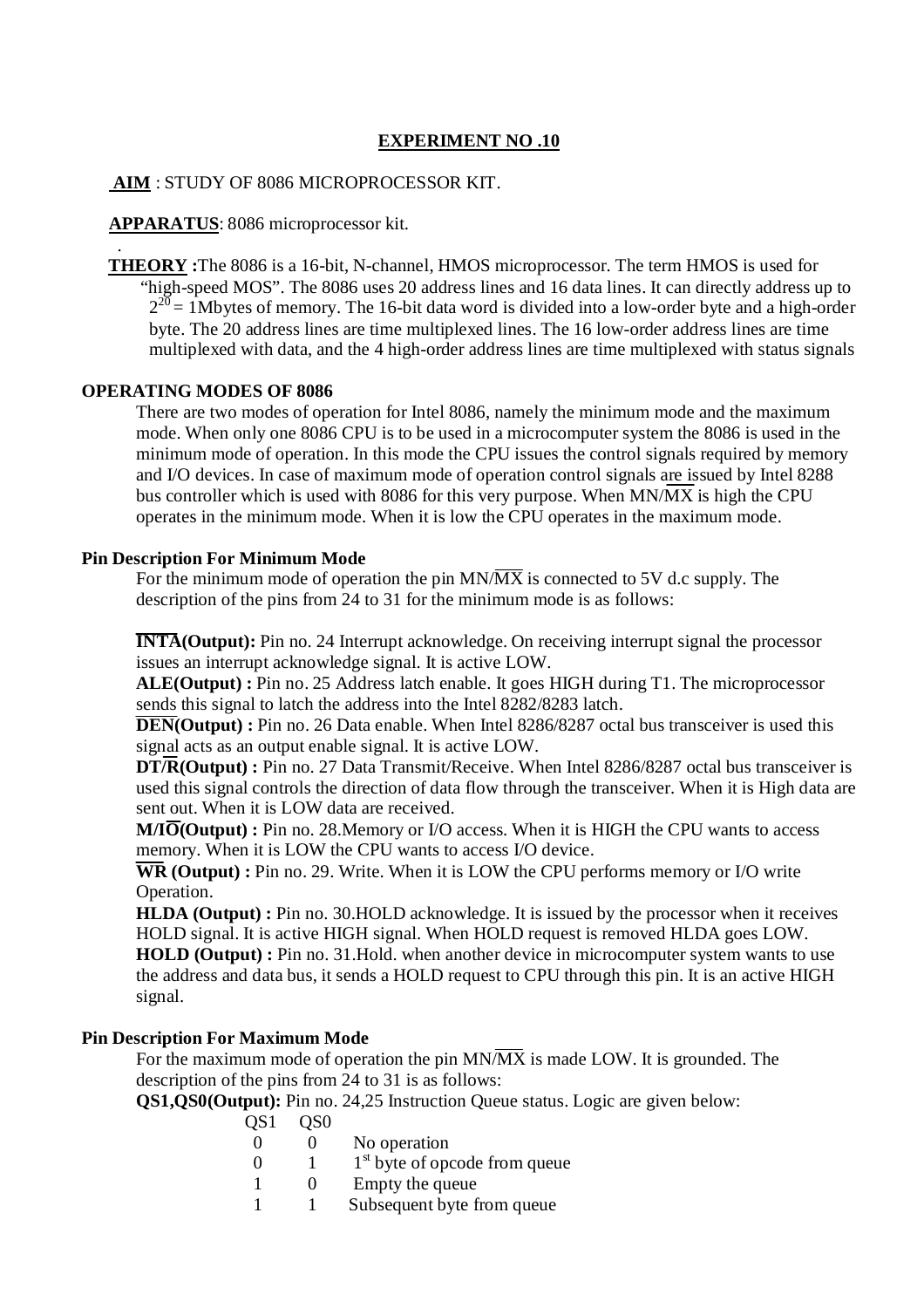# **AIM** : STUDY OF 8086 MICROPROCESSOR KIT.

# **APPARATUS**: 8086 microprocessor kit.

 . **THEORY :**The 8086 is a 16-bit, N-channel, HMOS microprocessor. The term HMOS is used for "high-speed MOS". The 8086 uses 20 address lines and 16 data lines. It can directly address up to  $2^{20}$  = 1Mbytes of memory. The 16-bit data word is divided into a low-order byte and a high-order byte. The 20 address lines are time multiplexed lines. The 16 low-order address lines are time multiplexed with data, and the 4 high-order address lines are time multiplexed with status signals

# **OPERATING MODES OF 8086**

There are two modes of operation for Intel 8086, namely the minimum mode and the maximum mode. When only one 8086 CPU is to be used in a microcomputer system the 8086 is used in the minimum mode of operation. In this mode the CPU issues the control signals required by memory and I/O devices. In case of maximum mode of operation control signals are issued by Intel 8288 bus controller which is used with 8086 for this very purpose. When MN/MX is high the CPU operates in the minimum mode. When it is low the CPU operates in the maximum mode.

# **Pin Description For Minimum Mode**

For the minimum mode of operation the pin  $MN/\overline{MX}$  is connected to 5V d.c supply. The description of the pins from 24 to 31 for the minimum mode is as follows:

**INTA(Output):** Pin no. 24 Interrupt acknowledge. On receiving interrupt signal the processor issues an interrupt acknowledge signal. It is active LOW.

**ALE(Output) :** Pin no. 25 Address latch enable. It goes HIGH during T1. The microprocessor sends this signal to latch the address into the Intel 8282/8283 latch.

**DEN(Output)** : Pin no. 26 Data enable. When Intel 8286/8287 octal bus transceiver is used this signal acts as an output enable signal. It is active LOW.

**DT/R(Output) :** Pin no. 27 Data Transmit/Receive. When Intel 8286/8287 octal bus transceiver is used this signal controls the direction of data flow through the transceiver. When it is High data are sent out. When it is LOW data are received.

**M/IO(Output)** : Pin no. 28. Memory or I/O access. When it is HIGH the CPU wants to access memory. When it is LOW the CPU wants to access I/O device.

**WR (Output) :** Pin no. 29. Write. When it is LOW the CPU performs memory or I/O write Operation.

**HLDA (Output) :** Pin no. 30.HOLD acknowledge. It is issued by the processor when it receives HOLD signal. It is active HIGH signal. When HOLD request is removed HLDA goes LOW.

**HOLD (Output) :** Pin no. 31.Hold. when another device in microcomputer system wants to use the address and data bus, it sends a HOLD request to CPU through this pin. It is an active HIGH signal.

# **Pin Description For Maximum Mode**

For the maximum mode of operation the pin MN/MX is made LOW. It is grounded. The description of the pins from 24 to 31 is as follows:

**QS1,QS0(Output):** Pin no. 24,25 Instruction Queue status. Logic are given below:

- OS1 OS0
	- 0 0 No operation
	- $0 \t 1 \t 1<sup>st</sup>$  byte of opcode from queue
	- 1 0 Empty the queue
	- 1 1 Subsequent byte from queue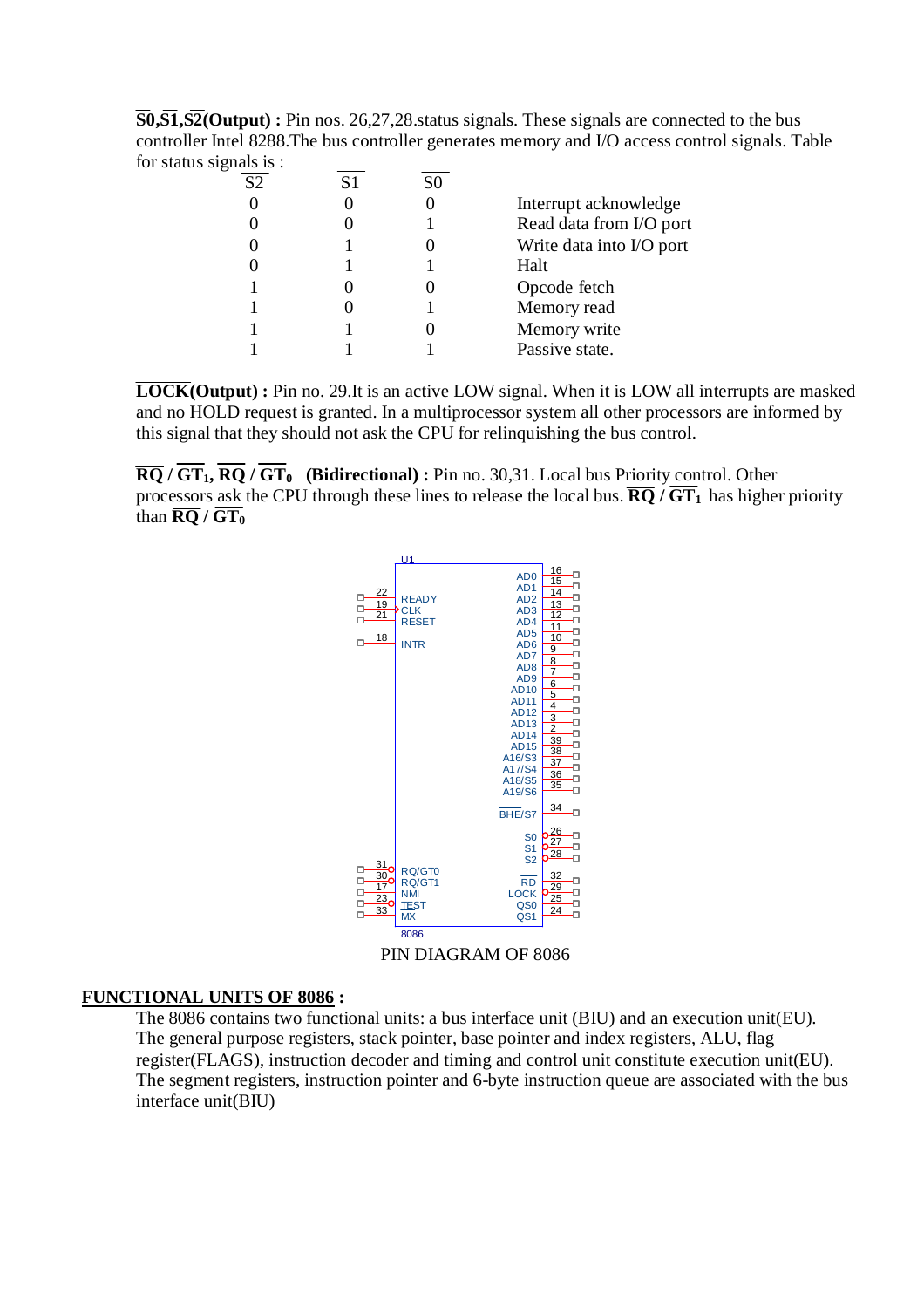**S0,S1,S2(Output) :** Pin nos. 26,27,28.status signals. These signals are connected to the bus controller Intel 8288.The bus controller generates memory and I/O access control signals. Table for status signals is :

| $\circ$ |                |    |                          |
|---------|----------------|----|--------------------------|
| S2      | S <sub>1</sub> | S0 |                          |
|         |                |    | Interrupt acknowledge    |
|         |                |    | Read data from I/O port  |
|         |                |    | Write data into I/O port |
|         |                |    | Halt                     |
|         |                |    | Opcode fetch             |
|         |                |    | Memory read              |
|         |                |    | Memory write             |
|         |                |    | Passive state.           |
|         |                |    |                          |

**LOCK(Output) :** Pin no. 29.It is an active LOW signal. When it is LOW all interrupts are masked and no HOLD request is granted. In a multiprocessor system all other processors are informed by this signal that they should not ask the CPU for relinquishing the bus control.

 $\overline{RQ}$  /  $\overline{GT_1}$ ,  $\overline{RQ}$  /  $\overline{GT_0}$  (Bidirectional) : Pin no. 30,31. Local bus Priority control. Other processors ask the CPU through these lines to release the local bus.  $\overline{RQ}/\overline{GT_1}$  has higher priority than  $\overline{\text{RQ}}$  /  $\text{GT}_0$ 



# **FUNCTIONAL UNITS OF 8086 :**

The 8086 contains two functional units: a bus interface unit (BIU) and an execution unit(EU). The general purpose registers, stack pointer, base pointer and index registers, ALU, flag register(FLAGS), instruction decoder and timing and control unit constitute execution unit(EU). The segment registers, instruction pointer and 6-byte instruction queue are associated with the bus interface unit(BIU)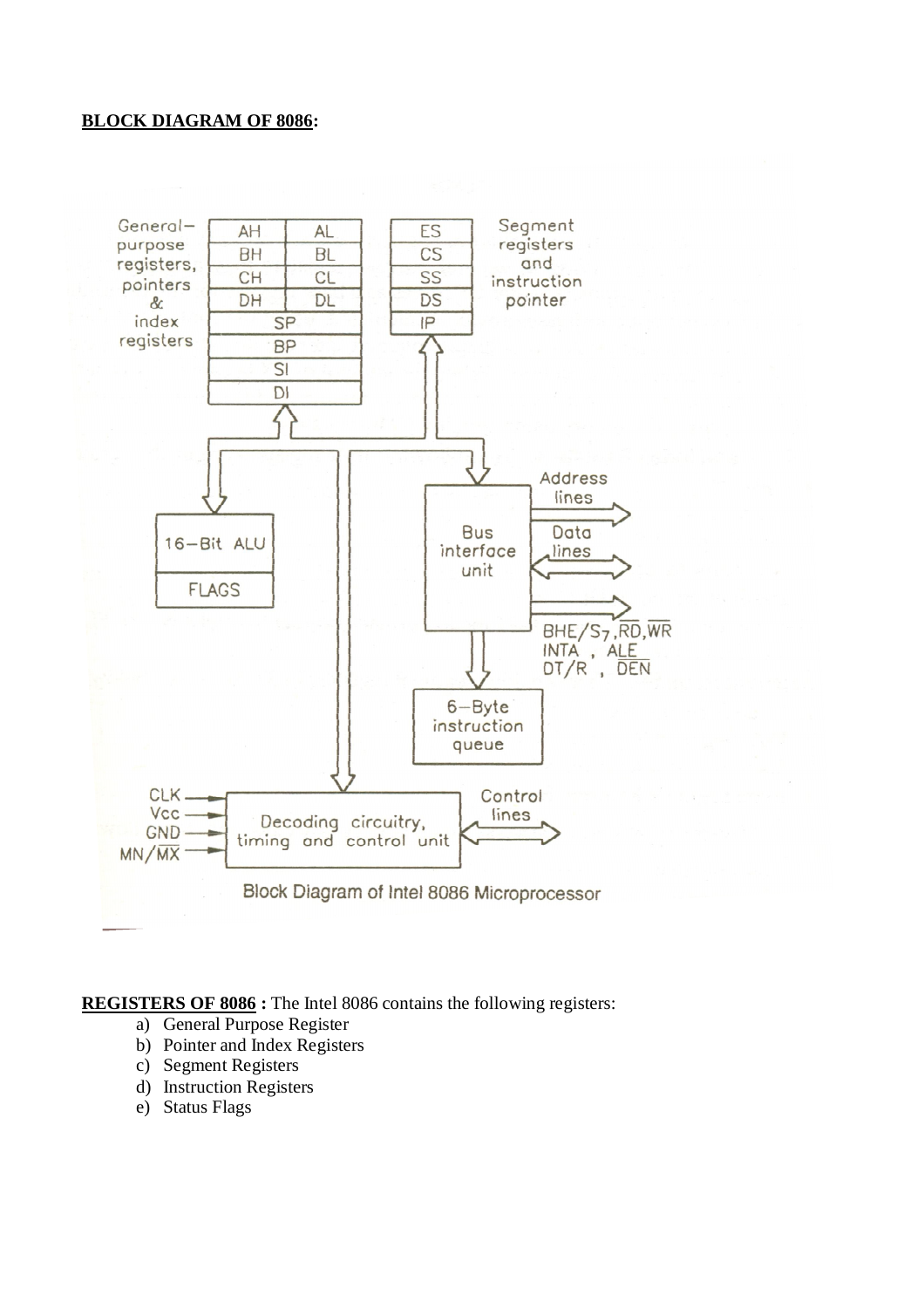# **BLOCK DIAGRAM OF 8086:**



**REGISTERS OF 8086 :** The Intel 8086 contains the following registers:

- a) General Purpose Register
- b) Pointer and Index Registers
- c) Segment Registers
- d) Instruction Registers
- e) Status Flags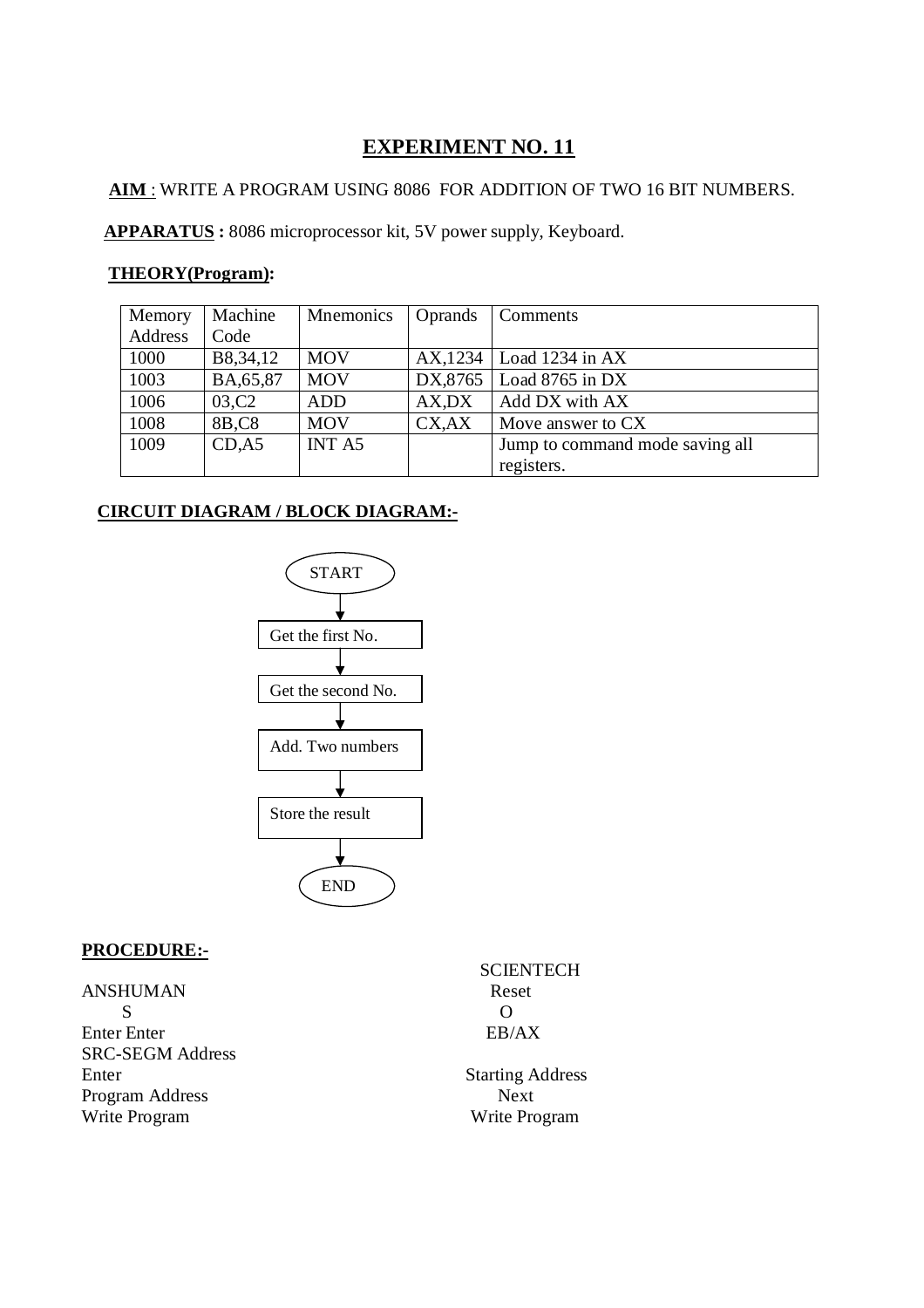# **AIM** : WRITE A PROGRAM USING 8086 FOR ADDITION OF TWO 16 BIT NUMBERS.

 **APPARATUS :** 8086 microprocessor kit, 5V power supply, Keyboard.

# **THEORY(Program):**

| Memory  | Machine            | <b>Mnemonics</b> | Oprands     | <b>Comments</b>                 |
|---------|--------------------|------------------|-------------|---------------------------------|
| Address | Code               |                  |             |                                 |
| 1000    | B8,34,12           | <b>MOV</b>       |             | $AX$ , 1234   Load 1234 in AX   |
| 1003    | BA, 65, 87         | <b>MOV</b>       | DX,8765     | Load 8765 in DX                 |
| 1006    | 03,C <sub>2</sub>  | <b>ADD</b>       | $AX$ , $DX$ | Add DX with AX                  |
| 1008    | 8B, C <sub>8</sub> | <b>MOV</b>       | CX,AX       | Move answer to CX               |
| 1009    | CD, A5             | <b>INT A5</b>    |             | Jump to command mode saving all |
|         |                    |                  |             | registers.                      |

# **CIRCUIT DIAGRAM / BLOCK DIAGRAM:-**



# **PROCEDURE:-**

ANSHUMAN Reset s of  $\overline{S}$ Enter Enter Enter SRC-SEGM Address Enter Starting Address Program Address Next Write Program Write Program

**SCIENTECH**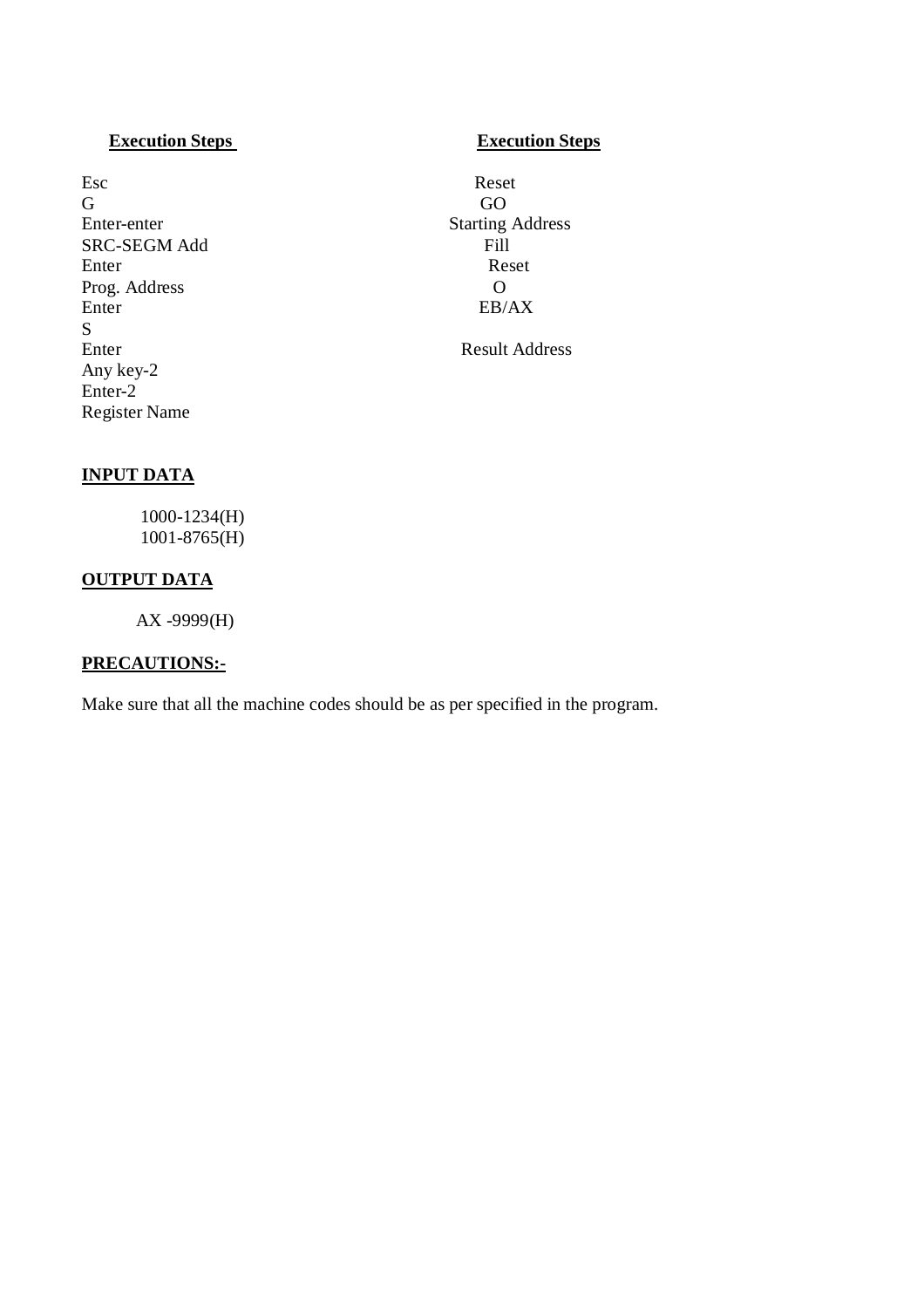# **Execution Steps** Execution Steps

Esc Reset G GO Enter-enter Starting Address SRC-SEGM Add<br>Fill Finter Reset Enter Reset Prog. Address O<br>Enter EB/ S<br>Enter Any key-2 Enter-2 Register Name

 $EB/AX$ 

Result Address

# **INPUT DATA**

1000-1234(H) 1001-8765(H)

# **OUTPUT DATA**

AX -9999(H)

# **PRECAUTIONS:-**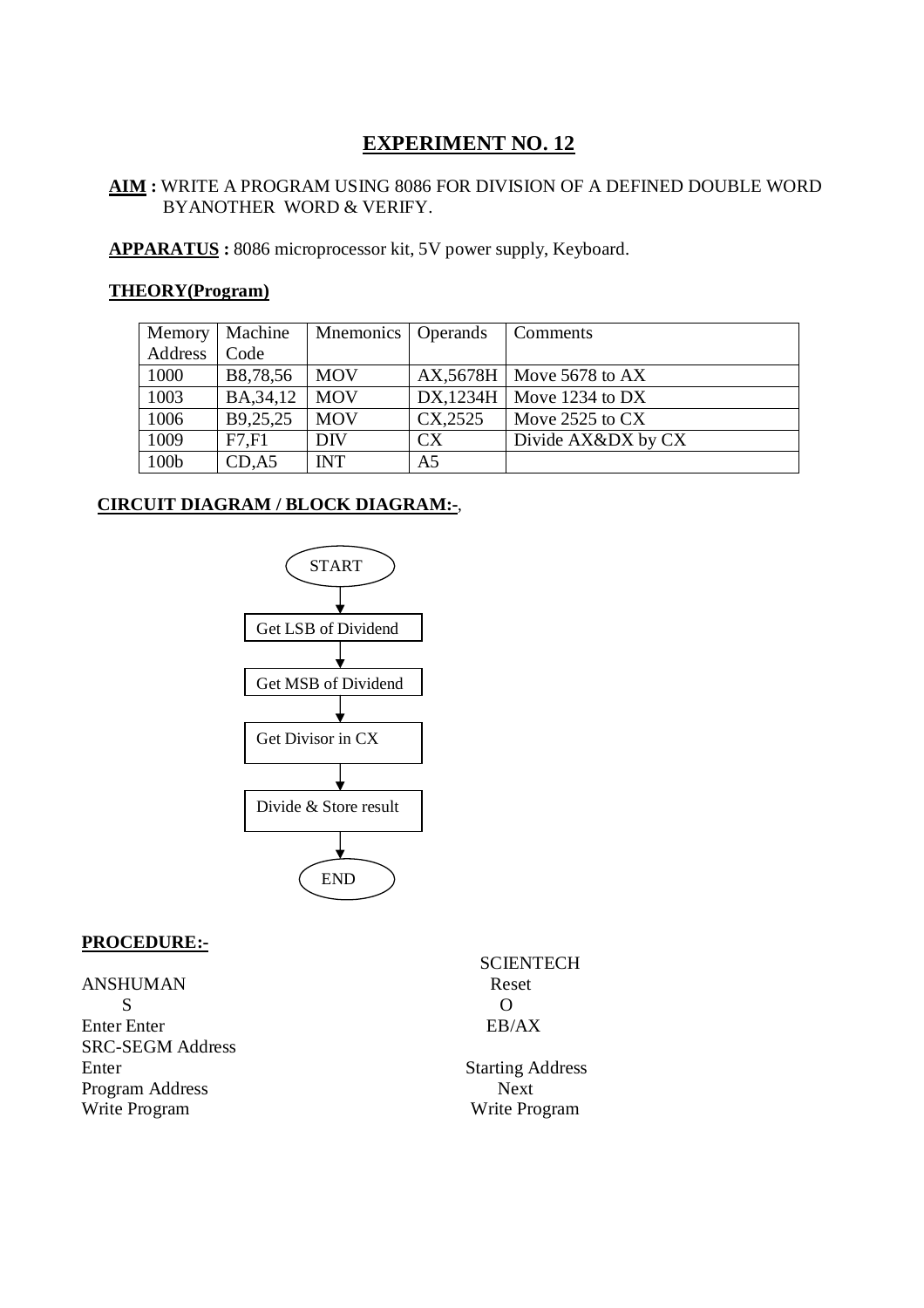# **AIM :** WRITE A PROGRAM USING 8086 FOR DIVISION OF A DEFINED DOUBLE WORD BYANOTHER WORD & VERIFY.

**APPARATUS :** 8086 microprocessor kit, 5V power supply, Keyboard.

# **THEORY(Program)**

| Memory  | Machine    | Mnemonics   Operands |                | Comments                      |
|---------|------------|----------------------|----------------|-------------------------------|
| Address | Code       |                      |                |                               |
| 1000    | B8,78,56   | <b>MOV</b>           |                | $AX, 5678H$   Move 5678 to AX |
| 1003    | BA, 34, 12 | <b>MOV</b>           |                | DX,1234H   Move 1234 to DX    |
| 1006    | B9,25,25   | <b>MOV</b>           | CX,2525        | Move $2525$ to $CX$           |
| 1009    | F7.F1      | <b>DIV</b>           | CX.            | Divide AX&DX by CX            |
| 100b    | CD, A5     | <b>INT</b>           | A <sub>5</sub> |                               |

# **CIRCUIT DIAGRAM / BLOCK DIAGRAM:-**,



# **PROCEDURE:-**

**ANSHUMAN** s of  $\overline{S}$ Enter Enter EB/AX SRC-SEGM Address Enter Starting Address Program Address Next Write Program Write Program

SCIENTECH<br>Reset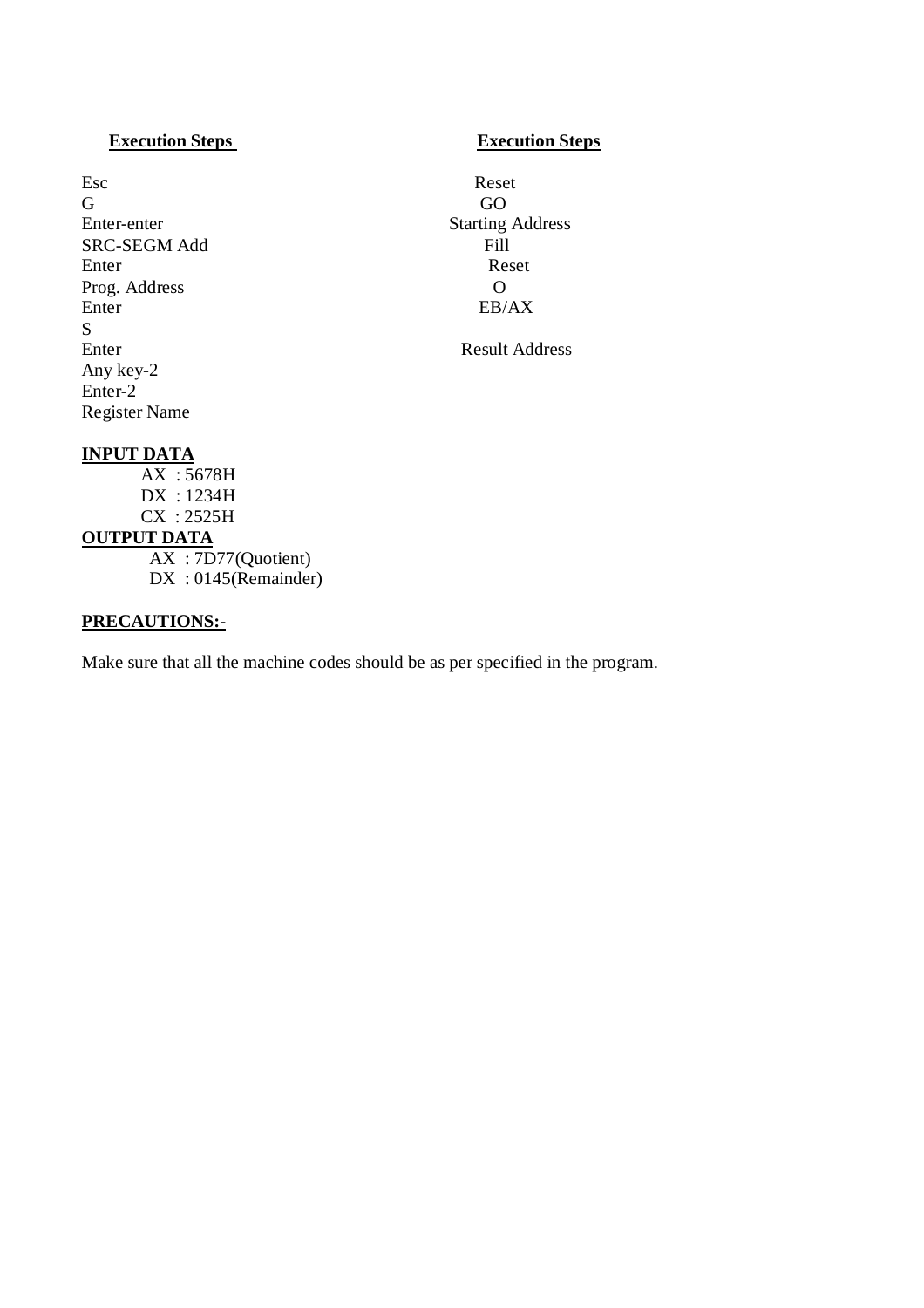# **Execution Steps** Execution Steps

Esc Reset G GO Enter-enter Starting Address SRC-SEGM Add<br>Fill Finter Reset Enter Reset Prog. Address O<br>Enter EB/ S<br>Enter Any key-2 Enter-2 Register Name

 $EB/AX$ 

Result Address

# **INPUT DATA**

AX : 5678H DX : 1234H CX : 2525H **OUTPUT DATA** AX : 7D77(Quotient) DX : 0145(Remainder)

# **PRECAUTIONS:-**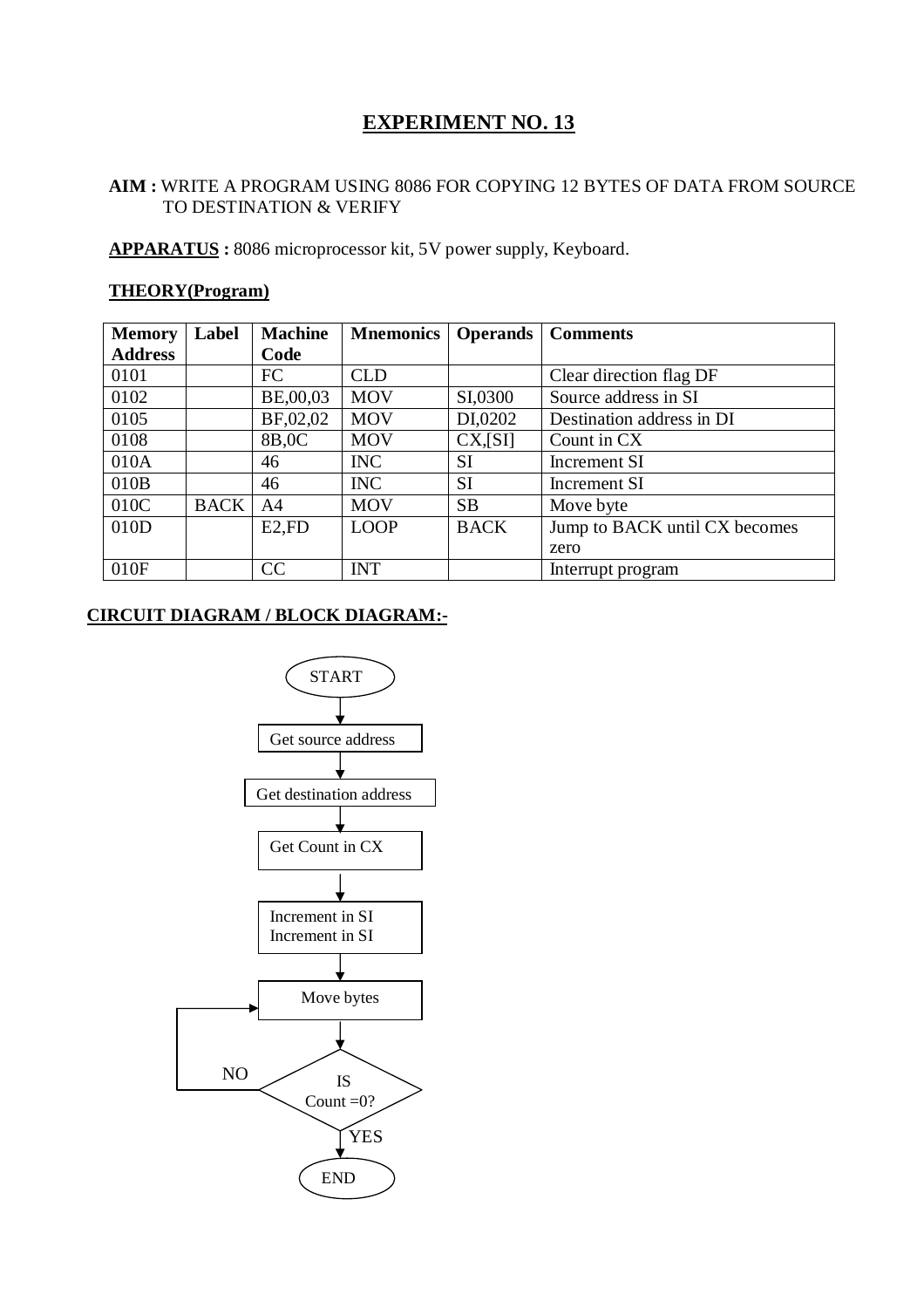# **AIM :** WRITE A PROGRAM USING 8086 FOR COPYING 12 BYTES OF DATA FROM SOURCE TO DESTINATION & VERIFY

**APPARATUS :** 8086 microprocessor kit, 5V power supply, Keyboard.

# **THEORY(Program)**

| <b>Memory</b>  | Label       | <b>Machine</b> | <b>Mnemonics</b> | <b>Operands</b> | <b>Comments</b>               |
|----------------|-------------|----------------|------------------|-----------------|-------------------------------|
| <b>Address</b> |             | Code           |                  |                 |                               |
| 0101           |             | <b>FC</b>      | <b>CLD</b>       |                 | Clear direction flag DF       |
| 0102           |             | BE,00,03       | <b>MOV</b>       | SI,0300         | Source address in SI          |
| 0105           |             | BF,02,02       | <b>MOV</b>       | DI,0202         | Destination address in DI     |
| 0108           |             | 8B,0C          | <b>MOV</b>       | CX, [SI]        | Count in CX                   |
| 010A           |             | 46             | <b>INC</b>       | <b>SI</b>       | Increment SI                  |
| 010B           |             | 46             | <b>INC</b>       | <b>SI</b>       | Increment SI                  |
| 010C           | <b>BACK</b> | A4             | <b>MOV</b>       | <b>SB</b>       | Move byte                     |
| 010D           |             | $E2$ , $FD$    | <b>LOOP</b>      | <b>BACK</b>     | Jump to BACK until CX becomes |
|                |             |                |                  |                 | zero                          |
| 010F           |             | CC             | <b>INT</b>       |                 | Interrupt program             |

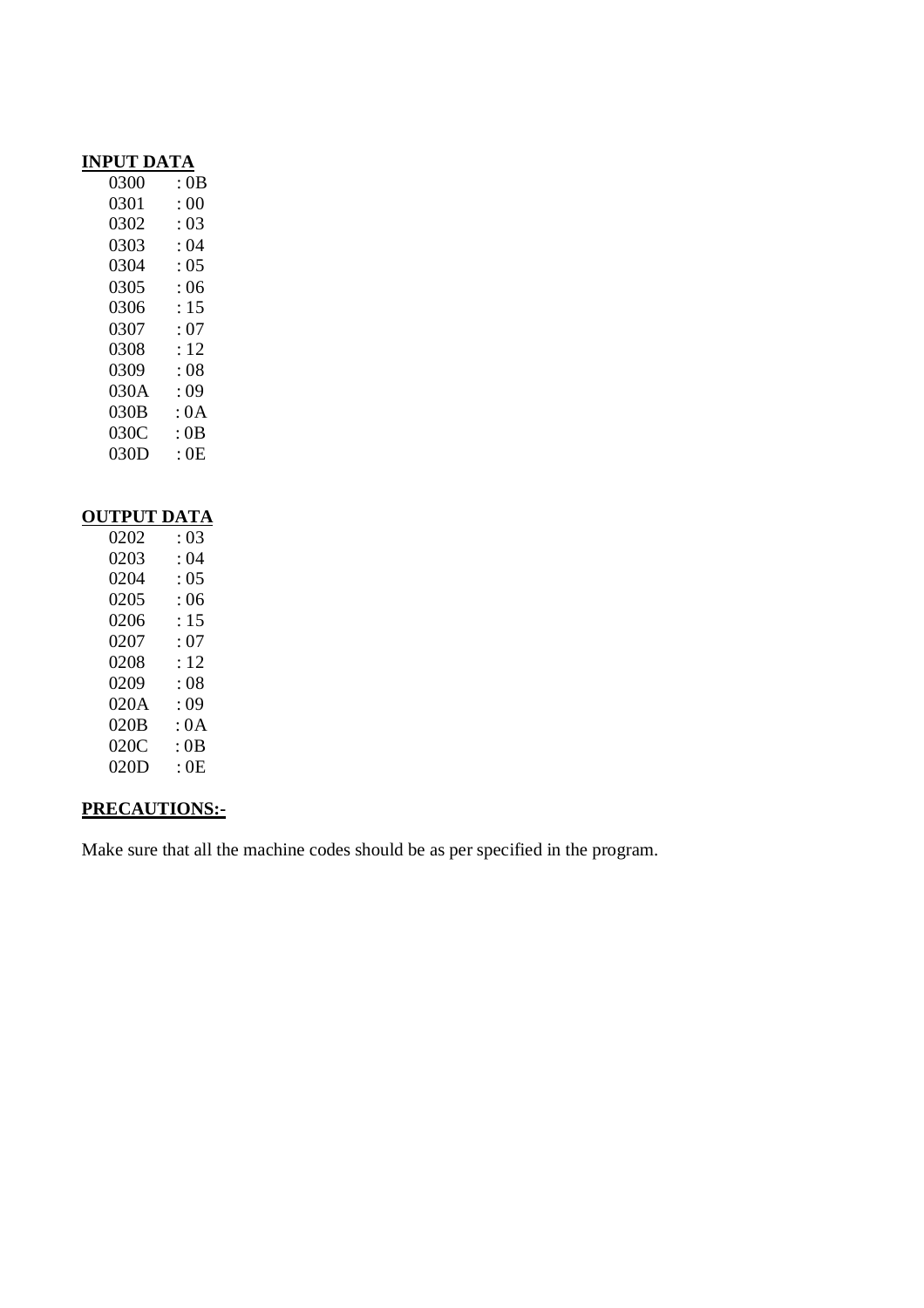# **INPUT DATA**

| 0300 | : 0B |
|------|------|
| 0301 | :00  |
| 0302 | : 03 |
| 0303 | : 04 |
| 0304 | : 05 |
| 0305 | : 06 |
| 0306 | : 15 |
| 0307 | : 07 |
| 0308 | : 12 |
| 0309 | : 08 |
| 030A | : 09 |
| 030B | : 0A |
| 030C | : 0B |
| 030D | : 0E |

# **OUTPUT DATA**<br>0202 : 03  $0202$  : 03<br>0203 : 04  $0203$  : 04<br>0204 : 05 0204 : 05<br>0205 : 06 0205 0206 : 15 0207 : 07 0208 : 12 0209 : 08 020A : 09<br>020B : 0A  $020B$ 020C : 0B<br>020D : 0E  $020D$

# **PRECAUTIONS:-**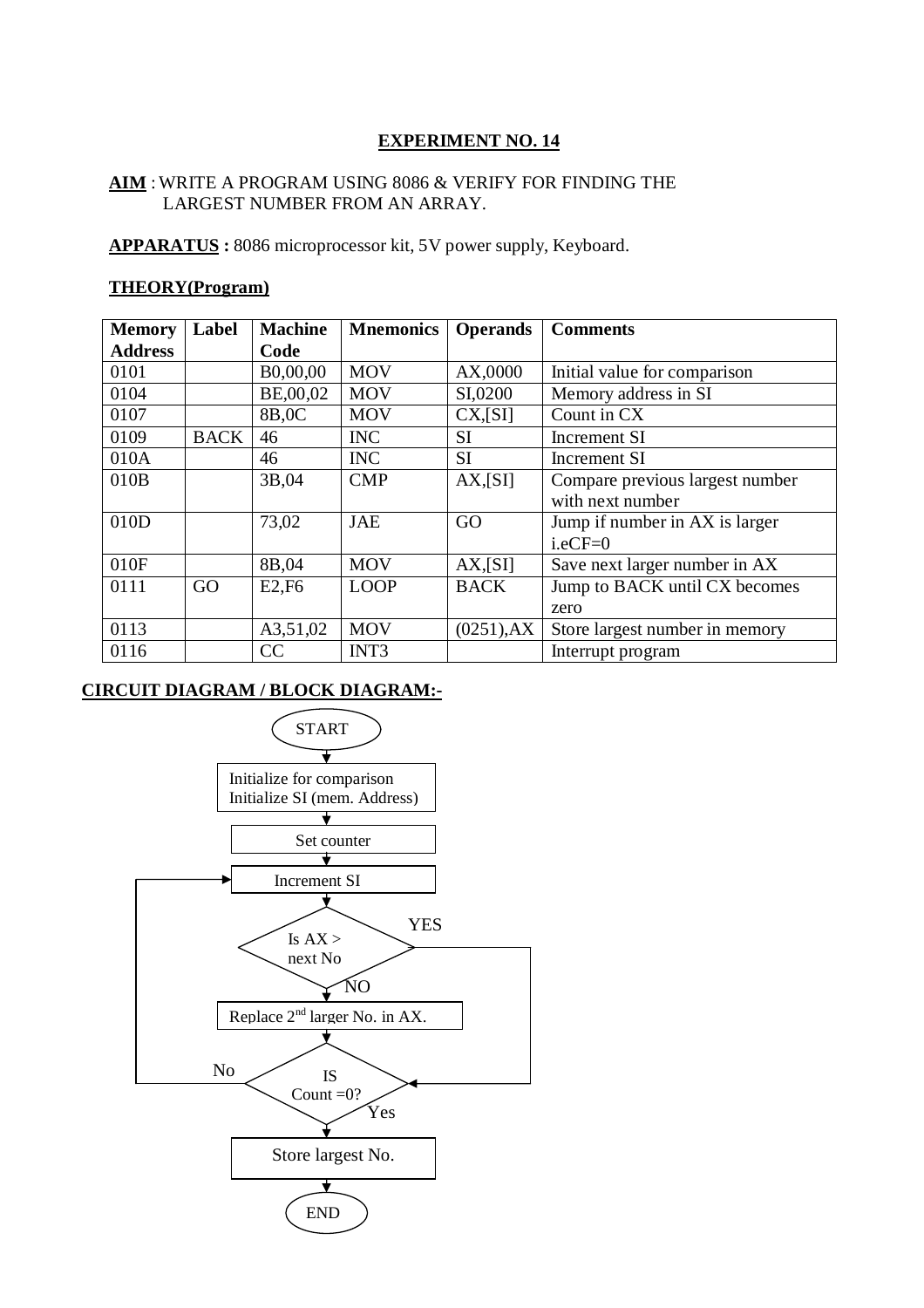# **AIM** :WRITE A PROGRAM USING 8086 & VERIFY FOR FINDING THE LARGEST NUMBER FROM AN ARRAY.

**APPARATUS :** 8086 microprocessor kit, 5V power supply, Keyboard.

# **THEORY(Program)**

| <b>Memory</b>  | Label       | <b>Machine</b> | <b>Mnemonics</b> | <b>Operands</b> | <b>Comments</b>                 |
|----------------|-------------|----------------|------------------|-----------------|---------------------------------|
| <b>Address</b> |             | Code           |                  |                 |                                 |
| 0101           |             | B0,00,00       | <b>MOV</b>       | AX,0000         | Initial value for comparison    |
| 0104           |             | BE,00,02       | <b>MOV</b>       | SI,0200         | Memory address in SI            |
| 0107           |             | 8B,0C          | <b>MOV</b>       | CX, [SI]        | Count in CX                     |
| 0109           | <b>BACK</b> | 46             | <b>INC</b>       | <b>SI</b>       | <b>Increment SI</b>             |
| 010A           |             | 46             | <b>INC</b>       | <b>SI</b>       | <b>Increment SI</b>             |
| 010B           |             | 3B,04          | <b>CMP</b>       | $AX$ , $[S]$    | Compare previous largest number |
|                |             |                |                  |                 | with next number                |
| 010D           |             | 73,02          | <b>JAE</b>       | GO              | Jump if number in AX is larger  |
|                |             |                |                  |                 | $i.eCF = 0$                     |
| 010F           |             | 8B,04          | <b>MOV</b>       | $AX$ , $SI$     | Save next larger number in AX   |
| 0111           | GO          | E2,F6          | <b>LOOP</b>      | <b>BACK</b>     | Jump to BACK until CX becomes   |
|                |             |                |                  |                 | zero                            |
| 0113           |             | A3,51,02       | <b>MOV</b>       | $(0251)$ , AX   | Store largest number in memory  |
| 0116           |             | CC             | INT3             |                 | Interrupt program               |

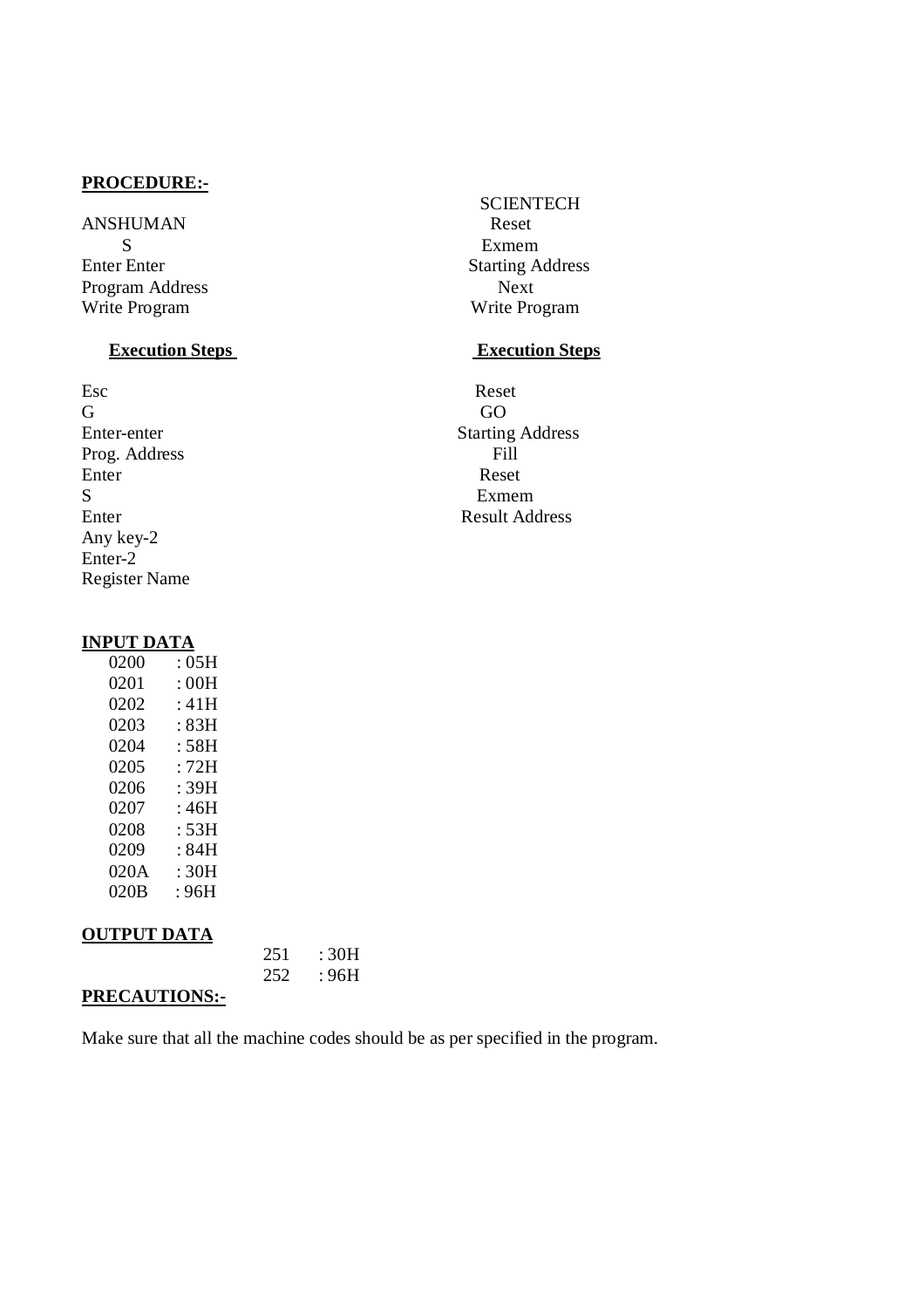ANSHUMAN Reset S<br>
Exmem<br>
Enter Enter<br>
Starting A Program Address Next<br>Write Program Next<br>Write Program Next

Esc Reset G GO Prog. Address Fill<br>Enter Reset Enter Reset S Exmem Enter Result Address Any key-2 Enter-2 Register Name

# **SCIENTECH Starting Address** Write Program

# **Execution Steps** Execution Steps

Enter-enter Starting Address

# **INPUT DATA**

| 0200 | : 05H |
|------|-------|
| 0201 | : 00H |
| 0202 | : 41H |
| 0203 | :83H  |
| 0204 | : 58H |
| 0205 | · 72H |
| 0206 | : 39H |
| 0207 | : 46H |
| 0208 | : 53H |
| 0209 | : 84H |
| 020A | : 30H |
| 020B | : 96H |

# **OUTPUT DATA**

|                      | 251 : 30H      |
|----------------------|----------------|
|                      | $252 \t : 96H$ |
| <b>PRECAUTIONS:-</b> |                |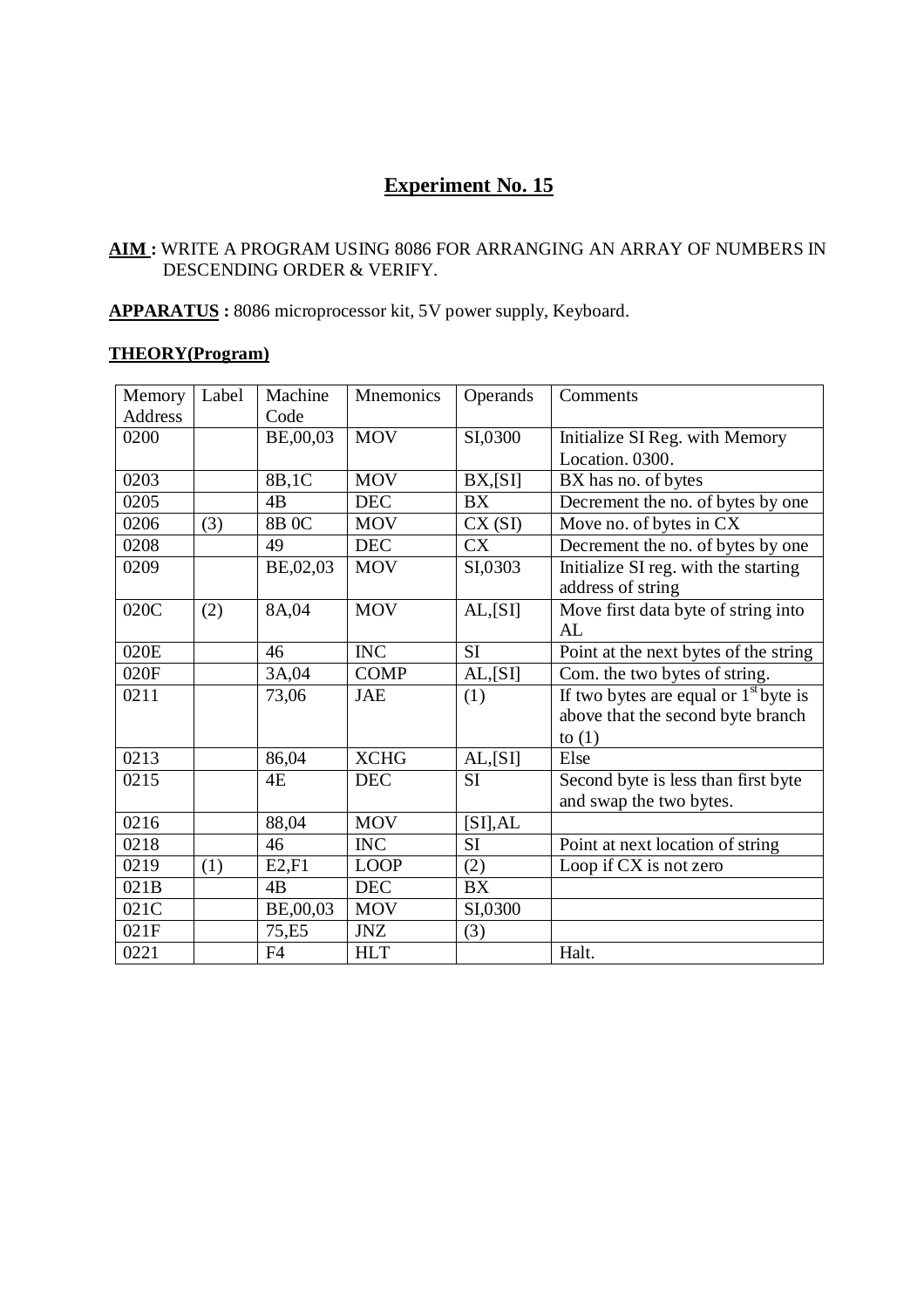# **Experiment No. 15**

# **AIM :** WRITE A PROGRAM USING 8086 FOR ARRANGING AN ARRAY OF NUMBERS IN DESCENDING ORDER & VERIFY.

# **APPARATUS :** 8086 microprocessor kit, 5V power supply, Keyboard.

# **THEORY(Program)**

| Memory<br><b>Address</b> | Label | Machine<br>Code | Mnemonics        | Operands        | Comments                                |
|--------------------------|-------|-----------------|------------------|-----------------|-----------------------------------------|
| 0200                     |       | BE,00,03        | <b>MOV</b>       | SI,0300         | Initialize SI Reg. with Memory          |
|                          |       |                 |                  |                 | Location. 0300.                         |
| 0203                     |       | 8B,1C           | <b>MOV</b>       | BX, [SI]        | BX has no. of bytes                     |
| 0205                     |       | 4B              | <b>DEC</b>       | <b>BX</b>       | Decrement the no. of bytes by one       |
| 0206                     | (3)   | $8B$ OC         | <b>MOV</b>       | CX(SI)          | Move no. of bytes in CX                 |
| 0208                     |       | 49              | <b>DEC</b>       | <b>CX</b>       | Decrement the no. of bytes by one       |
|                          |       |                 | <b>MOV</b>       |                 |                                         |
| 0209                     |       | BE,02,03        |                  | SI,0303         | Initialize SI reg. with the starting    |
|                          |       |                 |                  |                 | address of string                       |
| 020C                     | (2)   | 8A,04           | <b>MOV</b>       | AL, [SI]        | Move first data byte of string into     |
|                          |       |                 |                  |                 | AL                                      |
| 020E                     |       | 46              | <b>INC</b>       | <b>SI</b>       | Point at the next bytes of the string   |
| 020F                     |       | 3A,04           | <b>COMP</b>      | AL, [SI]        | Com. the two bytes of string.           |
| 0211                     |       | 73,06           | <b>JAE</b>       | (1)             | If two bytes are equal or $1st$ byte is |
|                          |       |                 |                  |                 | above that the second byte branch       |
|                          |       |                 |                  |                 | to $(1)$                                |
| 0213                     |       | 86,04           | <b>XCHG</b>      | AL, [SI]        | Else                                    |
| 0215                     |       | 4E              | <b>DEC</b>       | <b>SI</b>       | Second byte is less than first byte     |
|                          |       |                 |                  |                 | and swap the two bytes.                 |
| 0216                     |       | 88,04           | <b>MOV</b>       | [SI], AL        |                                         |
| 0218                     |       | 46              | <b>INC</b>       | SI              | Point at next location of string        |
| 0219                     | (1)   | E2, F1          | <b>LOOP</b>      | (2)             | Loop if CX is not zero                  |
| 021B                     |       | 4B              | $DE\overline{C}$ | $\overline{BX}$ |                                         |
| 021C                     |       | BE,00,03        | <b>MOV</b>       | SI,0300         |                                         |
| 021F                     |       | 75,E5           | <b>JNZ</b>       | (3)             |                                         |
| 0221                     |       | F <sub>4</sub>  | <b>HLT</b>       |                 | Halt.                                   |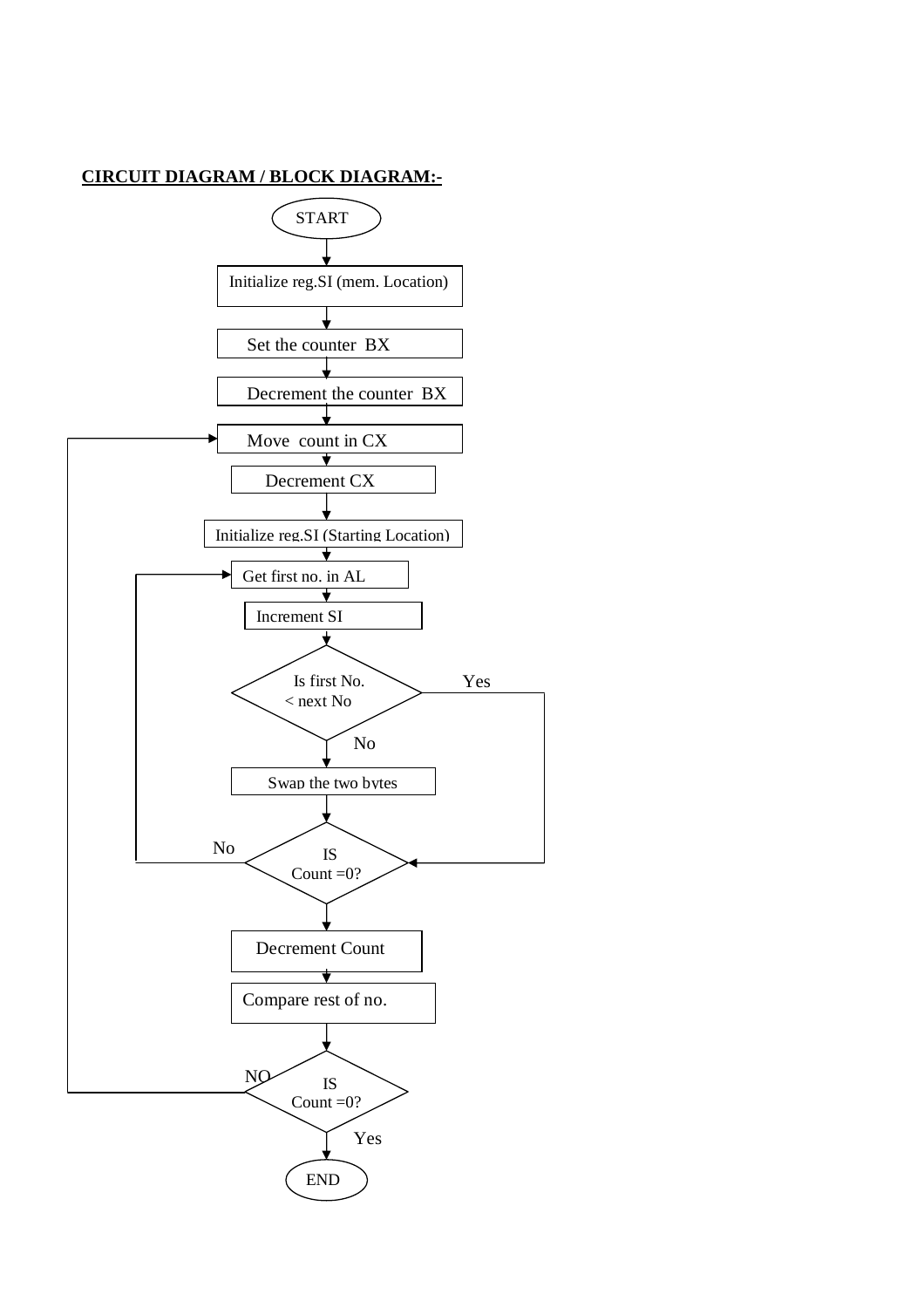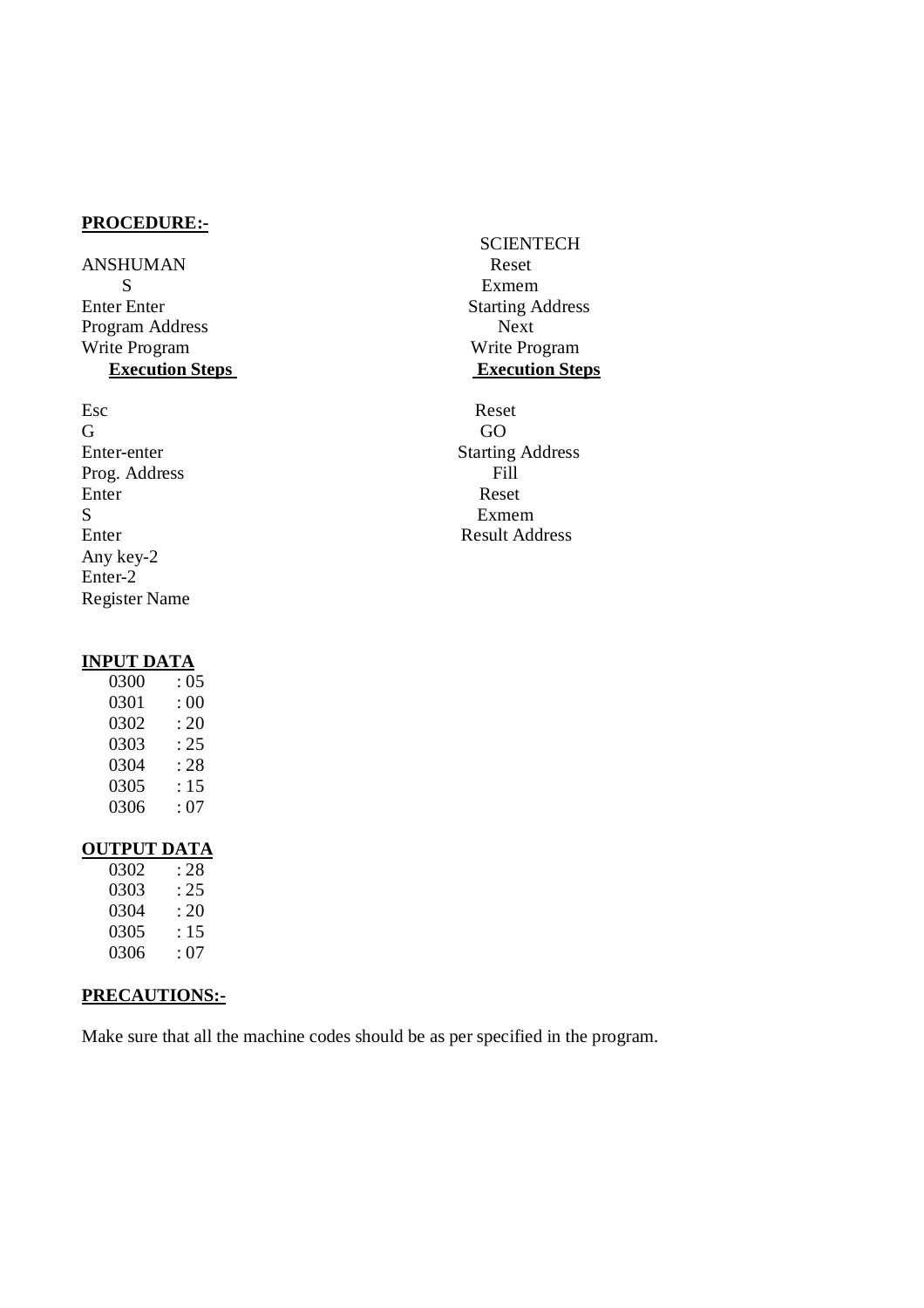ANSHUMAN Reset S Exmem Enter Enter Starting Address Program Address Next<br>Write Program Next<br>Write Program Next **Execution Steps** 

Esc Reset G GO Prog. Address Fill<br>Enter Reset Enter Reset S Exmem Enter Result Address Any key-2 Enter-2 Register Name

# **INPUT DATA**

| 0300 | : 05 |
|------|------|
| 0301 | : 00 |
| 0302 | : 20 |
| 0303 | : 25 |
| 0304 | : 28 |
| 0305 | : 15 |
| 0306 | : 07 |
|      |      |

# **OUTPUT DATA**

| 0302 | : 28 |
|------|------|
| 0303 | : 25 |
| 0304 | : 20 |
| 0305 | : 15 |
| 0306 | : 07 |
|      |      |

# **PRECAUTIONS:-**

Make sure that all the machine codes should be as per specified in the program.

**SCIENTECH** Write Program<br>Execution Steps

Enter-enter Starting Address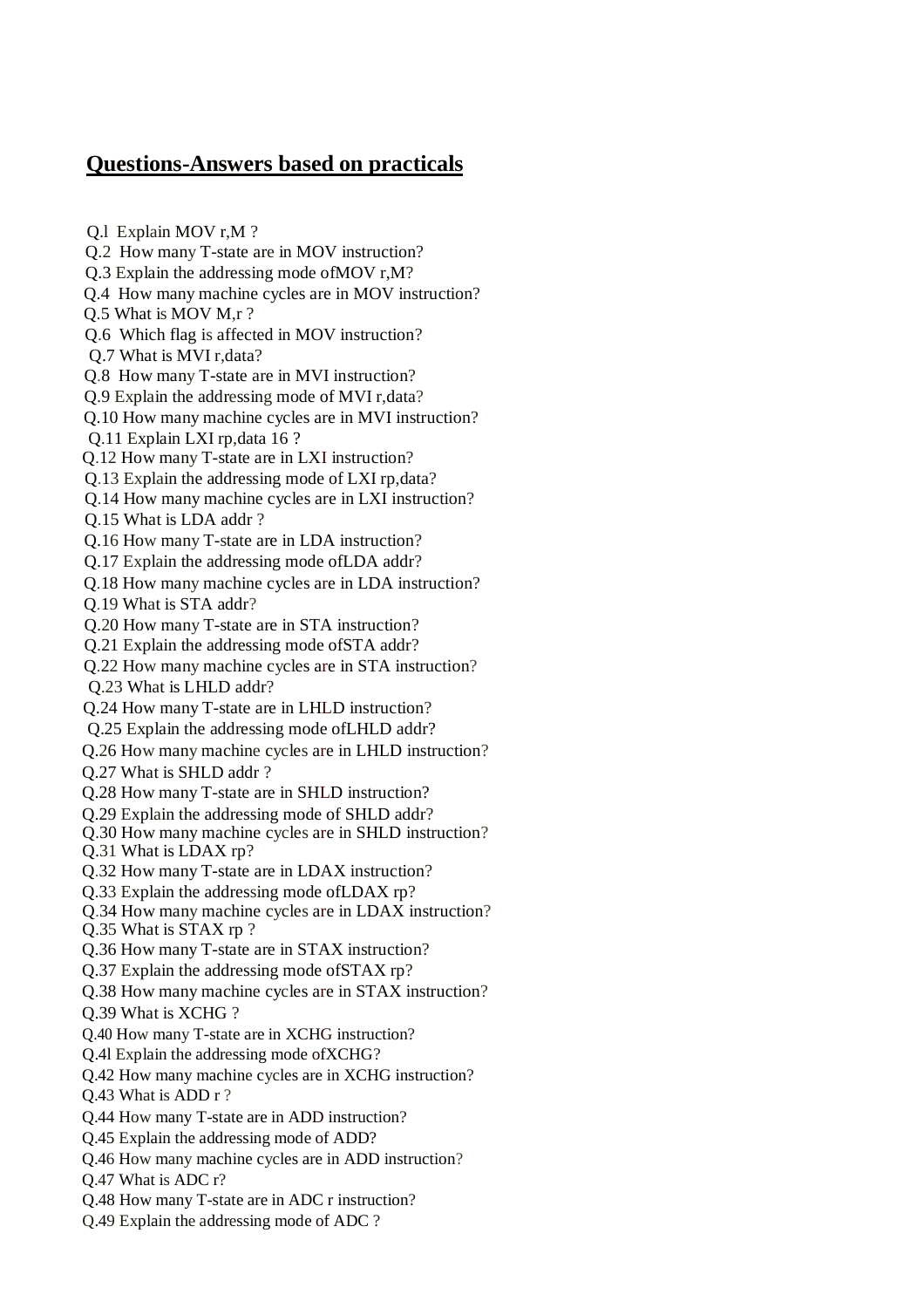# **Questions-Answers based on practicals**

Q.l Explain MOV r,M ? Q.2 How many T-state are in MOV instruction? Q.3 Explain the addressing mode ofMOV r,M? Q.4 How many machine cycles are in MOV instruction? Q.5 What is MOV M,r ? Q.6 Which flag is affected in MOV instruction? Q.7 What is MVI r,data? Q.8 How many T-state are in MVI instruction? Q.9 Explain the addressing mode of MVI r,data? Q.10 How many machine cycles are in MVI instruction? Q.11 Explain LXI rp,data 16 ? Q.12 How many T-state are in LXI instruction? Q.13 Explain the addressing mode of LXI rp,data? Q.14 How many machine cycles are in LXI instruction? Q.15 What is LDA addr ? Q.16 How many T-state are in LDA instruction? Q.17 Explain the addressing mode ofLDA addr? Q.18 How many machine cycles are in LDA instruction? Q.19 What is STA addr? Q.20 How many T-state are in STA instruction? Q.21 Explain the addressing mode ofSTA addr? Q.22 How many machine cycles are in STA instruction? Q.23 What is LHLD addr? Q.24 How many T-state are in LHLD instruction? Q.25 Explain the addressing mode ofLHLD addr? Q.26 How many machine cycles are in LHLD instruction? Q.27 What is SHLD addr ? Q.28 How many T-state are in SHLD instruction? Q.29 Explain the addressing mode of SHLD addr? Q.30 How many machine cycles are in SHLD instruction? Q.31 What is LDAX rp? Q.32 How many T-state are in LDAX instruction? Q.33 Explain the addressing mode ofLDAX rp? Q.34 How many machine cycles are in LDAX instruction? Q.35 What is STAX rp ? Q.36 How many T-state are in STAX instruction? Q.37 Explain the addressing mode ofSTAX rp? Q.38 How many machine cycles are in STAX instruction? Q.39 What is XCHG ? Q.40 How many T-state are in XCHG instruction? Q.4l Explain the addressing mode ofXCHG? Q.42 How many machine cycles are in XCHG instruction? Q.43 What is ADD r ? Q.44 How many T-state are in ADD instruction? Q.45 Explain the addressing mode of ADD? Q.46 How many machine cycles are in ADD instruction? Q.47 What is ADC r? Q.48 How many T-state are in ADC r instruction? Q.49 Explain the addressing mode of ADC ?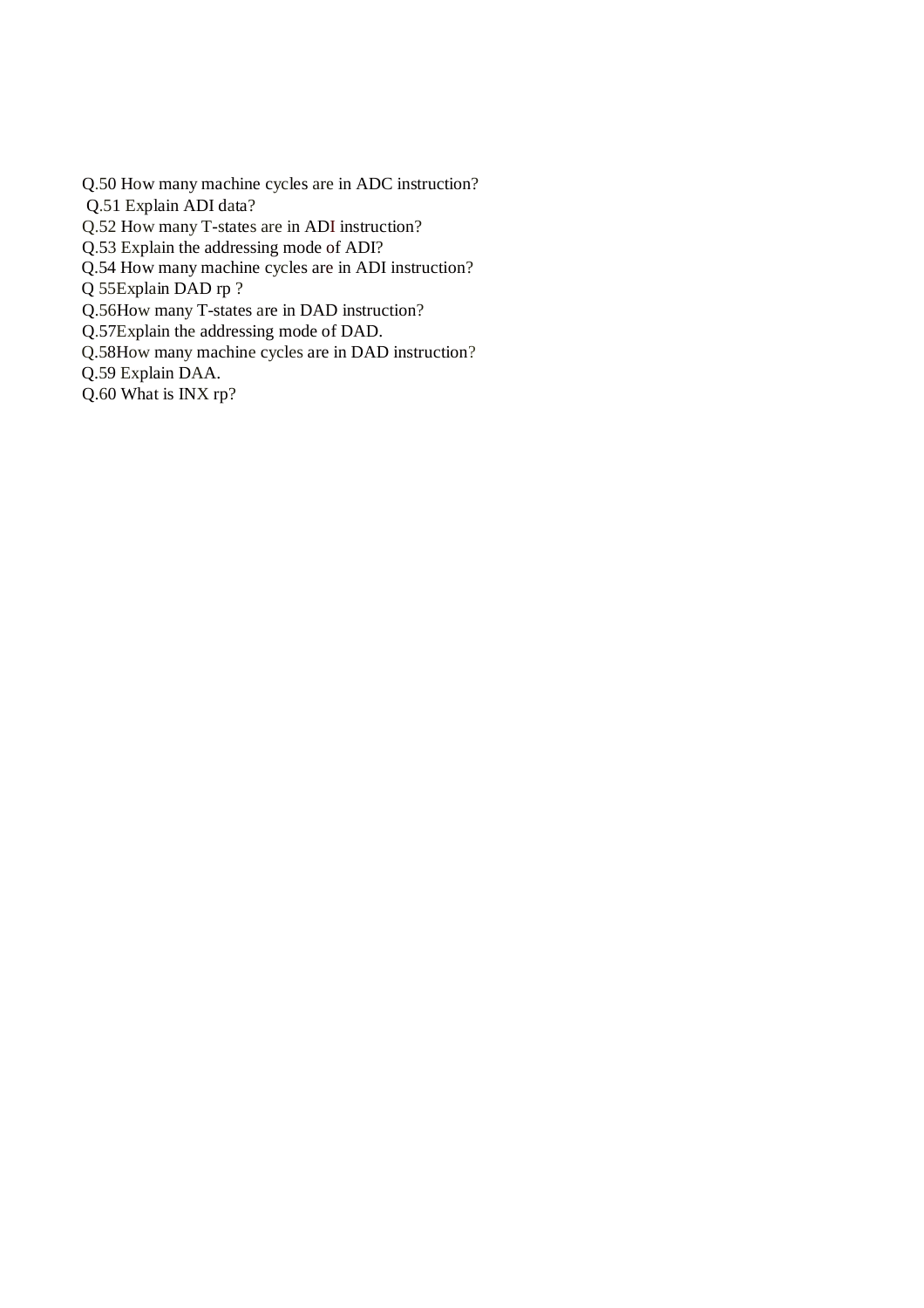- Q.50 How many machine cycles are in ADC instruction?
- Q.51 Explain ADI data?
- Q.52 How many T-states are in ADI instruction?
- Q.53 Explain the addressing mode of ADI?
- Q.54 How many machine cycles are in ADI instruction?
- Q 55Explain DAD rp ?
- Q.56How many T-states are in DAD instruction?
- Q.57Explain the addressing mode of DAD.
- Q.58How many machine cycles are in DAD instruction?
- Q.59 Explain DAA.
- Q.60 What is INX rp?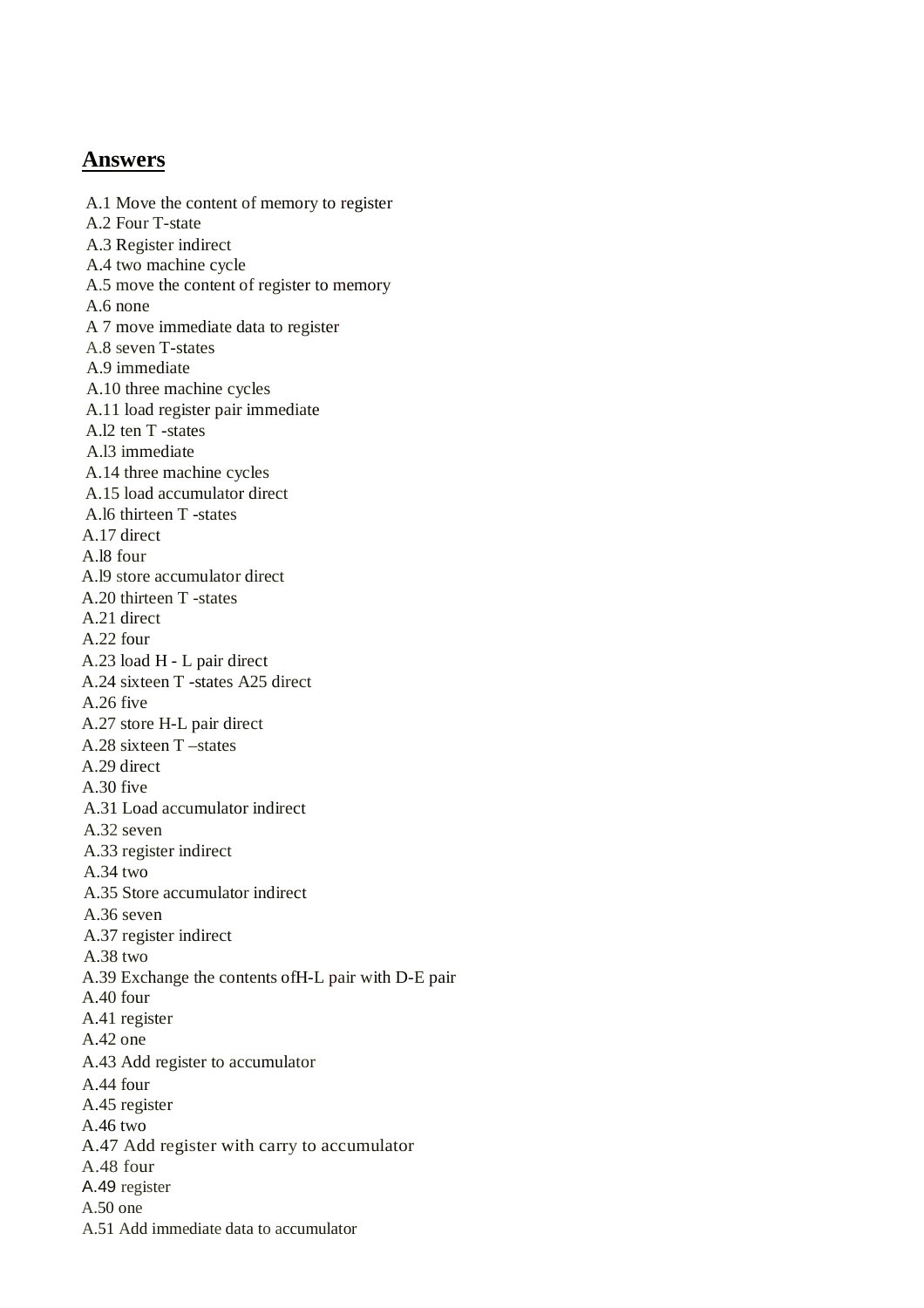# **Answers**

A.1 Move the content of memory to register A.2 Four T-state A.3 Register indirect A.4 two machine cycle A.5 move the content of register to memory A.6 none A 7 move immediate data to register A.8 seven T-states A.9 immediate A.10 three machine cycles A.11 load register pair immediate A.l2 ten T -states A.l3 immediate A.14 three machine cycles A.15 load accumulator direct A.l6 thirteen T -states A.17 direct A.l8 four A.l9 store accumulator direct A.20 thirteen T -states A.21 direct A.22 four A.23 load H - L pair direct A.24 sixteen T -states A25 direct A.26 five A.27 store H-L pair direct A.28 sixteen T –states A.29 direct A.30 five A.31 Load accumulator indirect A.32 seven A.33 register indirect A.34 two A.35 Store accumulator indirect A.36 seven A.37 register indirect A.38 two A.39 Exchange the contents ofH-L pair with D-E pair A.40 four A.41 register A.42 one A.43 Add register to accumulator A.44 four A.45 register A.46 two A.47 Add register with carry to accumulator A.48 four A.49 register A.50 one A.51 Add immediate data to accumulator